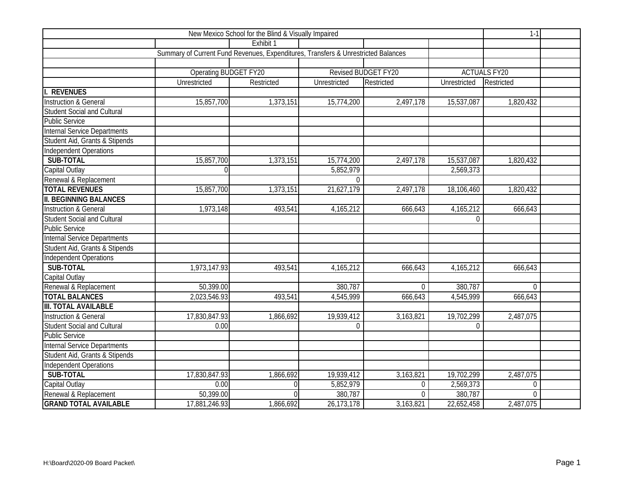|                                     | $1 - 1$                                                                           |                |              |                     |              |                     |  |
|-------------------------------------|-----------------------------------------------------------------------------------|----------------|--------------|---------------------|--------------|---------------------|--|
|                                     |                                                                                   | Exhibit 1      |              |                     |              |                     |  |
|                                     | Summary of Current Fund Revenues, Expenditures, Transfers & Unrestricted Balances |                |              |                     |              |                     |  |
|                                     |                                                                                   |                |              |                     |              |                     |  |
|                                     | Operating BUDGET FY20                                                             |                |              | Revised BUDGET FY20 |              | <b>ACTUALS FY20</b> |  |
|                                     | Unrestricted                                                                      | Restricted     | Unrestricted | Restricted          | Unrestricted | Restricted          |  |
| I. REVENUES                         |                                                                                   |                |              |                     |              |                     |  |
| Instruction & General               | 15,857,700                                                                        | 1,373,151      | 15,774,200   | 2,497,178           | 15,537,087   | 1,820,432           |  |
| Student Social and Cultural         |                                                                                   |                |              |                     |              |                     |  |
| <b>Public Service</b>               |                                                                                   |                |              |                     |              |                     |  |
| <b>Internal Service Departments</b> |                                                                                   |                |              |                     |              |                     |  |
| Student Aid, Grants & Stipends      |                                                                                   |                |              |                     |              |                     |  |
| <b>Independent Operations</b>       |                                                                                   |                |              |                     |              |                     |  |
| <b>SUB-TOTAL</b>                    | 15,857,700                                                                        | 1,373,151      | 15,774,200   | 2,497,178           | 15,537,087   | 1,820,432           |  |
| Capital Outlay                      | $\Omega$                                                                          |                | 5,852,979    |                     | 2,569,373    |                     |  |
| Renewal & Replacement               |                                                                                   |                | $\Omega$     |                     |              |                     |  |
| <b>TOTAL REVENUES</b>               | 15,857,700                                                                        | 1,373,151      | 21,627,179   | 2,497,178           | 18,106,460   | 1,820,432           |  |
| <b>II. BEGINNING BALANCES</b>       |                                                                                   |                |              |                     |              |                     |  |
| <b>Instruction &amp; General</b>    | 1,973,148                                                                         | 493,541        | 4,165,212    | 666,643             | 4,165,212    | 666,643             |  |
| Student Social and Cultural         |                                                                                   |                |              |                     | $\Omega$     |                     |  |
| <b>Public Service</b>               |                                                                                   |                |              |                     |              |                     |  |
| <b>Internal Service Departments</b> |                                                                                   |                |              |                     |              |                     |  |
| Student Aid, Grants & Stipends      |                                                                                   |                |              |                     |              |                     |  |
| Independent Operations              |                                                                                   |                |              |                     |              |                     |  |
| SUB-TOTAL                           | 1,973,147.93                                                                      | 493,541        | 4,165,212    | 666,643             | 4,165,212    | 666,643             |  |
| Capital Outlay                      |                                                                                   |                |              |                     |              |                     |  |
| Renewal & Replacement               | 50,399.00                                                                         |                | 380,787      | $\overline{0}$      | 380,787      | $\overline{0}$      |  |
| <b>TOTAL BALANCES</b>               | 2,023,546.93                                                                      | 493,541        | 4,545,999    | 666,643             | 4,545,999    | 666,643             |  |
| <b>III. TOTAL AVAILABLE</b>         |                                                                                   |                |              |                     |              |                     |  |
| <b>Instruction &amp; General</b>    | 17,830,847.93                                                                     | 1,866,692      | 19,939,412   | 3,163,821           | 19,702,299   | 2,487,075           |  |
| Student Social and Cultural         | 0.00                                                                              |                | $\Omega$     |                     | $\Omega$     |                     |  |
| Public Service                      |                                                                                   |                |              |                     |              |                     |  |
| <b>Internal Service Departments</b> |                                                                                   |                |              |                     |              |                     |  |
| Student Aid, Grants & Stipends      |                                                                                   |                |              |                     |              |                     |  |
| Independent Operations              |                                                                                   |                |              |                     |              |                     |  |
| SUB-TOTAL                           | 17,830,847.93                                                                     | 1,866,692      | 19,939,412   | 3,163,821           | 19,702,299   | 2,487,075           |  |
| Capital Outlay                      | 0.00                                                                              | $\overline{0}$ | 5,852,979    | $\Omega$            | 2,569,373    | $\Omega$            |  |
| Renewal & Replacement               | 50,399.00                                                                         | $\Omega$       | 380,787      | $\Omega$            | 380,787      | $\Omega$            |  |
| <b>GRAND TOTAL AVAILABLE</b>        | 17,881,246.93                                                                     | 1,866,692      | 26,173,178   | 3,163,821           | 22,652,458   | 2,487,075           |  |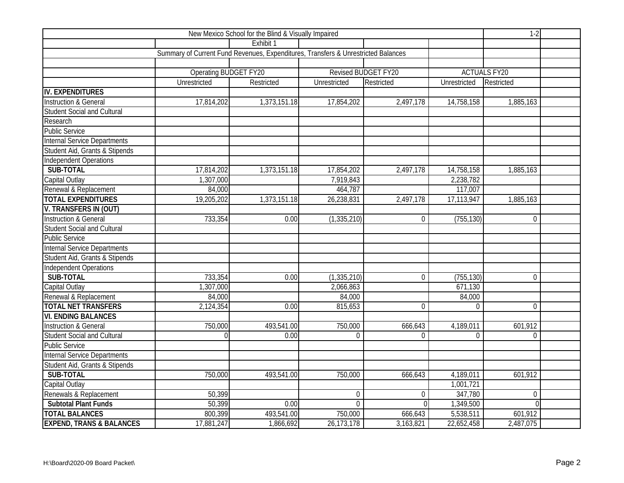|                                     | $1-2$                                                                             |              |                |                     |                |                     |  |
|-------------------------------------|-----------------------------------------------------------------------------------|--------------|----------------|---------------------|----------------|---------------------|--|
|                                     |                                                                                   | Exhibit 1    |                |                     |                |                     |  |
|                                     | Summary of Current Fund Revenues, Expenditures, Transfers & Unrestricted Balances |              |                |                     |                |                     |  |
|                                     |                                                                                   |              |                |                     |                |                     |  |
|                                     | <b>Operating BUDGET FY20</b>                                                      |              |                | Revised BUDGET FY20 |                | <b>ACTUALS FY20</b> |  |
|                                     | Unrestricted                                                                      | Restricted   | Unrestricted   | Restricted          | Unrestricted   | Restricted          |  |
| <b>IV. EXPENDITURES</b>             |                                                                                   |              |                |                     |                |                     |  |
| Instruction & General               | 17,814,202                                                                        | 1,373,151.18 | 17,854,202     | 2,497,178           | 14,758,158     | 1,885,163           |  |
| Student Social and Cultural         |                                                                                   |              |                |                     |                |                     |  |
| Research                            |                                                                                   |              |                |                     |                |                     |  |
| <b>Public Service</b>               |                                                                                   |              |                |                     |                |                     |  |
| <b>Internal Service Departments</b> |                                                                                   |              |                |                     |                |                     |  |
| Student Aid, Grants & Stipends      |                                                                                   |              |                |                     |                |                     |  |
| Independent Operations              |                                                                                   |              |                |                     |                |                     |  |
| <b>SUB-TOTAL</b>                    | 17,814,202                                                                        | 1,373,151.18 | 17,854,202     | 2,497,178           | 14,758,158     | 1,885,163           |  |
| Capital Outlay                      | 1,307,000                                                                         |              | 7,919,843      |                     | 2,238,782      |                     |  |
| Renewal & Replacement               | 84,000                                                                            |              | 464,787        |                     | 117,007        |                     |  |
| <b>TOTAL EXPENDITURES</b>           | 19,205,202                                                                        | 1,373,151.18 | 26,238,831     | 2,497,178           | 17,113,947     | 1,885,163           |  |
| V. TRANSFERS IN (OUT)               |                                                                                   |              |                |                     |                |                     |  |
| Instruction & General               | 733,354                                                                           | 0.00         | (1, 335, 210)  | $\mathbf 0$         | (755, 130)     | $\overline{0}$      |  |
| Student Social and Cultural         |                                                                                   |              |                |                     |                |                     |  |
| <b>Public Service</b>               |                                                                                   |              |                |                     |                |                     |  |
| <b>Internal Service Departments</b> |                                                                                   |              |                |                     |                |                     |  |
| Student Aid, Grants & Stipends      |                                                                                   |              |                |                     |                |                     |  |
| <b>Independent Operations</b>       |                                                                                   |              |                |                     |                |                     |  |
| <b>SUB-TOTAL</b>                    | 733,354                                                                           | 0.00         | (1, 335, 210)  | $\Omega$            | (755, 130)     | $\overline{0}$      |  |
| Capital Outlay                      | 1,307,000                                                                         |              | 2,066,863      |                     | 671,130        |                     |  |
| Renewal & Replacement               | 84,000                                                                            |              | 84,000         |                     | 84,000         |                     |  |
| <b>TOTAL NET TRANSFERS</b>          | 2,124,354                                                                         | 0.00         | 815,653        | $\overline{0}$      | $\overline{0}$ | $\overline{0}$      |  |
| <b>VI. ENDING BALANCES</b>          |                                                                                   |              |                |                     |                |                     |  |
| <b>Instruction &amp; General</b>    | 750,000                                                                           | 493,541.00   | 750,000        | 666,643             | 4,189,011      | 601,912             |  |
| <b>Student Social and Cultural</b>  | $\Omega$                                                                          | 0.00         | $\Omega$       | $\Omega$            | $\Omega$       | $\overline{0}$      |  |
| <b>Public Service</b>               |                                                                                   |              |                |                     |                |                     |  |
| <b>Internal Service Departments</b> |                                                                                   |              |                |                     |                |                     |  |
| Student Aid, Grants & Stipends      |                                                                                   |              |                |                     |                |                     |  |
| <b>SUB-TOTAL</b>                    | 750,000                                                                           | 493,541.00   | 750,000        | 666,643             | 4,189,011      | 601,912             |  |
| Capital Outlay                      |                                                                                   |              |                |                     | 1,001,721      |                     |  |
| Renewals & Replacement              | 50,399                                                                            |              | $\mathbf{0}$   | $\mathbf 0$         | 347,780        | $\overline{0}$      |  |
| <b>Subtotal Plant Funds</b>         | 50,399                                                                            | 0.00         | $\overline{0}$ | $\overline{0}$      | 1,349,500      | $\Omega$            |  |
| <b>TOTAL BALANCES</b>               | 800,399                                                                           | 493,541.00   | 750,000        | 666,643             | 5,538,511      | 601,912             |  |
| <b>EXPEND, TRANS &amp; BALANCES</b> | 17,881,247                                                                        | 1,866,692    | 26, 173, 178   | 3,163,821           | 22,652,458     | 2,487,075           |  |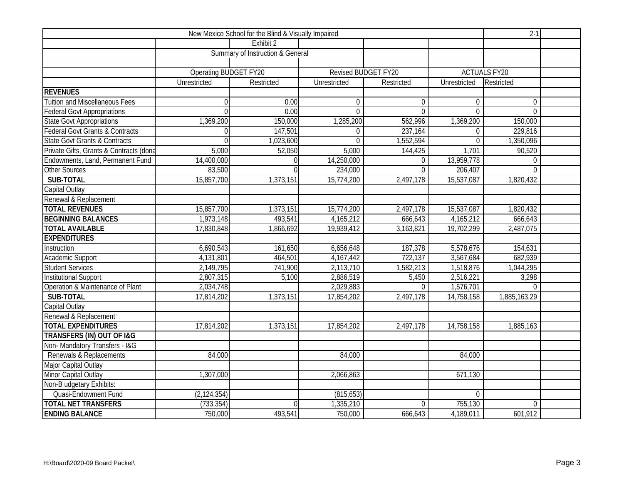|                                            |                       | $2-1$                                       |                     |                |                |                     |  |
|--------------------------------------------|-----------------------|---------------------------------------------|---------------------|----------------|----------------|---------------------|--|
|                                            |                       | Exhibit 2                                   |                     |                |                |                     |  |
|                                            |                       | <b>Summary of Instruction &amp; General</b> |                     |                |                |                     |  |
|                                            |                       |                                             |                     |                |                |                     |  |
|                                            | Operating BUDGET FY20 |                                             | Revised BUDGET FY20 |                |                | <b>ACTUALS FY20</b> |  |
|                                            | Unrestricted          | Restricted                                  | Unrestricted        | Restricted     | Unrestricted   | Restricted          |  |
| <b>REVENUES</b>                            |                       |                                             |                     |                |                |                     |  |
| <b>Tuition and Miscellaneous Fees</b>      | $\Omega$              | 0.00                                        | $\mathbf{0}$        | $\mathbf{0}$   | $\overline{0}$ | $\overline{0}$      |  |
| <b>Federal Govt Appropriations</b>         | $\Omega$              | 0.00                                        | $\mathbf{0}$        | $\overline{0}$ | $\overline{0}$ | $\overline{0}$      |  |
| <b>State Govt Appropriations</b>           | 1,369,200             | 150,000                                     | 1,285,200           | 562,996        | 1,369,200      | 150,000             |  |
| <b>Federal Govt Grants &amp; Contracts</b> | $\Omega$              | 147,501                                     | $\overline{0}$      | 237,164        | $\overline{0}$ | 229,816             |  |
| <b>State Govt Grants &amp; Contracts</b>   | $\Omega$              | 1,023,600                                   | $\Omega$            | 1,552,594      | $\overline{0}$ | 1,350,096           |  |
| Private Gifts, Grants & Contracts (dona    | 5,000                 | 52,050                                      | 5,000               | 144,425        | 1,701          | 90,520              |  |
| Endowments, Land, Permanent Fund           | 14,400,000            | U                                           | 14,250,000          | $\Omega$       | 13,959,778     | $\overline{0}$      |  |
| <b>Other Sources</b>                       | 83,500                | $\Omega$                                    | 234,000             | $\overline{0}$ | 206,407        | $\overline{0}$      |  |
| SUB-TOTAL                                  | 15,857,700            | 1,373,151                                   | 15,774,200          | 2,497,178      | 15,537,087     | 1,820,432           |  |
| Capital Outlay                             |                       |                                             |                     |                |                |                     |  |
| Renewal & Replacement                      |                       |                                             |                     |                |                |                     |  |
| <b>TOTAL REVENUES</b>                      | 15,857,700            | 1,373,151                                   | 15,774,200          | 2,497,178      | 15,537,087     | 1,820,432           |  |
| <b>BEGINNING BALANCES</b>                  | 1,973,148             | 493,541                                     | 4,165,212           | 666,643        | 4,165,212      | 666,643             |  |
| <b>TOTAL AVAILABLE</b>                     | 17,830,848            | 1,866,692                                   | 19,939,412          | 3,163,821      | 19,702,299     | 2,487,075           |  |
| <b>EXPENDITURES</b>                        |                       |                                             |                     |                |                |                     |  |
| Instruction                                | 6,690,543             | 161,650                                     | 6,656,648           | 187,378        | 5,578,676      | 154,631             |  |
| Academic Support                           | 4,131,801             | 464,501                                     | 4,167,442           | 722,137        | 3,567,684      | 682,939             |  |
| <b>Student Services</b>                    | 2,149,795             | 741,900                                     | 2,113,710           | 1,582,213      | 1,518,876      | 1,044,295           |  |
| <b>Institutional Support</b>               | 2,807,315             | 5,100                                       | 2,886,519           | 5,450          | 2,516,221      | 3,298               |  |
| Operation & Maintenance of Plant           | 2,034,748             |                                             | 2,029,883           | $\Omega$       | 1,576,701      | $\Omega$            |  |
| SUB-TOTAL                                  | 17,814,202            | 1,373,151                                   | 17,854,202          | 2,497,178      | 14,758,158     | 1,885,163.29        |  |
| Capital Outlay                             |                       |                                             |                     |                |                |                     |  |
| Renewal & Replacement                      |                       |                                             |                     |                |                |                     |  |
| <b>TOTAL EXPENDITURES</b>                  | 17,814,202            | 1,373,151                                   | 17,854,202          | 2,497,178      | 14,758,158     | 1,885,163           |  |
| <b>TRANSFERS (IN) OUT OF I&amp;G</b>       |                       |                                             |                     |                |                |                     |  |
| Non-Mandatory Transfers - I&G              |                       |                                             |                     |                |                |                     |  |
| Renewals & Replacements                    | 84,000                |                                             | 84,000              |                | 84,000         |                     |  |
| Major Capital Outlay                       |                       |                                             |                     |                |                |                     |  |
| Minor Capital Outlay                       | 1,307,000             |                                             | 2,066,863           |                | 671,130        |                     |  |
| Non-B udgetary Exhibits:                   |                       |                                             |                     |                |                |                     |  |
| Quasi-Endowment Fund                       | (2, 124, 354)         |                                             | (815, 653)          |                | $\overline{0}$ |                     |  |
| <b>TOTAL NET TRANSFERS</b>                 | (733, 354)            | $\theta$                                    | 1,335,210           | $\Omega$       | 755,130        | $\overline{0}$      |  |
| <b>ENDING BALANCE</b>                      | 750,000               | 493,541                                     | 750,000             | 666,643        | 4,189,011      | 601,912             |  |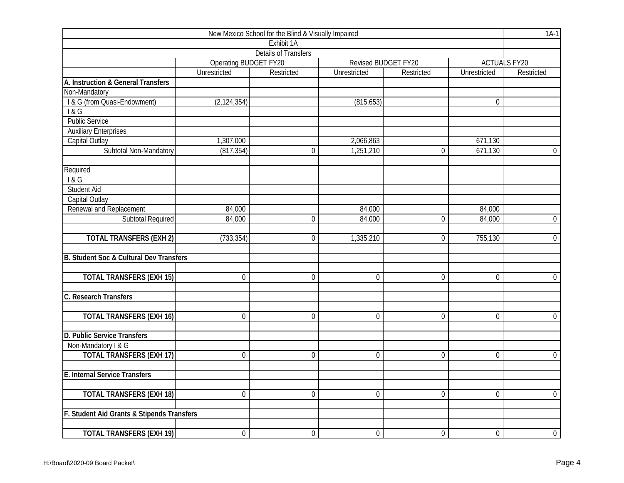| New Mexico School for the Blind & Visually Impaired |                       |                             |                  |                     |                  |                     |  |  |  |  |
|-----------------------------------------------------|-----------------------|-----------------------------|------------------|---------------------|------------------|---------------------|--|--|--|--|
|                                                     |                       | Exhibit 1A                  |                  |                     |                  |                     |  |  |  |  |
|                                                     |                       | <b>Details of Transfers</b> |                  |                     |                  |                     |  |  |  |  |
|                                                     | Operating BUDGET FY20 |                             |                  | Revised BUDGET FY20 |                  | <b>ACTUALS FY20</b> |  |  |  |  |
|                                                     | <b>Unrestricted</b>   | Restricted                  | Unrestricted     | Restricted          | Unrestricted     | Restricted          |  |  |  |  |
| A. Instruction & General Transfers                  |                       |                             |                  |                     |                  |                     |  |  |  |  |
| Non-Mandatory                                       |                       |                             |                  |                     |                  |                     |  |  |  |  |
| I & G (from Quasi-Endowment)                        | (2, 124, 354)         |                             | (815, 653)       |                     | $\overline{0}$   |                     |  |  |  |  |
| 1&6                                                 |                       |                             |                  |                     |                  |                     |  |  |  |  |
| <b>Public Service</b>                               |                       |                             |                  |                     |                  |                     |  |  |  |  |
| <b>Auxiliary Enterprises</b>                        |                       |                             |                  |                     |                  |                     |  |  |  |  |
| Capital Outlay                                      | 1,307,000             |                             | 2,066,863        |                     | 671,130          |                     |  |  |  |  |
| Subtotal Non-Mandatory                              | (817, 354)            | $\boldsymbol{0}$            | 1,251,210        | $\mathbf 0$         | 671,130          | $\overline{0}$      |  |  |  |  |
| Required                                            |                       |                             |                  |                     |                  |                     |  |  |  |  |
| 18G                                                 |                       |                             |                  |                     |                  |                     |  |  |  |  |
| <b>Student Aid</b>                                  |                       |                             |                  |                     |                  |                     |  |  |  |  |
| Capital Outlay                                      |                       |                             |                  |                     |                  |                     |  |  |  |  |
| Renewal and Replacement                             | 84,000                |                             | 84,000           |                     | 84,000           |                     |  |  |  |  |
| <b>Subtotal Required</b>                            | 84,000                | $\mathbf 0$                 | 84,000           | $\overline{0}$      | 84,000           | $\overline{0}$      |  |  |  |  |
| <b>TOTAL TRANSFERS (EXH 2)</b>                      | (733, 354)            | $\Omega$                    | 1,335,210        | $\overline{0}$      | 755,130          | $\overline{0}$      |  |  |  |  |
| B. Student Soc & Cultural Dev Transfers             |                       |                             |                  |                     |                  |                     |  |  |  |  |
| <b>TOTAL TRANSFERS (EXH 15)</b>                     | $\Omega$              | $\overline{0}$              | $\overline{0}$   | $\overline{0}$      | $\overline{0}$   | $\overline{0}$      |  |  |  |  |
| C. Research Transfers                               |                       |                             |                  |                     |                  |                     |  |  |  |  |
|                                                     |                       |                             |                  |                     |                  |                     |  |  |  |  |
| <b>TOTAL TRANSFERS (EXH 16)</b>                     | $\mathbf 0$           | $\mathbf 0$                 | 0                | $\mathbf 0$         | $\mathbf 0$      | $\overline{0}$      |  |  |  |  |
| D. Public Service Transfers                         |                       |                             |                  |                     |                  |                     |  |  |  |  |
| Non-Mandatory I & G                                 |                       |                             |                  |                     |                  |                     |  |  |  |  |
| <b>TOTAL TRANSFERS (EXH 17)</b>                     | $\overline{0}$        | $\overline{0}$              | $\overline{0}$   | $\overline{0}$      | $\overline{0}$   | $\overline{0}$      |  |  |  |  |
| E. Internal Service Transfers                       |                       |                             |                  |                     |                  |                     |  |  |  |  |
| <b>TOTAL TRANSFERS (EXH 18)</b>                     | $\overline{0}$        | $\overline{0}$              | $\overline{0}$   | $\overline{0}$      | $\overline{0}$   | $\overline{0}$      |  |  |  |  |
| F. Student Aid Grants & Stipends Transfers          |                       |                             |                  |                     |                  |                     |  |  |  |  |
|                                                     |                       |                             |                  |                     |                  |                     |  |  |  |  |
| <b>TOTAL TRANSFERS (EXH 19)</b>                     | $\boldsymbol{0}$      | $\boldsymbol{0}$            | $\boldsymbol{0}$ | $\mathbf 0$         | $\boldsymbol{0}$ | $\overline{0}$      |  |  |  |  |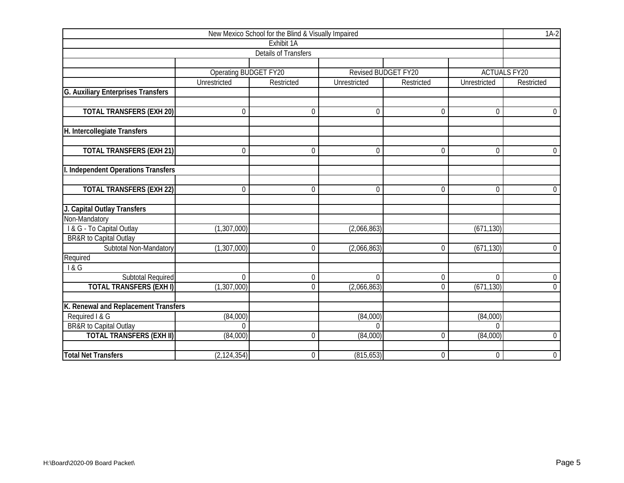|                                                                      |                              | New Mexico School for the Blind & Visually Impaired |                      |                     |                      | $1A-2$              |  |
|----------------------------------------------------------------------|------------------------------|-----------------------------------------------------|----------------------|---------------------|----------------------|---------------------|--|
|                                                                      |                              | Exhibit 1A                                          |                      |                     |                      |                     |  |
|                                                                      |                              | <b>Details of Transfers</b>                         |                      |                     |                      |                     |  |
|                                                                      |                              |                                                     |                      |                     |                      |                     |  |
|                                                                      | <b>Operating BUDGET FY20</b> |                                                     |                      | Revised BUDGET FY20 |                      | <b>ACTUALS FY20</b> |  |
|                                                                      | Unrestricted                 | Restricted                                          | Unrestricted         | Restricted          | Unrestricted         | Restricted          |  |
| <b>G. Auxiliary Enterprises Transfers</b>                            |                              |                                                     |                      |                     |                      |                     |  |
|                                                                      |                              |                                                     |                      |                     |                      |                     |  |
| <b>TOTAL TRANSFERS (EXH 20)</b>                                      | 0                            | $\Omega$                                            | $\mathbf{0}$         | $\overline{0}$      | $\mathbf 0$          | $\overline{0}$      |  |
|                                                                      |                              |                                                     |                      |                     |                      |                     |  |
| H. Intercollegiate Transfers                                         |                              |                                                     |                      |                     |                      |                     |  |
| <b>TOTAL TRANSFERS (EXH 21)</b>                                      | 0                            | $\mathbf 0$                                         | $\boldsymbol{0}$     | 0                   | 0                    | $\overline{0}$      |  |
|                                                                      |                              |                                                     |                      |                     |                      |                     |  |
| I. Independent Operations Transfers                                  |                              |                                                     |                      |                     |                      |                     |  |
|                                                                      |                              |                                                     |                      |                     |                      |                     |  |
| <b>TOTAL TRANSFERS (EXH 22)</b>                                      | 0                            | $\mathbf 0$                                         | $\theta$             | 0                   | $\mathbf 0$          | $\overline{0}$      |  |
|                                                                      |                              |                                                     |                      |                     |                      |                     |  |
| J. Capital Outlay Transfers                                          |                              |                                                     |                      |                     |                      |                     |  |
| Non-Mandatory                                                        |                              |                                                     |                      |                     |                      |                     |  |
| I & G - To Capital Outlay                                            | (1,307,000)                  |                                                     | (2,066,863)          |                     | (671, 130)           |                     |  |
| <b>BR&amp;R</b> to Capital Outlay                                    |                              |                                                     |                      |                     |                      |                     |  |
| Subtotal Non-Mandatory                                               | (1, 307, 000)                | $\boldsymbol{0}$                                    | (2,066,863)          | $\Omega$            | (671, 130)           | $\overline{0}$      |  |
| Required                                                             |                              |                                                     |                      |                     |                      |                     |  |
| 8G                                                                   |                              |                                                     |                      |                     |                      |                     |  |
| <b>Subtotal Required</b>                                             | $\boldsymbol{0}$             | $\mathbf 0$                                         | $\mathbf 0$          | 0                   | $\mathbf 0$          | $\overline{0}$      |  |
| <b>TOTAL TRANSFERS (EXH I)</b>                                       | (1,307,000)                  | $\Omega$                                            | (2,066,863)          | 0                   | (671, 130)           | $\overline{0}$      |  |
|                                                                      |                              |                                                     |                      |                     |                      |                     |  |
| K. Renewal and Replacement Transfers<br>Required I & G               |                              |                                                     |                      |                     |                      |                     |  |
|                                                                      | (84,000)                     |                                                     | (84,000)<br>$\Omega$ |                     | (84,000)<br>$\Omega$ |                     |  |
| <b>BR&amp;R</b> to Capital Outlay<br><b>TOTAL TRANSFERS (EXH II)</b> | $\Omega$<br>(84,000)         | $\Omega$                                            | (84,000)             | $\Omega$            | (84,000)             | $\mathbf 0$         |  |
|                                                                      |                              |                                                     |                      |                     |                      |                     |  |
| <b>Total Net Transfers</b>                                           | (2, 124, 354)                | $\mathbf 0$                                         | (815, 653)           | 0                   | $\mathbf 0$          | $\boldsymbol{0}$    |  |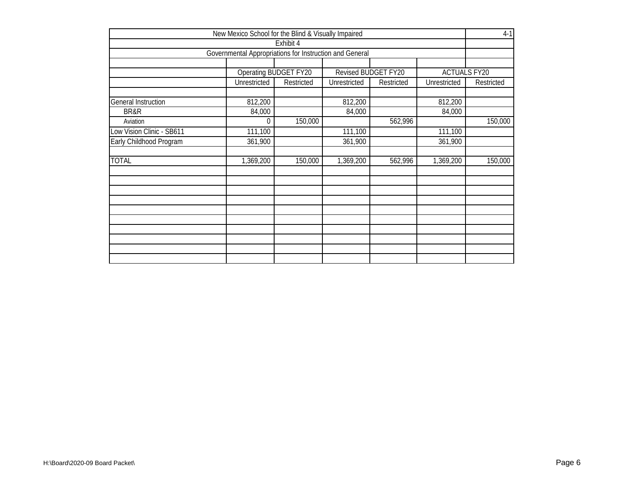|                            | New Mexico School for the Blind & Visually Impaired     |                       |                     |            |                     | $4-1$      |
|----------------------------|---------------------------------------------------------|-----------------------|---------------------|------------|---------------------|------------|
|                            |                                                         | Exhibit 4             |                     |            |                     |            |
|                            | Governmental Appropriations for Instruction and General |                       |                     |            |                     |            |
|                            |                                                         | Operating BUDGET FY20 | Revised BUDGET FY20 |            | <b>ACTUALS FY20</b> |            |
|                            | Unrestricted                                            | Restricted            | Unrestricted        | Restricted | Unrestricted        | Restricted |
| <b>General Instruction</b> | 812,200                                                 |                       | 812,200             |            | 812,200             |            |
| BR&R                       | 84,000                                                  |                       | 84,000              |            | 84,000              |            |
| Aviation                   | 0                                                       | 150,000               |                     | 562,996    |                     | 150,000    |
| Low Vision Clinic - SB611  | 111,100                                                 |                       | 111,100             |            | 111,100             |            |
| Early Childhood Program    | 361,900                                                 |                       | 361,900             |            | 361,900             |            |
| <b>TOTAL</b>               | 1,369,200                                               | 150,000               | 1,369,200           | 562,996    | 1,369,200           | 150,000    |
|                            |                                                         |                       |                     |            |                     |            |
|                            |                                                         |                       |                     |            |                     |            |
|                            |                                                         |                       |                     |            |                     |            |
|                            |                                                         |                       |                     |            |                     |            |
|                            |                                                         |                       |                     |            |                     |            |
|                            |                                                         |                       |                     |            |                     |            |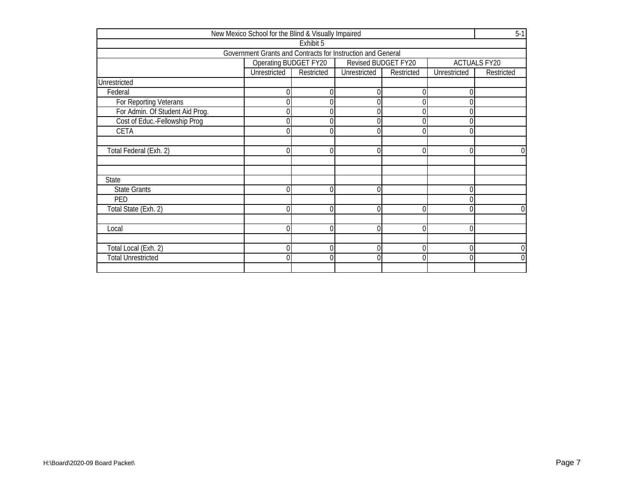|                                 | New Mexico School for the Blind & Visually Impaired         |            |                     |            |              | $5-1$               |
|---------------------------------|-------------------------------------------------------------|------------|---------------------|------------|--------------|---------------------|
|                                 |                                                             | Exhibit 5  |                     |            |              |                     |
|                                 | Government Grants and Contracts for Instruction and General |            |                     |            |              |                     |
|                                 | Operating BUDGET FY20                                       |            | Revised BUDGET FY20 |            |              | <b>ACTUALS FY20</b> |
|                                 | <b>Unrestricted</b>                                         | Restricted | Unrestricted        | Restricted | Unrestricted | Restricted          |
| Unrestricted                    |                                                             |            |                     |            |              |                     |
| Federal                         |                                                             |            |                     |            |              |                     |
| For Reporting Veterans          |                                                             |            |                     |            |              |                     |
| For Admin. Of Student Aid Prog. |                                                             |            |                     |            |              |                     |
| Cost of Educ.-Fellowship Prog   |                                                             |            |                     |            |              |                     |
| CETA                            |                                                             |            |                     |            |              |                     |
|                                 |                                                             |            |                     |            |              |                     |
| Total Federal (Exh. 2)          |                                                             |            | 0                   |            |              | 0                   |
|                                 |                                                             |            |                     |            |              |                     |
|                                 |                                                             |            |                     |            |              |                     |
| State                           |                                                             |            |                     |            |              |                     |
| <b>State Grants</b>             |                                                             |            |                     |            |              |                     |
| PED                             |                                                             |            |                     |            |              |                     |
| Total State (Exh. 2)            |                                                             |            |                     |            |              | 0                   |
|                                 |                                                             |            |                     |            |              |                     |
| Local                           |                                                             |            |                     |            |              |                     |
|                                 |                                                             |            |                     |            |              |                     |
| Total Local (Exh. 2)            |                                                             |            |                     |            |              | 0                   |
| <b>Total Unrestricted</b>       |                                                             |            | በ                   |            |              | $\overline{0}$      |
|                                 |                                                             |            |                     |            |              |                     |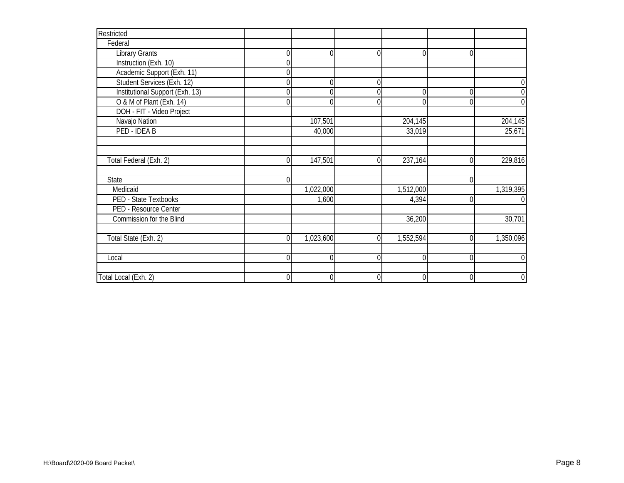| Restricted                      |                |           |   |           |          |                  |
|---------------------------------|----------------|-----------|---|-----------|----------|------------------|
| Federal                         |                |           |   |           |          |                  |
| <b>Library Grants</b>           | $\overline{0}$ | ſ         | ſ | ∩         | $\Omega$ |                  |
| Instruction (Exh. 10)           | 0              |           |   |           |          |                  |
| Academic Support (Exh. 11)      | $\Omega$       |           |   |           |          |                  |
| Student Services (Exh. 12)      | 0              |           | 0 |           |          | $\mathbf 0$      |
| Institutional Support (Exh. 13) | 0              |           |   | 0         | $\Omega$ | $\overline{0}$   |
| O & M of Plant (Exh. 14)        | 0              |           |   |           |          | $\overline{0}$   |
| DOH - FIT - Video Project       |                |           |   |           |          |                  |
| Navajo Nation                   |                | 107,501   |   | 204,145   |          | 204,145          |
| PED - IDEA B                    |                | 40,000    |   | 33,019    |          | 25,671           |
|                                 |                |           |   |           |          |                  |
|                                 |                |           |   |           |          |                  |
| Total Federal (Exh. 2)          | $\Omega$       | 147,501   |   | 237,164   | $\Omega$ | 229,816          |
|                                 |                |           |   |           |          |                  |
| State                           | $\Omega$       |           |   |           | O        |                  |
| Medicaid                        |                | 1,022,000 |   | 1,512,000 |          | 1,319,395        |
| PED - State Textbooks           |                | 1,600     |   | 4,394     | 0        | $\mathbf 0$      |
| PED - Resource Center           |                |           |   |           |          |                  |
| Commission for the Blind        |                |           |   | 36,200    |          | 30,701           |
|                                 |                |           |   |           |          |                  |
| Total State (Exh. 2)            | $\Omega$       | 1,023,600 | U | 1,552,594 | 0        | 1,350,096        |
|                                 |                |           |   |           |          |                  |
| Local                           | $\overline{0}$ |           | 0 |           | 0        | $\mathbf 0$      |
|                                 |                |           |   |           |          |                  |
| Total Local (Exh. 2)            | $\mathbf 0$    |           | 0 | 0         | 0        | $\boldsymbol{0}$ |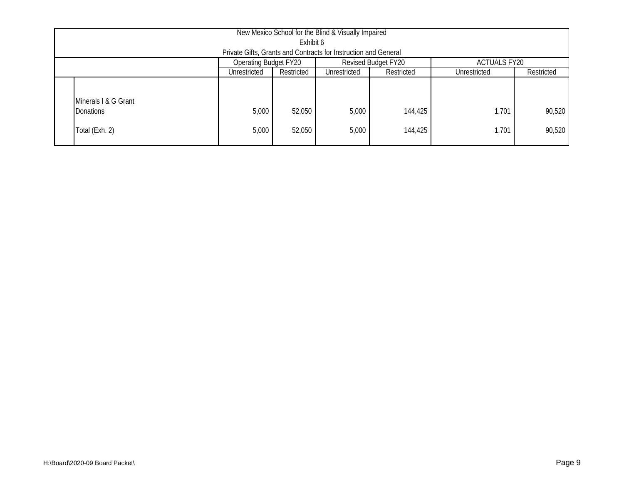| New Mexico School for the Blind & Visually Impaired                               |                                                                                        |                  |                |                    |                |                  |  |  |  |  |  |
|-----------------------------------------------------------------------------------|----------------------------------------------------------------------------------------|------------------|----------------|--------------------|----------------|------------------|--|--|--|--|--|
| Exhibit 6                                                                         |                                                                                        |                  |                |                    |                |                  |  |  |  |  |  |
| Private Gifts, Grants and Contracts for Instruction and General                   |                                                                                        |                  |                |                    |                |                  |  |  |  |  |  |
| <b>Operating Budget FY20</b><br><b>Revised Budget FY20</b><br><b>ACTUALS FY20</b> |                                                                                        |                  |                |                    |                |                  |  |  |  |  |  |
|                                                                                   | Restricted<br>Restricted<br>Restricted<br>Unrestricted<br>Unrestricted<br>Unrestricted |                  |                |                    |                |                  |  |  |  |  |  |
| Minerals I & G Grant<br>Donations<br>Total (Exh. 2)                               | 5,000<br>5,000                                                                         | 52,050<br>52,050 | 5,000<br>5,000 | 144,425<br>144,425 | 1,701<br>1,701 | 90,520<br>90,520 |  |  |  |  |  |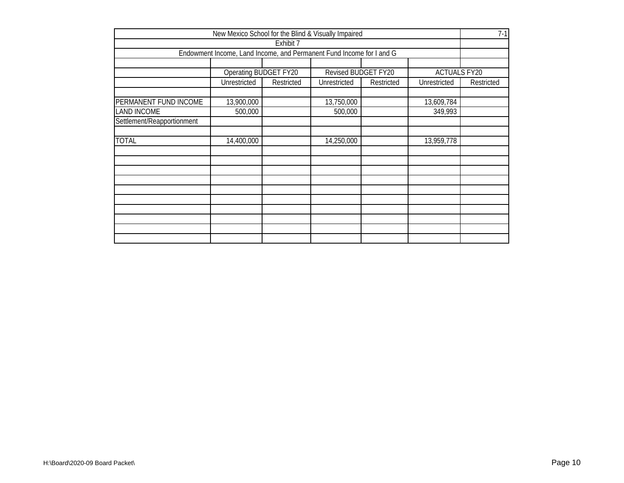|                                                                 | New Mexico School for the Blind & Visually Impaired                  |            |                     |            |                     |            |  |  |  |  |  |
|-----------------------------------------------------------------|----------------------------------------------------------------------|------------|---------------------|------------|---------------------|------------|--|--|--|--|--|
|                                                                 |                                                                      | Exhibit 7  |                     |            |                     |            |  |  |  |  |  |
|                                                                 | Endowment Income, Land Income, and Permanent Fund Income for I and G |            |                     |            |                     |            |  |  |  |  |  |
|                                                                 |                                                                      |            |                     |            |                     |            |  |  |  |  |  |
|                                                                 | Operating BUDGET FY20                                                |            | Revised BUDGET FY20 |            | <b>ACTUALS FY20</b> |            |  |  |  |  |  |
|                                                                 | Unrestricted                                                         | Restricted | Unrestricted        | Restricted | Unrestricted        | Restricted |  |  |  |  |  |
|                                                                 |                                                                      |            |                     |            |                     |            |  |  |  |  |  |
| PERMANENT FUND INCOME<br>13,900,000<br>13,750,000<br>13,609,784 |                                                                      |            |                     |            |                     |            |  |  |  |  |  |
| <b>LAND INCOME</b>                                              | 500,000<br>500,000<br>349,993                                        |            |                     |            |                     |            |  |  |  |  |  |
| Settlement/Reapportionment                                      |                                                                      |            |                     |            |                     |            |  |  |  |  |  |
|                                                                 |                                                                      |            |                     |            |                     |            |  |  |  |  |  |
| <b>TOTAL</b>                                                    | 14,400,000                                                           |            | 14,250,000          |            | 13,959,778          |            |  |  |  |  |  |
|                                                                 |                                                                      |            |                     |            |                     |            |  |  |  |  |  |
|                                                                 |                                                                      |            |                     |            |                     |            |  |  |  |  |  |
|                                                                 |                                                                      |            |                     |            |                     |            |  |  |  |  |  |
|                                                                 |                                                                      |            |                     |            |                     |            |  |  |  |  |  |
|                                                                 |                                                                      |            |                     |            |                     |            |  |  |  |  |  |
|                                                                 |                                                                      |            |                     |            |                     |            |  |  |  |  |  |
|                                                                 |                                                                      |            |                     |            |                     |            |  |  |  |  |  |
|                                                                 |                                                                      |            |                     |            |                     |            |  |  |  |  |  |
|                                                                 |                                                                      |            |                     |            |                     |            |  |  |  |  |  |
|                                                                 |                                                                      |            |                     |            |                     |            |  |  |  |  |  |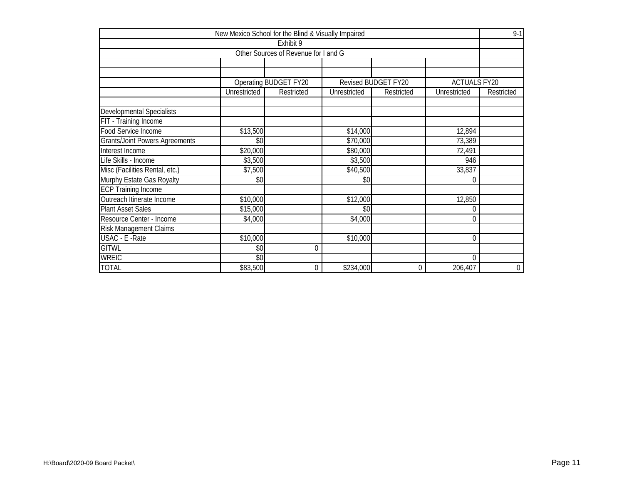|                                       |              | New Mexico School for the Blind & Visually Impaired |              |                     |                     | $9 - 1$          |
|---------------------------------------|--------------|-----------------------------------------------------|--------------|---------------------|---------------------|------------------|
|                                       |              | Exhibit 9                                           |              |                     |                     |                  |
|                                       |              | Other Sources of Revenue for I and G                |              |                     |                     |                  |
|                                       |              |                                                     |              |                     |                     |                  |
|                                       |              |                                                     |              |                     |                     |                  |
|                                       |              | Operating BUDGET FY20                               |              | Revised BUDGET FY20 | <b>ACTUALS FY20</b> |                  |
|                                       | Unrestricted | Restricted                                          | Unrestricted | Restricted          | Unrestricted        | Restricted       |
|                                       |              |                                                     |              |                     |                     |                  |
| <b>Developmental Specialists</b>      |              |                                                     |              |                     |                     |                  |
| FIT - Training Income                 |              |                                                     |              |                     |                     |                  |
| Food Service Income                   | \$13,500     |                                                     | \$14,000     |                     | 12,894              |                  |
| <b>Grants/Joint Powers Agreements</b> | \$0          |                                                     | \$70,000     |                     | 73,389              |                  |
| Interest Income                       | \$20,000     |                                                     | \$80,000     |                     | 72,491              |                  |
| Life Skills - Income                  | \$3,500      |                                                     | \$3,500      |                     | 946                 |                  |
| Misc (Facilities Rental, etc.)        | \$7,500      |                                                     | \$40,500     |                     | 33,837              |                  |
| Murphy Estate Gas Royalty             | \$0          |                                                     | \$0          |                     | 0                   |                  |
| <b>ECP Training Income</b>            |              |                                                     |              |                     |                     |                  |
| Outreach Itinerate Income             | \$10,000     |                                                     | \$12,000     |                     | 12,850              |                  |
| <b>Plant Asset Sales</b>              | \$15,000     |                                                     | \$0          |                     | 0                   |                  |
| Resource Center - Income              | \$4,000      |                                                     | \$4,000      |                     | 0                   |                  |
| <b>Risk Management Claims</b>         |              |                                                     |              |                     |                     |                  |
| USAC - E - Rate                       | \$10,000     |                                                     | \$10,000     |                     | $\boldsymbol{0}$    |                  |
| <b>GITWL</b>                          | \$0          | 0                                                   |              |                     |                     |                  |
| <b>WREIC</b>                          | \$0          |                                                     |              |                     | 0                   |                  |
| <b>TOTAL</b>                          | \$83,500     | 0                                                   | \$234,000    | $\mathbf 0$         | 206,407             | $\boldsymbol{0}$ |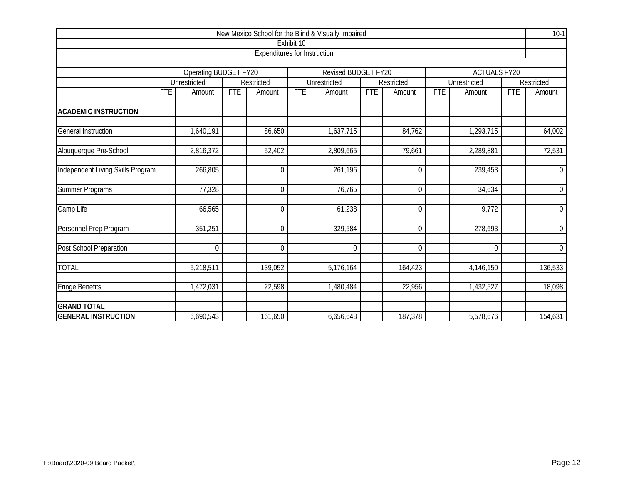|                                   |            |                       |            |                                     |            | New Mexico School for the Blind & Visually Impaired |            |                  |            |                     |     | $10-1$           |  |
|-----------------------------------|------------|-----------------------|------------|-------------------------------------|------------|-----------------------------------------------------|------------|------------------|------------|---------------------|-----|------------------|--|
|                                   |            |                       |            |                                     | Exhibit 10 |                                                     |            |                  |            |                     |     |                  |  |
|                                   |            |                       |            | <b>Expenditures for Instruction</b> |            |                                                     |            |                  |            |                     |     |                  |  |
| Revised BUDGET FY20               |            |                       |            |                                     |            |                                                     |            |                  |            |                     |     |                  |  |
|                                   |            | Operating BUDGET FY20 |            |                                     |            |                                                     |            |                  |            | <b>ACTUALS FY20</b> |     |                  |  |
|                                   |            | Unrestricted          |            | Restricted                          |            | Unrestricted                                        |            | Restricted       |            | Unrestricted        |     | Restricted       |  |
|                                   | <b>FTE</b> | Amount                | <b>FTE</b> | Amount                              | <b>FTE</b> | Amount                                              | <b>FTE</b> | Amount           | <b>FTE</b> | Amount              | FTE | Amount           |  |
| <b>ACADEMIC INSTRUCTION</b>       |            |                       |            |                                     |            |                                                     |            |                  |            |                     |     |                  |  |
| <b>General Instruction</b>        |            | 1,640,191             |            | 86,650                              |            | 1,637,715                                           |            | 84,762           |            | 1,293,715           |     | 64,002           |  |
|                                   |            |                       |            |                                     |            |                                                     |            |                  |            |                     |     |                  |  |
| Albuquerque Pre-School            |            | 2,816,372             |            | 52,402                              |            | 2,809,665                                           |            | 79,661           |            | 2,289,881           |     | 72,531           |  |
| Independent Living Skills Program |            | 266,805               |            | $\overline{0}$                      |            | 261,196                                             |            | $\mathbf 0$      |            | 239,453             |     | $\boldsymbol{0}$ |  |
| Summer Programs                   |            | 77,328                |            | $\overline{0}$                      |            | 76,765                                              |            | $\mathbf 0$      |            | 34,634              |     | $\boldsymbol{0}$ |  |
| Camp Life                         |            | 66,565                |            | $\overline{0}$                      |            | 61,238                                              |            | $\boldsymbol{0}$ |            | 9,772               |     | $\boldsymbol{0}$ |  |
| Personnel Prep Program            |            | 351,251               |            | $\Omega$                            |            | 329,584                                             |            | $\mathbf 0$      |            | 278,693             |     | $\boldsymbol{0}$ |  |
| Post School Preparation           |            | 0                     |            | $\overline{0}$                      |            | $\Omega$                                            |            | $\boldsymbol{0}$ |            | $\mathbf 0$         |     | $\overline{0}$   |  |
| <b>TOTAL</b>                      |            | 5,218,511             |            | 139,052                             |            | 5,176,164                                           |            | 164,423          |            | 4,146,150           |     | 136,533          |  |
| <b>Fringe Benefits</b>            |            | 1,472,031             |            | 22,598                              |            | 1,480,484                                           |            | 22,956           |            | 1,432,527           |     | 18,098           |  |
| <b>GRAND TOTAL</b>                |            |                       |            |                                     |            |                                                     |            |                  |            |                     |     |                  |  |
| <b>GENERAL INSTRUCTION</b>        |            | 6,690,543             |            | 161,650                             |            | 6,656,648                                           |            | 187,378          |            | 5,578,676           |     | 154,631          |  |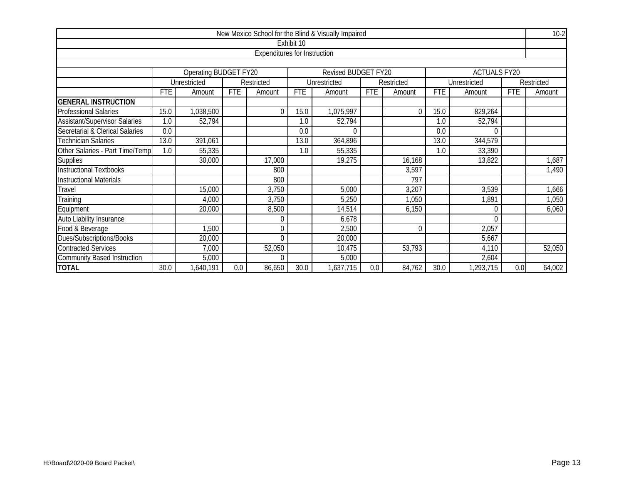|                                      |            |                       |            |                              |            | New Mexico School for the Blind & Visually Impaired |            |            |            |                     |            | $10-2$     |
|--------------------------------------|------------|-----------------------|------------|------------------------------|------------|-----------------------------------------------------|------------|------------|------------|---------------------|------------|------------|
|                                      |            |                       |            |                              | Exhibit 10 |                                                     |            |            |            |                     |            |            |
|                                      |            |                       |            | Expenditures for Instruction |            |                                                     |            |            |            |                     |            |            |
|                                      |            |                       |            |                              |            |                                                     |            |            |            |                     |            |            |
|                                      |            | Operating BUDGET FY20 |            |                              |            | Revised BUDGET FY20                                 |            |            |            | <b>ACTUALS FY20</b> |            |            |
|                                      |            | Unrestricted          |            | Restricted                   |            | Unrestricted                                        |            | Restricted |            | Unrestricted        |            | Restricted |
|                                      | <b>FTE</b> | Amount                | <b>FTE</b> | Amount                       | <b>FTE</b> | Amount                                              | <b>FTE</b> | Amount     | <b>FTE</b> | Amount              | <b>FTE</b> | Amount     |
| <b>GENERAL INSTRUCTION</b>           |            |                       |            |                              |            |                                                     |            |            |            |                     |            |            |
| <b>Professional Salaries</b>         | 15.0       | 1,038,500             |            | 0                            | 15.0       | 1,075,997                                           |            | $\theta$   | 15.0       | 829,264             |            |            |
| <b>Assistant/Supervisor Salaries</b> | 1.0        | 52,794                |            |                              | 1.0        | 52,794                                              |            |            | 1.0        | 52,794              |            |            |
| Secretarial & Clerical Salaries      | 0.0        |                       |            |                              | 0.0        |                                                     |            |            | 0.0        |                     |            |            |
| <b>Technician Salaries</b>           | 13.0       | 391,061               |            |                              | 13.0       | 364,896                                             |            |            | 13.0       | 344,579             |            |            |
| Other Salaries - Part Time/Temp      | 1.0        | 55,335                |            |                              | 1.0        | 55,335                                              |            |            | 1.0        | 33,390              |            |            |
| <b>Supplies</b>                      |            | 30,000                |            | 17,000                       |            | 19,275                                              |            | 16,168     |            | 13,822              |            | 1,687      |
| Instructional Textbooks              |            |                       |            | 800                          |            |                                                     |            | 3,597      |            |                     |            | 1,490      |
| <b>Instructional Materials</b>       |            |                       |            | 800                          |            |                                                     |            | 797        |            |                     |            |            |
| Travel                               |            | 15,000                |            | 3,750                        |            | 5,000                                               |            | 3,207      |            | 3,539               |            | 1,666      |
| Training                             |            | 4,000                 |            | 3,750                        |            | 5,250                                               |            | 1,050      |            | ,891                |            | 1,050      |
| Equipment                            |            | 20,000                |            | 8,500                        |            | 14,514                                              |            | 6,150      |            | $\theta$            |            | 6,060      |
| Auto Liability Insurance             |            |                       |            | 0                            |            | 6,678                                               |            |            |            | $\Omega$            |            |            |
| Food & Beverage                      |            | 1,500                 |            | 0                            |            | 2,500                                               |            | $\theta$   |            | 2,057               |            |            |
| Dues/Subscriptions/Books             |            | 20,000                |            | 0                            |            | 20,000                                              |            |            |            | 5,667               |            |            |
| <b>Contracted Services</b>           |            | 7,000                 |            | 52,050                       |            | 10,475                                              |            | 53,793     |            | 4,110               |            | 52,050     |
| <b>Community Based Instruction</b>   |            | 5,000                 |            | 0                            |            | 5,000                                               |            |            |            | 2,604               |            |            |
| <b>TOTAL</b>                         | 30.0       | 1,640,191             | 0.0        | 86,650                       | 30.0       | 1,637,715                                           | 0.0        | 84,762     | 30.0       | 1,293,715           | 0.0        | 64,002     |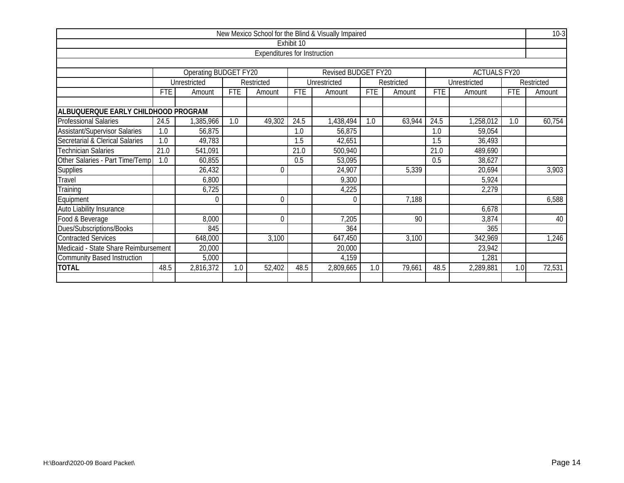|                                                               |                                                 |                       |            |                                     |            | New Mexico School for the Blind & Visually Impaired |            |            |            |                     |            | $10-3$     |
|---------------------------------------------------------------|-------------------------------------------------|-----------------------|------------|-------------------------------------|------------|-----------------------------------------------------|------------|------------|------------|---------------------|------------|------------|
|                                                               |                                                 |                       |            |                                     | Exhibit 10 |                                                     |            |            |            |                     |            |            |
|                                                               |                                                 |                       |            | <b>Expenditures for Instruction</b> |            |                                                     |            |            |            |                     |            |            |
|                                                               |                                                 |                       |            |                                     |            |                                                     |            |            |            |                     |            |            |
|                                                               |                                                 | Operating BUDGET FY20 |            |                                     |            | Revised BUDGET FY20                                 |            |            |            | <b>ACTUALS FY20</b> |            |            |
|                                                               |                                                 | Unrestricted          |            | Restricted                          |            | Unrestricted                                        |            | Restricted |            | Unrestricted        |            | Restricted |
|                                                               | <b>FTE</b>                                      | Amount                | <b>FTE</b> | Amount                              | <b>FTE</b> | Amount                                              | <b>FTE</b> | Amount     | <b>FTE</b> | Amount              | <b>FTE</b> | Amount     |
|                                                               |                                                 |                       |            |                                     |            |                                                     |            |            |            |                     |            |            |
| ALBUQUERQUE EARLY CHILDHOOD PROGRAM                           |                                                 |                       |            |                                     |            |                                                     |            |            |            |                     |            |            |
| <b>Professional Salaries</b>                                  | 24.5                                            | ,385,966              | 1.0        | 49,302                              | 24.5       | 1,438,494                                           | 1.0        | 63,944     | 24.5       | 1,258,012           | 1.0        | 60,754     |
| <b>Assistant/Supervisor Salaries</b>                          | 1.0                                             | 56,875                |            |                                     | 1.0        | 56,875                                              |            |            | 1.0        | 59,054              |            |            |
| <b>Secretarial &amp; Clerical Salaries</b>                    | 1.0                                             | 49,783                |            |                                     | 1.5        | 42,651                                              |            |            | 1.5        | 36,493              |            |            |
| <b>Technician Salaries</b>                                    | 21.0                                            | 541,091               |            |                                     | 21.0       | 500,940                                             |            |            | 21.0       | 489,690             |            |            |
| Other Salaries - Part Time/Temp                               | 1.0                                             | 60,855                |            |                                     | 0.5        | 53,095                                              |            |            | 0.5        | 38,627              |            |            |
| Supplies                                                      |                                                 | 26,432                |            | $\Omega$                            |            | 24,907                                              |            | 5,339      |            | 20,694              |            | 3,903      |
| Travel                                                        |                                                 | 6,800                 |            |                                     |            | 9,300                                               |            |            |            | 5,924               |            |            |
| Training                                                      |                                                 | 6,725                 |            |                                     |            | 4,225                                               |            |            |            | 2,279               |            |            |
| Equipment                                                     |                                                 | $\Omega$              |            | 0                                   |            | $\Omega$                                            |            | 7,188      |            |                     |            | 6,588      |
| Auto Liability Insurance                                      |                                                 |                       |            |                                     |            |                                                     |            |            |            | 6,678               |            |            |
| Food & Beverage                                               |                                                 | 8,000                 |            | $\Omega$                            |            | 7,205                                               |            | 90         |            | 3,874               |            | 40         |
| Dues/Subscriptions/Books                                      |                                                 | 845                   |            |                                     |            | 364                                                 |            |            |            | 365                 |            |            |
| <b>Contracted Services</b>                                    | 648,000<br>647,450<br>342,969<br>3,100<br>3,100 |                       |            |                                     |            |                                                     |            |            |            | 1,246               |            |            |
| Medicaid - State Share Reimbursement                          |                                                 | 20,000                |            |                                     |            | 20,000                                              |            |            |            | 23,942              |            |            |
| 5,000<br>4,159<br>1,281<br><b>Community Based Instruction</b> |                                                 |                       |            |                                     |            |                                                     |            |            |            |                     |            |            |
| <b>TOTAL</b>                                                  | 48.5                                            | 2,816,372             | 1.0        | 52,402                              | 48.5       | 2,809,665                                           | 1.0        | 79,661     | 48.5       | 2,289,881           | 1.0        | 72,531     |
|                                                               |                                                 |                       |            |                                     |            |                                                     |            |            |            |                     |            |            |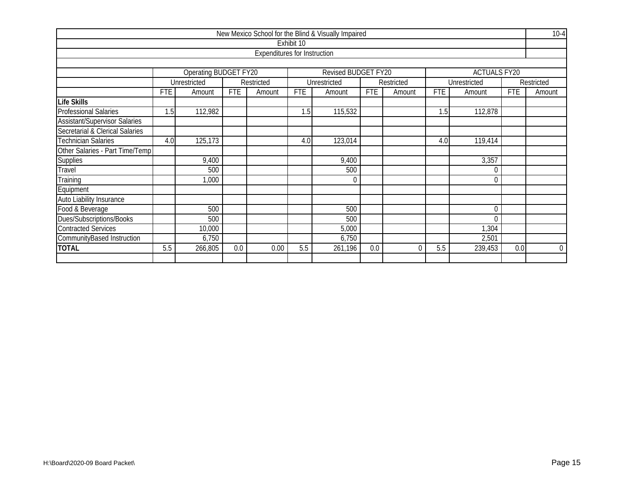|                                      |                                                    |                       |            |                                     |            | New Mexico School for the Blind & Visually Impaired |            |            |            |                     |            | $10-4$      |
|--------------------------------------|----------------------------------------------------|-----------------------|------------|-------------------------------------|------------|-----------------------------------------------------|------------|------------|------------|---------------------|------------|-------------|
|                                      |                                                    |                       |            |                                     | Exhibit 10 |                                                     |            |            |            |                     |            |             |
|                                      |                                                    |                       |            | <b>Expenditures for Instruction</b> |            |                                                     |            |            |            |                     |            |             |
|                                      |                                                    |                       |            |                                     |            |                                                     |            |            |            |                     |            |             |
|                                      |                                                    | Operating BUDGET FY20 |            |                                     |            | Revised BUDGET FY20                                 |            |            |            | <b>ACTUALS FY20</b> |            |             |
|                                      |                                                    | Unrestricted          |            | Restricted                          |            | Unrestricted                                        |            | Restricted |            | Unrestricted        |            | Restricted  |
|                                      | <b>FTE</b>                                         | Amount                | <b>FTE</b> | Amount                              | <b>FTE</b> | Amount                                              | <b>FTE</b> | Amount     | <b>FTE</b> | Amount              | <b>FTE</b> | Amount      |
| <b>Life Skills</b>                   |                                                    |                       |            |                                     |            |                                                     |            |            |            |                     |            |             |
| <b>Professional Salaries</b>         | 1.5                                                | 112,982               |            |                                     | 1.5        | 115,532                                             |            |            | 1.5        | 112,878             |            |             |
| <b>Assistant/Supervisor Salaries</b> |                                                    |                       |            |                                     |            |                                                     |            |            |            |                     |            |             |
| Secretarial & Clerical Salaries      |                                                    |                       |            |                                     |            |                                                     |            |            |            |                     |            |             |
| <b>Technician Salaries</b>           | 125,173<br>123,014<br>119,414<br>4.0<br>4.0<br>4.0 |                       |            |                                     |            |                                                     |            |            |            |                     |            |             |
| Other Salaries - Part Time/Temp      |                                                    |                       |            |                                     |            |                                                     |            |            |            |                     |            |             |
| <b>Supplies</b>                      |                                                    | 9,400                 |            |                                     |            | 9,400                                               |            |            |            | 3,357               |            |             |
| Travel                               |                                                    | 500                   |            |                                     |            | 500                                                 |            |            |            | 0                   |            |             |
| Training                             |                                                    | 000,                  |            |                                     |            | $\Omega$                                            |            |            |            | $\theta$            |            |             |
| Equipment                            |                                                    |                       |            |                                     |            |                                                     |            |            |            |                     |            |             |
| Auto Liability Insurance             |                                                    |                       |            |                                     |            |                                                     |            |            |            |                     |            |             |
| Food & Beverage                      |                                                    | 500                   |            |                                     |            | 500                                                 |            |            |            | $\mathbf{0}$        |            |             |
| Dues/Subscriptions/Books             |                                                    | 500                   |            |                                     |            | 500                                                 |            |            |            | $\Omega$            |            |             |
| <b>Contracted Services</b>           | 1,304<br>10,000<br>5,000                           |                       |            |                                     |            |                                                     |            |            |            |                     |            |             |
| CommunityBased Instruction           | 6,750<br>6,750<br>2,501                            |                       |            |                                     |            |                                                     |            |            |            |                     |            |             |
| <b>TOTAL</b>                         | 5.5                                                | 266,805               | 0.0        | 0.00                                | 5.5        | 261,196                                             | 0.0        | $\Omega$   | 5.5        | 239,453             | 0.0        | $\mathbf 0$ |
|                                      |                                                    |                       |            |                                     |            |                                                     |            |            |            |                     |            |             |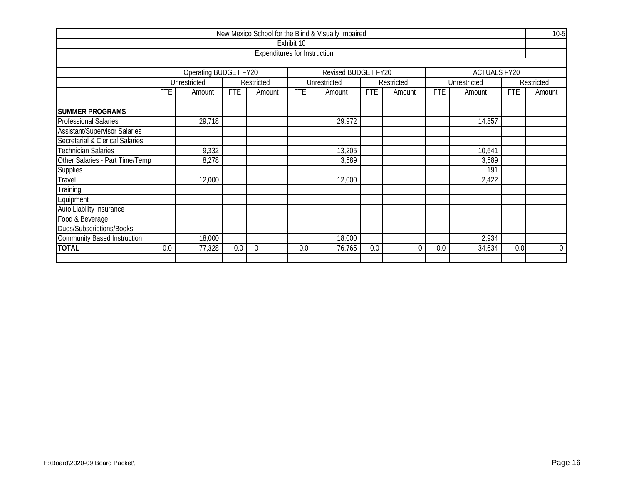|                                            |                           |                            |            |                                     |            | New Mexico School for the Blind & Visually Impaired |            |            |            |                     |            | $10-5$         |
|--------------------------------------------|---------------------------|----------------------------|------------|-------------------------------------|------------|-----------------------------------------------------|------------|------------|------------|---------------------|------------|----------------|
|                                            |                           |                            |            |                                     | Exhibit 10 |                                                     |            |            |            |                     |            |                |
|                                            |                           |                            |            | <b>Expenditures for Instruction</b> |            |                                                     |            |            |            |                     |            |                |
|                                            |                           |                            |            |                                     |            |                                                     |            |            |            |                     |            |                |
|                                            |                           | Operating BUDGET FY20      |            |                                     |            | Revised BUDGET FY20                                 |            |            |            | <b>ACTUALS FY20</b> |            |                |
|                                            |                           | Unrestricted               |            | Restricted                          |            | Unrestricted                                        |            | Restricted |            | Unrestricted        |            | Restricted     |
|                                            | <b>FTE</b>                | Amount                     | <b>FTE</b> | Amount                              | <b>FTE</b> | Amount                                              | <b>FTE</b> | Amount     | <b>FTE</b> | Amount              | <b>FTE</b> | Amount         |
| <b>SUMMER PROGRAMS</b>                     |                           |                            |            |                                     |            |                                                     |            |            |            |                     |            |                |
| <b>Professional Salaries</b>               |                           | 29,718<br>29,972<br>14,857 |            |                                     |            |                                                     |            |            |            |                     |            |                |
| <b>Assistant/Supervisor Salaries</b>       |                           |                            |            |                                     |            |                                                     |            |            |            |                     |            |                |
| <b>Secretarial &amp; Clerical Salaries</b> |                           |                            |            |                                     |            |                                                     |            |            |            |                     |            |                |
| <b>Technician Salaries</b>                 |                           | 9,332                      |            |                                     |            | 13,205                                              |            |            |            | 10,641              |            |                |
| Other Salaries - Part Time/Temp            |                           | 8,278                      |            |                                     |            | 3,589                                               |            |            |            | 3,589               |            |                |
| <b>Supplies</b>                            |                           |                            |            |                                     |            |                                                     |            |            |            | 191                 |            |                |
| Travel                                     |                           | 12,000                     |            |                                     |            | 12,000                                              |            |            |            | 2,422               |            |                |
| Training                                   |                           |                            |            |                                     |            |                                                     |            |            |            |                     |            |                |
| Equipment                                  |                           |                            |            |                                     |            |                                                     |            |            |            |                     |            |                |
| Auto Liability Insurance                   |                           |                            |            |                                     |            |                                                     |            |            |            |                     |            |                |
| Food & Beverage                            |                           |                            |            |                                     |            |                                                     |            |            |            |                     |            |                |
| Dues/Subscriptions/Books                   |                           |                            |            |                                     |            |                                                     |            |            |            |                     |            |                |
| <b>Community Based Instruction</b>         | 18,000<br>18,000<br>2,934 |                            |            |                                     |            |                                                     |            |            |            |                     |            |                |
| <b>TOTAL</b>                               | 0.0                       | 77,328                     | 0.0        | $\mathbf 0$                         | 0.0        | 76,765                                              | 0.0        | 0          | 0.0        | 34,634              | 0.0        | $\overline{0}$ |
|                                            |                           |                            |            |                                     |            |                                                     |            |            |            |                     |            |                |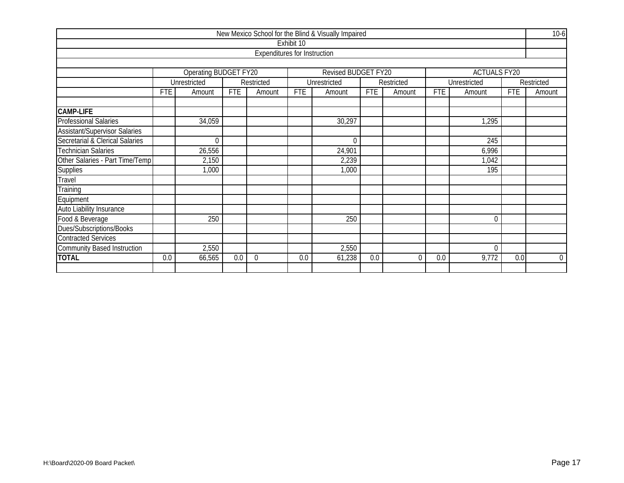|                                                  |            |                       |            |                                     |            | New Mexico School for the Blind & Visually Impaired |            |            |            |                     |            | $10-6$         |
|--------------------------------------------------|------------|-----------------------|------------|-------------------------------------|------------|-----------------------------------------------------|------------|------------|------------|---------------------|------------|----------------|
|                                                  |            |                       |            |                                     | Exhibit 10 |                                                     |            |            |            |                     |            |                |
|                                                  |            |                       |            | <b>Expenditures for Instruction</b> |            |                                                     |            |            |            |                     |            |                |
|                                                  |            |                       |            |                                     |            |                                                     |            |            |            |                     |            |                |
|                                                  |            | Operating BUDGET FY20 |            |                                     |            | Revised BUDGET FY20                                 |            |            |            | <b>ACTUALS FY20</b> |            |                |
|                                                  |            | Unrestricted          |            | Restricted                          |            | Unrestricted                                        |            | Restricted |            | Unrestricted        |            | Restricted     |
|                                                  | <b>FTE</b> | Amount                | <b>FTE</b> | Amount                              | <b>FTE</b> | Amount                                              | <b>FTE</b> | Amount     | <b>FTE</b> | Amount              | <b>FTE</b> | Amount         |
|                                                  |            |                       |            |                                     |            |                                                     |            |            |            |                     |            |                |
| <b>CAMP-LIFE</b><br><b>Professional Salaries</b> |            | 34,059                |            |                                     |            | 30,297                                              |            |            |            | 1,295               |            |                |
| <b>Assistant/Supervisor Salaries</b>             |            |                       |            |                                     |            |                                                     |            |            |            |                     |            |                |
| Secretarial & Clerical Salaries                  |            | $\theta$              |            |                                     |            | $\Omega$                                            |            |            |            | $\overline{245}$    |            |                |
| <b>Technician Salaries</b>                       |            | 26,556                |            |                                     |            | 24,901                                              |            |            |            | 6,996               |            |                |
| Other Salaries - Part Time/Temp                  |            | 2,150                 |            |                                     |            | 2,239                                               |            |            |            | 1,042               |            |                |
| Supplies                                         |            | 1,000                 |            |                                     |            | 1,000                                               |            |            |            | 195                 |            |                |
| Travel                                           |            |                       |            |                                     |            |                                                     |            |            |            |                     |            |                |
| Training                                         |            |                       |            |                                     |            |                                                     |            |            |            |                     |            |                |
| Equipment                                        |            |                       |            |                                     |            |                                                     |            |            |            |                     |            |                |
| Auto Liability Insurance                         |            |                       |            |                                     |            |                                                     |            |            |            |                     |            |                |
| Food & Beverage                                  |            | 250                   |            |                                     |            | 250                                                 |            |            |            | $\mathbf{0}$        |            |                |
| Dues/Subscriptions/Books                         |            |                       |            |                                     |            |                                                     |            |            |            |                     |            |                |
| <b>Contracted Services</b>                       |            |                       |            |                                     |            |                                                     |            |            |            |                     |            |                |
| <b>Community Based Instruction</b>               |            | 2,550                 |            |                                     |            | 2,550                                               |            |            |            | $\mathbf 0$         |            |                |
| <b>TOTAL</b>                                     | 0.0        | 66,565                | 0.0        | $\Omega$                            | 0.0        | 61,238                                              | 0.0        | $\Omega$   | 0.0        | 9,772               | 0.0        | $\overline{0}$ |
|                                                  |            |                       |            |                                     |            |                                                     |            |            |            |                     |            |                |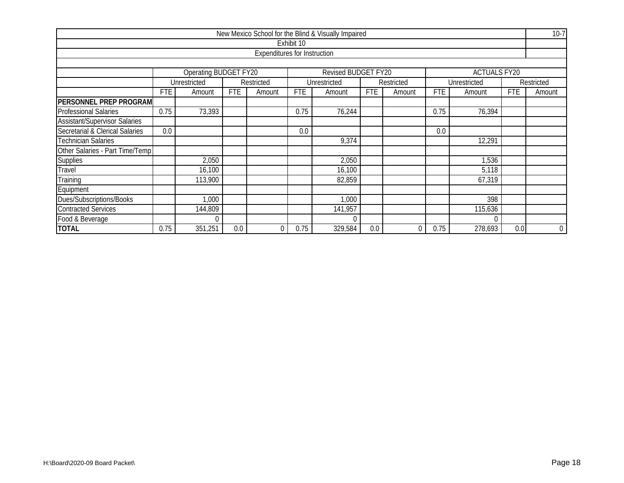|                                                                            |                                                                                                                             |              |     |                              |            | New Mexico School for the Blind & Visually Impaired |     |            |      |              |     | $10-7$      |  |
|----------------------------------------------------------------------------|-----------------------------------------------------------------------------------------------------------------------------|--------------|-----|------------------------------|------------|-----------------------------------------------------|-----|------------|------|--------------|-----|-------------|--|
|                                                                            |                                                                                                                             |              |     |                              | Exhibit 10 |                                                     |     |            |      |              |     |             |  |
|                                                                            |                                                                                                                             |              |     | Expenditures for Instruction |            |                                                     |     |            |      |              |     |             |  |
|                                                                            |                                                                                                                             |              |     |                              |            |                                                     |     |            |      |              |     |             |  |
| <b>Operating BUDGET FY20</b><br>Revised BUDGET FY20<br><b>ACTUALS FY20</b> |                                                                                                                             |              |     |                              |            |                                                     |     |            |      |              |     |             |  |
|                                                                            |                                                                                                                             | Unrestricted |     | Restricted                   |            | Unrestricted                                        |     | Restricted |      | Unrestricted |     | Restricted  |  |
|                                                                            | FTE<br><b>FTE</b><br><b>FTE</b><br><b>FTE</b><br><b>FTE</b><br><b>FTE</b><br>Amount<br>Amount<br>Amount<br>Amount<br>Amount |              |     |                              |            |                                                     |     |            |      | Amount       |     |             |  |
| PERSONNEL PREP PROGRAM                                                     |                                                                                                                             |              |     |                              |            |                                                     |     |            |      |              |     |             |  |
| <b>Professional Salaries</b>                                               | 0.75                                                                                                                        | 73,393       |     |                              | 0.75       | 76,244                                              |     |            | 0.75 | 76,394       |     |             |  |
| <b>Assistant/Supervisor Salaries</b>                                       |                                                                                                                             |              |     |                              |            |                                                     |     |            |      |              |     |             |  |
| Secretarial & Clerical Salaries                                            | 0.0<br>0.0<br>0.0                                                                                                           |              |     |                              |            |                                                     |     |            |      |              |     |             |  |
| <b>Technician Salaries</b>                                                 |                                                                                                                             |              |     |                              |            | 9,374                                               |     |            |      | 12,291       |     |             |  |
| Other Salaries - Part Time/Temp                                            |                                                                                                                             |              |     |                              |            |                                                     |     |            |      |              |     |             |  |
| Supplies                                                                   |                                                                                                                             | 2,050        |     |                              |            | 2,050                                               |     |            |      | 1,536        |     |             |  |
| Travel                                                                     |                                                                                                                             | 16,100       |     |                              |            | 16,100                                              |     |            |      | 5,118        |     |             |  |
| Training                                                                   |                                                                                                                             | 113,900      |     |                              |            | 82,859                                              |     |            |      | 67,319       |     |             |  |
| Equipment                                                                  |                                                                                                                             |              |     |                              |            |                                                     |     |            |      |              |     |             |  |
| Dues/Subscriptions/Books                                                   | 398<br>,000<br>1,000                                                                                                        |              |     |                              |            |                                                     |     |            |      |              |     |             |  |
| <b>Contracted Services</b>                                                 | 144,809<br>141,957<br>115,636                                                                                               |              |     |                              |            |                                                     |     |            |      |              |     |             |  |
| Food & Beverage                                                            |                                                                                                                             | $\bigcap$    |     |                              |            |                                                     |     |            |      |              |     |             |  |
| <b>TOTAL</b>                                                               | 0.75                                                                                                                        | 351,251      | 0.0 | $\theta$                     | 0.75       | 329,584                                             | 0.0 | 0          | 0.75 | 278,693      | 0.0 | $\mathbf 0$ |  |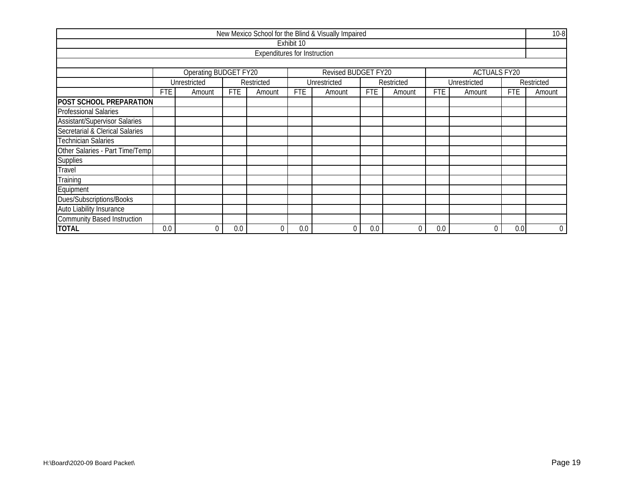|                                      |                                                                                                                                    |                       |     |                                     |            | New Mexico School for the Blind & Visually Impaired |     |            |        |                     |     | $10 - 8$    |
|--------------------------------------|------------------------------------------------------------------------------------------------------------------------------------|-----------------------|-----|-------------------------------------|------------|-----------------------------------------------------|-----|------------|--------|---------------------|-----|-------------|
|                                      |                                                                                                                                    |                       |     |                                     | Exhibit 10 |                                                     |     |            |        |                     |     |             |
|                                      |                                                                                                                                    |                       |     | <b>Expenditures for Instruction</b> |            |                                                     |     |            |        |                     |     |             |
|                                      |                                                                                                                                    |                       |     |                                     |            |                                                     |     |            |        |                     |     |             |
|                                      |                                                                                                                                    | Operating BUDGET FY20 |     |                                     |            | Revised BUDGET FY20                                 |     |            |        | <b>ACTUALS FY20</b> |     |             |
|                                      |                                                                                                                                    | Unrestricted          |     | Restricted                          |            | Unrestricted                                        |     | Restricted |        | Unrestricted        |     | Restricted  |
|                                      | <b>FTE</b><br><b>FTE</b><br><b>FTE</b><br><b>FTE</b><br><b>FTE</b><br><b>FTE</b><br>Amount<br>Amount<br>Amount<br>Amount<br>Amount |                       |     |                                     |            |                                                     |     |            | Amount |                     |     |             |
| POST SCHOOL PREPARATION              |                                                                                                                                    |                       |     |                                     |            |                                                     |     |            |        |                     |     |             |
| <b>Professional Salaries</b>         |                                                                                                                                    |                       |     |                                     |            |                                                     |     |            |        |                     |     |             |
| <b>Assistant/Supervisor Salaries</b> |                                                                                                                                    |                       |     |                                     |            |                                                     |     |            |        |                     |     |             |
| Secretarial & Clerical Salaries      |                                                                                                                                    |                       |     |                                     |            |                                                     |     |            |        |                     |     |             |
| <b>Technician Salaries</b>           |                                                                                                                                    |                       |     |                                     |            |                                                     |     |            |        |                     |     |             |
| Other Salaries - Part Time/Temp      |                                                                                                                                    |                       |     |                                     |            |                                                     |     |            |        |                     |     |             |
| Supplies                             |                                                                                                                                    |                       |     |                                     |            |                                                     |     |            |        |                     |     |             |
| Travel                               |                                                                                                                                    |                       |     |                                     |            |                                                     |     |            |        |                     |     |             |
| Training                             |                                                                                                                                    |                       |     |                                     |            |                                                     |     |            |        |                     |     |             |
| Equipment                            |                                                                                                                                    |                       |     |                                     |            |                                                     |     |            |        |                     |     |             |
| Dues/Subscriptions/Books             |                                                                                                                                    |                       |     |                                     |            |                                                     |     |            |        |                     |     |             |
| Auto Liability Insurance             |                                                                                                                                    |                       |     |                                     |            |                                                     |     |            |        |                     |     |             |
| <b>Community Based Instruction</b>   |                                                                                                                                    |                       |     |                                     |            |                                                     |     |            |        |                     |     |             |
| <b>TOTAL</b>                         | 0.0                                                                                                                                | 0                     | 0.0 | $\mathbf 0$                         | 0.0        | 0                                                   | 0.0 | 0          | 0.0    |                     | 0.0 | $\mathbf 0$ |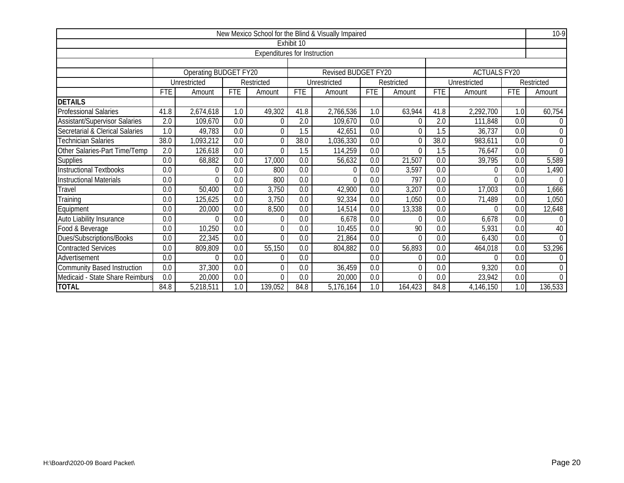|                                      |                  |                              |            |                                     |            | New Mexico School for the Blind & Visually Impaired |                  |            |                  |                     |                  | $10-9$         |
|--------------------------------------|------------------|------------------------------|------------|-------------------------------------|------------|-----------------------------------------------------|------------------|------------|------------------|---------------------|------------------|----------------|
|                                      |                  |                              |            |                                     | Exhibit 10 |                                                     |                  |            |                  |                     |                  |                |
|                                      |                  |                              |            | <b>Expenditures for Instruction</b> |            |                                                     |                  |            |                  |                     |                  |                |
|                                      |                  |                              |            |                                     |            |                                                     |                  |            |                  |                     |                  |                |
|                                      |                  | <b>Operating BUDGET FY20</b> |            |                                     |            | Revised BUDGET FY20                                 |                  |            |                  | <b>ACTUALS FY20</b> |                  |                |
|                                      |                  | Unrestricted                 |            | Restricted                          |            | Unrestricted                                        |                  | Restricted |                  | Unrestricted        |                  | Restricted     |
|                                      | <b>FTE</b>       | Amount                       | <b>FTE</b> | Amount                              | <b>FTE</b> | Amount                                              | <b>FTE</b>       | Amount     | <b>FTE</b>       | Amount              | <b>FTE</b>       | Amount         |
| <b>DETAILS</b>                       |                  |                              |            |                                     |            |                                                     |                  |            |                  |                     |                  |                |
| <b>Professional Salaries</b>         | 41.8             | 2,674,618                    | 1.0        | 49,302                              | 41.8       | 2,766,536                                           | 1.0              | 63,944     | 41.8             | 2,292,700           | 1.0              | 60,754         |
| <b>Assistant/Supervisor Salaries</b> | 2.0              | 109,670                      | 0.0        | 0                                   | 2.0        | 109,670                                             | 0.0              | $\theta$   | 2.0              | 111,848             | 0.0              | 0              |
| Secretarial & Clerical Salaries      | $\overline{1.0}$ | 49,783                       | 0.0        | $\Omega$                            | 1.5        | 42,651                                              | $\overline{0.0}$ | $\theta$   | $\overline{1.5}$ | 36,737              | $\overline{0.0}$ | $\overline{0}$ |
| <b>Technician Salaries</b>           | 38.0             | 1,093,212                    | 0.0        | $\Omega$                            | 38.0       | 1,036,330                                           | $\overline{0.0}$ | $\theta$   | 38.0             | 983,611             | $\overline{0.0}$ | $\mathbf 0$    |
| Other Salaries-Part Time/Temp        | 2.0              | 126,618                      | 0.0        | $\Omega$                            | 1.5        | 114,259                                             | $\overline{0.0}$ | $\Omega$   | 1.5              | 76,647              | $\overline{0.0}$ | $\overline{0}$ |
| <b>Supplies</b>                      | 0.0              | 68,882                       | 0.0        | 17,000                              | 0.0        | 56,632                                              | 0.0              | 21,507     | 0.0              | 39,795              | 0.0              | 5,589          |
| <b>Instructional Textbooks</b>       | 0.0              | $\mathbf 0$                  | 0.0        | 800                                 | 0.0        | $\theta$                                            | 0.0              | 3,597      | 0.0              | $\mathbf 0$         | 0.0              | 1,490          |
| <b>Instructional Materials</b>       | 0.0              | $\Omega$                     | 0.0        | 800                                 | 0.0        | $\Omega$                                            | 0.0              | 797        | 0.0              | $\Omega$            | 0.0              | $\Omega$       |
| Travel                               | 0.0              | 50,400                       | 0.0        | 3,750                               | 0.0        | 42,900                                              | 0.0              | 3,207      | 0.0              | 17,003              | 0.0              | 1,666          |
| Training                             | 0.0              | 125,625                      | 0.0        | 3,750                               | 0.0        | 92,334                                              | 0.0              | 1,050      | 0.0              | 71,489              | 0.0              | 1,050          |
| Equipment                            | 0.0              | 20,000                       | 0.0        | 8,500                               | 0.0        | 14,514                                              | 0.0              | 13,338     | 0.0              | $\Omega$            | 0.0              | 12,648         |
| Auto Liability Insurance             | 0.0              | $\Omega$                     | 0.0        | $\Omega$                            | 0.0        | 6,678                                               | 0.0              | $\Omega$   | 0.0              | 6,678               | 0.0              | $\theta$       |
| Food & Beverage                      | 0.0              | 10,250                       | 0.0        | $\Omega$                            | 0.0        | 10,455                                              | 0.0              | 90         | 0.0              | 5,931               | 0.0              | 40             |
| Dues/Subscriptions/Books             | 0.0              | 22,345                       | 0.0        | $\Omega$                            | 0.0        | 21,864                                              | 0.0              | $\Omega$   | 0.0              | 6,430               | 0.0              | $\Omega$       |
| <b>Contracted Services</b>           | 0.0              | 809,809                      | 0.0        | 55,150                              | 0.0        | 804,882                                             | 0.0              | 56,893     | 0.0              | 464,018             | 0.0              | 53,296         |
| Advertisement                        | 0.0              | $\Omega$                     | 0.0        | 0                                   | 0.0        |                                                     | 0.0              | $\Omega$   | 0.0              | $\Omega$            | 0.0              | $\theta$       |
| <b>Community Based Instruction</b>   | 0.0              | 37,300                       | 0.0        | $\Omega$                            | 0.0        | 36,459                                              | 0.0              | $\Omega$   | 0.0              | 9,320               | 0.0              | 0              |
| Medicaid - State Share Reimburs      | 0.0              | 20,000                       | 0.0        | $\Omega$                            | 0.0        | 20,000                                              | 0.0              | 0          | 0.0              | 23,942              | 0.0              | $\Omega$       |
| <b>TOTAL</b>                         | 84.8             | 5,218,511                    | 1.0        | 139,052                             | 84.8       | 5,176,164                                           | 1.0              | 164,423    | 84.8             | 4,146,150           | 1.0              | 136,533        |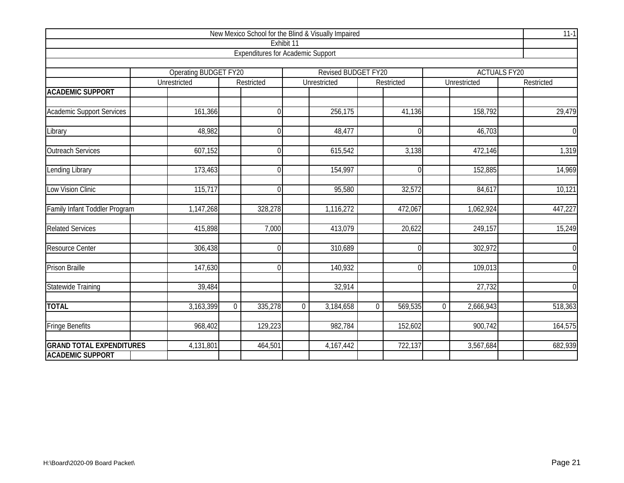|                                  |                                       | New Mexico School for the Blind & Visually Impaired |                |                                     |                |                  |             |                        |                     | $11-1$         |
|----------------------------------|---------------------------------------|-----------------------------------------------------|----------------|-------------------------------------|----------------|------------------|-------------|------------------------|---------------------|----------------|
|                                  |                                       |                                                     | Exhibit 11     |                                     |                |                  |             |                        |                     |                |
|                                  |                                       | <b>Expenditures for Academic Support</b>            |                |                                     |                |                  |             |                        |                     |                |
|                                  |                                       |                                                     |                |                                     |                |                  |             |                        |                     |                |
|                                  | Operating BUDGET FY20<br>Unrestricted | Restricted                                          |                | Revised BUDGET FY20<br>Unrestricted |                | Restricted       |             | Unrestricted           | <b>ACTUALS FY20</b> | Restricted     |
| <b>ACADEMIC SUPPORT</b>          |                                       |                                                     |                |                                     |                |                  |             |                        |                     |                |
| <b>Academic Support Services</b> | 161,366                               |                                                     | $\Omega$       | 256,175                             |                | 41,136           |             | 158,792                |                     | 29,479         |
| Library                          | 48,982                                |                                                     | $\Omega$       | 48,477                              |                | $\mathbf 0$      |             | 46,703                 |                     | $\overline{0}$ |
| <b>Outreach Services</b>         | 607,152                               |                                                     | $\Omega$       | 615,542                             |                | 3,138            |             | 472,146                |                     | 1,319          |
| Lending Library                  | 173,463                               |                                                     | $\overline{0}$ | 154,997                             |                | $\boldsymbol{0}$ |             | 152,885                |                     | 14,969         |
| Low Vision Clinic                | 115,717                               |                                                     | $\Omega$       | 95,580                              |                | 32,572           |             | 84,617                 |                     | 10,121         |
| Family Infant Toddler Program    | 1,147,268                             | 328,278                                             |                | 1,116,272                           |                | 472,067          |             | 1,062,924              |                     | 447,227        |
| <b>Related Services</b>          | 415,898                               | 7,000                                               |                | 413,079                             |                | 20,622           |             | 249,157                |                     | 15,249         |
| <b>Resource Center</b>           | 306,438                               |                                                     | $\overline{0}$ | 310,689                             |                | $\mathbf 0$      |             | $\overline{302}$ , 972 |                     | $\overline{0}$ |
| <b>Prison Braille</b>            | 147,630                               |                                                     | $\Omega$       | 140,932                             |                | $\mathbf 0$      |             | 109,013                |                     | $\overline{0}$ |
| Statewide Training               | 39,484                                |                                                     |                | 32,914                              |                |                  |             | 27,732                 |                     | $\overline{0}$ |
| <b>TOTAL</b>                     | 3,163,399                             | 335,278<br>$\overline{0}$                           | $\overline{0}$ | 3,184,658                           | $\overline{0}$ | 569,535          | $\mathbf 0$ | 2,666,943              |                     | 518,363        |
| <b>Fringe Benefits</b>           | 968,402                               | 129,223                                             |                | 982,784                             |                | 152,602          |             | 900,742                |                     | 164,575        |
| <b>GRAND TOTAL EXPENDITURES</b>  | 4,131,801                             | 464,501                                             |                | 4,167,442                           |                | 722,137          |             | 3,567,684              |                     | 682,939        |
| <b>ACADEMIC SUPPORT</b>          |                                       |                                                     |                |                                     |                |                  |             |                        |                     |                |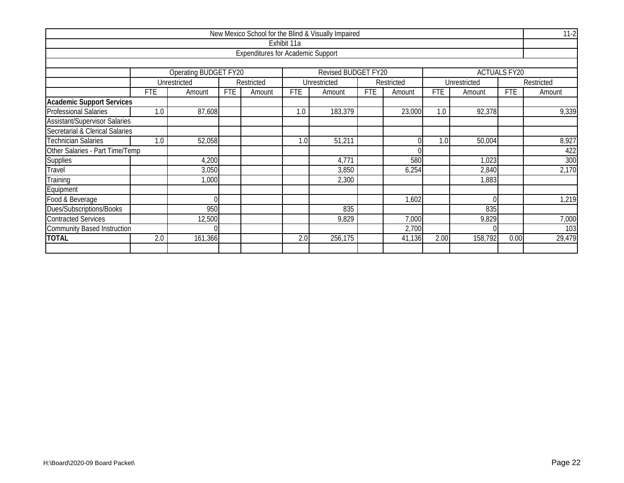|                                      |            |                       |            |                                          |             | New Mexico School for the Blind & Visually Impaired |            |                |            |              |                     | $11-2$     |
|--------------------------------------|------------|-----------------------|------------|------------------------------------------|-------------|-----------------------------------------------------|------------|----------------|------------|--------------|---------------------|------------|
|                                      |            |                       |            |                                          | Exhibit 11a |                                                     |            |                |            |              |                     |            |
|                                      |            |                       |            | <b>Expenditures for Academic Support</b> |             |                                                     |            |                |            |              |                     |            |
|                                      |            |                       |            |                                          |             |                                                     |            |                |            |              |                     |            |
|                                      |            | Operating BUDGET FY20 |            |                                          |             | Revised BUDGET FY20                                 |            |                |            |              | <b>ACTUALS FY20</b> |            |
|                                      |            | Unrestricted          |            | Restricted                               |             | Unrestricted                                        |            | Restricted     |            | Unrestricted |                     | Restricted |
|                                      | <b>FTE</b> | Amount                | <b>FTE</b> | Amount                                   | <b>FTE</b>  | Amount                                              | <b>FTE</b> | Amount         | <b>FTE</b> | Amount       | <b>FTE</b>          | Amount     |
| <b>Academic Support Services</b>     |            |                       |            |                                          |             |                                                     |            |                |            |              |                     |            |
| <b>Professional Salaries</b>         | 1.0        | 87,608                |            |                                          | 1.0         | 183,379                                             |            | 23,000         | 1.0        | 92,378       |                     | 9,339      |
| <b>Assistant/Supervisor Salaries</b> |            |                       |            |                                          |             |                                                     |            |                |            |              |                     |            |
| Secretarial & Clerical Salaries      |            |                       |            |                                          |             |                                                     |            |                |            |              |                     |            |
| <b>Technician Salaries</b>           | 1.0        | 52,058                |            |                                          | 1.0         | 51,211                                              |            | $\overline{0}$ | 1.0        | 50,004       |                     | 8,927      |
| Other Salaries - Part Time/Temp      |            |                       |            |                                          |             |                                                     |            | U              |            |              |                     | 422        |
| <b>Supplies</b>                      |            | 4,200                 |            |                                          |             | 4,771                                               |            | 580            |            | 1,023        |                     | 300        |
| Travel                               |            | 3,050                 |            |                                          |             | 3,850                                               |            | 6,254          |            | 2,840        |                     | 2,170      |
| Training                             |            | 1,000                 |            |                                          |             | 2,300                                               |            |                |            | 1,883        |                     |            |
| Equipment                            |            |                       |            |                                          |             |                                                     |            |                |            |              |                     |            |
| Food & Beverage                      |            |                       |            |                                          |             |                                                     |            | 1,602          |            | $\Omega$     |                     | 1,219      |
| Dues/Subscriptions/Books             |            | 950                   |            |                                          |             | 835                                                 |            |                |            | 835          |                     |            |
| <b>Contracted Services</b>           |            | 12,500                |            |                                          |             | 9,829                                               |            | 7,000          |            | 9,829        |                     | 7,000      |
| <b>Community Based Instruction</b>   |            |                       |            |                                          |             |                                                     |            | 2,700          |            |              |                     | 103        |
| <b>TOTAL</b>                         | 2.0        | 161,366               |            |                                          | 2.0         | 256,175                                             |            | 41,136         | 2.00       | 158,792      | 0.00                | 29,479     |
|                                      |            |                       |            |                                          |             |                                                     |            |                |            |              |                     |            |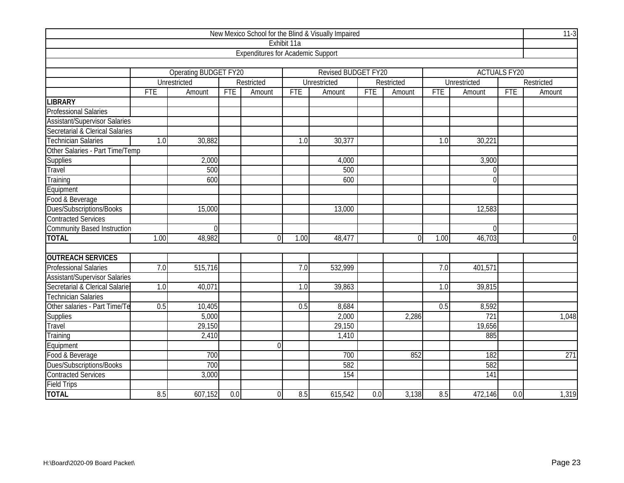|                                      |            |                              |            |                                          |                  | New Mexico School for the Blind & Visually Impaired |            |                |            |              |                     | $11-3$         |
|--------------------------------------|------------|------------------------------|------------|------------------------------------------|------------------|-----------------------------------------------------|------------|----------------|------------|--------------|---------------------|----------------|
|                                      |            |                              |            |                                          | Exhibit 11a      |                                                     |            |                |            |              |                     |                |
|                                      |            |                              |            | <b>Expenditures for Academic Support</b> |                  |                                                     |            |                |            |              |                     |                |
|                                      |            |                              |            |                                          |                  |                                                     |            |                |            |              |                     |                |
|                                      |            | <b>Operating BUDGET FY20</b> |            |                                          |                  | Revised BUDGET FY20                                 |            |                |            |              | <b>ACTUALS FY20</b> |                |
|                                      |            | Unrestricted                 |            | Restricted                               |                  | Unrestricted                                        |            | Restricted     |            | Unrestricted |                     | Restricted     |
|                                      | <b>FTE</b> | Amount                       | <b>FTE</b> | Amount                                   | <b>FTE</b>       | Amount                                              | <b>FTE</b> | Amount         | <b>FTE</b> | Amount       | <b>FTE</b>          | Amount         |
| <b>LIBRARY</b>                       |            |                              |            |                                          |                  |                                                     |            |                |            |              |                     |                |
| <b>Professional Salaries</b>         |            |                              |            |                                          |                  |                                                     |            |                |            |              |                     |                |
| <b>Assistant/Supervisor Salaries</b> |            |                              |            |                                          |                  |                                                     |            |                |            |              |                     |                |
| Secretarial & Clerical Salaries      |            |                              |            |                                          |                  |                                                     |            |                |            |              |                     |                |
| <b>Technician Salaries</b>           | 1.0        | 30,882                       |            |                                          | $\overline{1.0}$ | 30,377                                              |            |                | 1.0        | 30,221       |                     |                |
| Other Salaries - Part Time/Temp      |            |                              |            |                                          |                  |                                                     |            |                |            |              |                     |                |
| Supplies                             |            | 2,000                        |            |                                          |                  | 4,000                                               |            |                |            | 3,900        |                     |                |
| Travel                               |            | 500                          |            |                                          |                  | 500                                                 |            |                |            | $\Omega$     |                     |                |
| Training                             |            | 600                          |            |                                          |                  | 600                                                 |            |                |            | $\Omega$     |                     |                |
| Equipment                            |            |                              |            |                                          |                  |                                                     |            |                |            |              |                     |                |
| Food & Beverage                      |            |                              |            |                                          |                  |                                                     |            |                |            |              |                     |                |
| Dues/Subscriptions/Books             |            | 15,000                       |            |                                          |                  | 13,000                                              |            |                |            | 12,583       |                     |                |
| <b>Contracted Services</b>           |            |                              |            |                                          |                  |                                                     |            |                |            |              |                     |                |
| <b>Community Based Instruction</b>   |            | $\Omega$                     |            |                                          |                  |                                                     |            |                |            | $\Omega$     |                     |                |
| <b>TOTAL</b>                         | 1.00       | 48,982                       |            | $\Omega$                                 | 1.00             | 48,477                                              |            | $\overline{0}$ | 1.00       | 46,703       |                     | $\overline{0}$ |
|                                      |            |                              |            |                                          |                  |                                                     |            |                |            |              |                     |                |
| <b>OUTREACH SERVICES</b>             |            |                              |            |                                          |                  |                                                     |            |                |            |              |                     |                |
| <b>Professional Salaries</b>         | 7.0        | 515,716                      |            |                                          | 7.0              | 532,999                                             |            |                | 7.0        | 401,571      |                     |                |
| <b>Assistant/Supervisor Salaries</b> |            |                              |            |                                          |                  |                                                     |            |                |            |              |                     |                |
| Secretarial & Clerical Salaries      | 1.0        | 40,071                       |            |                                          | 1.0              | $\overline{39,863}$                                 |            |                | 1.0        | 39,815       |                     |                |
| <b>Technician Salaries</b>           |            |                              |            |                                          |                  |                                                     |            |                |            |              |                     |                |
| Other salaries - Part Time/Te        | 0.5        | 10,405                       |            |                                          | 0.5              | 8,684                                               |            |                | 0.5        | 8,592        |                     |                |
| <b>Supplies</b>                      |            | 5,000                        |            |                                          |                  | 2,000                                               |            | 2,286          |            | 721          |                     | 1,048          |
| Travel                               |            | 29,150                       |            |                                          |                  | 29,150                                              |            |                |            | 19,656       |                     |                |
| Training                             |            | 2,410                        |            |                                          |                  | 1,410                                               |            |                |            | 885          |                     |                |
| Equipment                            |            |                              |            | $\Omega$                                 |                  |                                                     |            |                |            |              |                     |                |
| Food & Beverage                      |            | 700                          |            |                                          |                  | 700                                                 |            | 852            |            | 182          |                     | 271            |
| Dues/Subscriptions/Books             |            | 700                          |            |                                          |                  | 582                                                 |            |                |            | 582          |                     |                |
| <b>Contracted Services</b>           |            | 3,000                        |            |                                          |                  | 154                                                 |            |                |            | 141          |                     |                |
| <b>Field Trips</b>                   |            |                              |            |                                          |                  |                                                     |            |                |            |              |                     |                |
| <b>TOTAL</b>                         | 8.5        | 607,152                      | 0.0        | $\Omega$                                 | 8.5              | 615,542                                             | 0.0        | 3,138          | 8.5        | 472,146      | 0.0                 | 1,319          |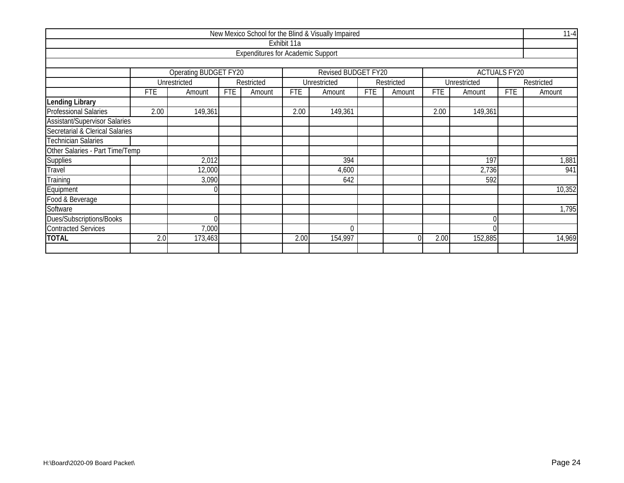|                                      |                   |                       |            |                                          |             | New Mexico School for the Blind & Visually Impaired |            |            |            |              |                     | $11 - 4$   |
|--------------------------------------|-------------------|-----------------------|------------|------------------------------------------|-------------|-----------------------------------------------------|------------|------------|------------|--------------|---------------------|------------|
|                                      |                   |                       |            |                                          | Exhibit 11a |                                                     |            |            |            |              |                     |            |
|                                      |                   |                       |            | <b>Expenditures for Academic Support</b> |             |                                                     |            |            |            |              |                     |            |
|                                      |                   |                       |            |                                          |             |                                                     |            |            |            |              |                     |            |
|                                      |                   | Operating BUDGET FY20 |            |                                          |             | Revised BUDGET FY20                                 |            |            |            |              | <b>ACTUALS FY20</b> |            |
|                                      |                   | Unrestricted          |            | Restricted                               |             | Unrestricted                                        |            | Restricted |            | Unrestricted |                     | Restricted |
|                                      | <b>FTE</b>        | Amount                | <b>FTE</b> | Amount                                   | <b>FTE</b>  | Amount                                              | <b>FTE</b> | Amount     | <b>FTE</b> | Amount       | <b>FTE</b>          | Amount     |
| Lending Library                      |                   |                       |            |                                          |             |                                                     |            |            |            |              |                     |            |
| <b>Professional Salaries</b>         | 2.00              | 149,361               |            |                                          | 2.00        | 149,361                                             |            |            | 2.00       | 149,361      |                     |            |
| <b>Assistant/Supervisor Salaries</b> |                   |                       |            |                                          |             |                                                     |            |            |            |              |                     |            |
| Secretarial & Clerical Salaries      |                   |                       |            |                                          |             |                                                     |            |            |            |              |                     |            |
| <b>Technician Salaries</b>           |                   |                       |            |                                          |             |                                                     |            |            |            |              |                     |            |
| Other Salaries - Part Time/Temp      |                   |                       |            |                                          |             |                                                     |            |            |            |              |                     |            |
| Supplies                             |                   | 2,012                 |            |                                          |             | 394                                                 |            |            |            | 197          |                     | 1,881      |
| Travel                               |                   | 12,000                |            |                                          |             | 4,600                                               |            |            |            | 2,736        |                     | 941        |
| Training                             |                   | 3,090                 |            |                                          |             | 642                                                 |            |            |            | 592          |                     |            |
| Equipment                            |                   |                       |            |                                          |             |                                                     |            |            |            |              |                     | 10,352     |
| Food & Beverage                      |                   |                       |            |                                          |             |                                                     |            |            |            |              |                     |            |
| Software                             |                   |                       |            |                                          |             |                                                     |            |            |            |              |                     | 1,795      |
| Dues/Subscriptions/Books             |                   |                       |            |                                          |             |                                                     |            |            |            |              |                     |            |
| <b>Contracted Services</b>           | 7,000<br>$\Omega$ |                       |            |                                          |             |                                                     |            |            |            |              |                     |            |
| <b>TOTAL</b>                         | 2.0               | 173,463               |            |                                          | 2.00        | 154,997                                             |            | $\Omega$   | 2.00       | 152,885      |                     | 14,969     |
|                                      |                   |                       |            |                                          |             |                                                     |            |            |            |              |                     |            |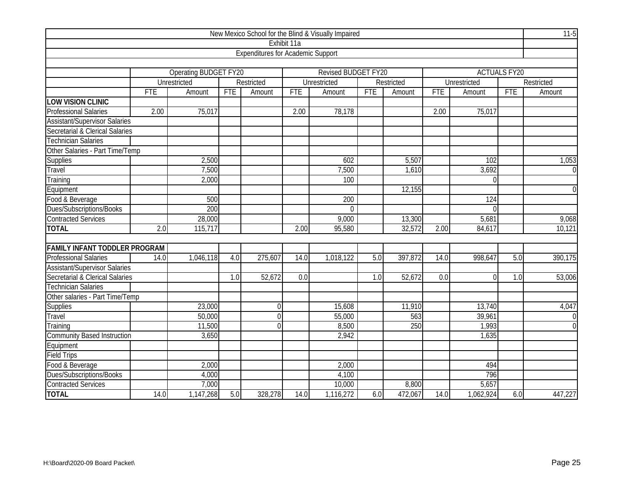| New Mexico School for the Blind & Visually Impaired |            |                       |            |                                          |             |                     |            |            |            |              |                     |                |
|-----------------------------------------------------|------------|-----------------------|------------|------------------------------------------|-------------|---------------------|------------|------------|------------|--------------|---------------------|----------------|
|                                                     |            |                       |            |                                          | Exhibit 11a |                     |            |            |            |              |                     |                |
|                                                     |            |                       |            | <b>Expenditures for Academic Support</b> |             |                     |            |            |            |              |                     |                |
|                                                     |            |                       |            |                                          |             |                     |            |            |            |              |                     |                |
|                                                     |            | Operating BUDGET FY20 |            |                                          |             | Revised BUDGET FY20 |            |            |            |              | <b>ACTUALS FY20</b> |                |
|                                                     |            | Unrestricted          |            | Restricted                               |             | Unrestricted        |            | Restricted |            | Unrestricted |                     | Restricted     |
|                                                     | <b>FTE</b> | Amount                | <b>FTE</b> | Amount                                   | <b>FTE</b>  | Amount              | <b>FTE</b> | Amount     | <b>FTE</b> | Amount       | <b>FTE</b>          | Amount         |
| <b>LOW VISION CLINIC</b>                            |            |                       |            |                                          |             |                     |            |            |            |              |                     |                |
| <b>Professional Salaries</b>                        | 2.00       | 75,017                |            |                                          | 2.00        | 78,178              |            |            | 2.00       | 75,017       |                     |                |
| <b>Assistant/Supervisor Salaries</b>                |            |                       |            |                                          |             |                     |            |            |            |              |                     |                |
| Secretarial & Clerical Salaries                     |            |                       |            |                                          |             |                     |            |            |            |              |                     |                |
| <b>Technician Salaries</b>                          |            |                       |            |                                          |             |                     |            |            |            |              |                     |                |
| Other Salaries - Part Time/Temp                     |            |                       |            |                                          |             |                     |            |            |            |              |                     |                |
| <b>Supplies</b>                                     |            | 2,500                 |            |                                          |             | 602                 |            | 5,507      |            | 102          |                     | 1,053          |
| Travel                                              |            | 7,500                 |            |                                          |             | 7,500               |            | 1,610      |            | 3,692        |                     | $\overline{0}$ |
| Training                                            |            | 2,000                 |            |                                          |             | 100                 |            |            |            | 0            |                     |                |
| Equipment                                           |            |                       |            |                                          |             |                     |            | 12,155     |            |              |                     | $\overline{0}$ |
| Food & Beverage                                     |            | 500                   |            |                                          |             | 200                 |            |            |            | 124          |                     |                |
| Dues/Subscriptions/Books                            |            | 200                   |            |                                          |             | $\overline{0}$      |            |            |            | 0            |                     |                |
| Contracted Services                                 |            | 28,000                |            |                                          |             | 9,000               |            | 13,300     |            | 5,681        |                     | 9,068          |
| <b>TOTAL</b>                                        | 2.0        | 115,717               |            |                                          | 2.00        | 95,580              |            | 32,572     | 2.00       | 84,617       |                     | 10,121         |
|                                                     |            |                       |            |                                          |             |                     |            |            |            |              |                     |                |
| <b>FAMILY INFANT TODDLER PROGRAM</b>                |            |                       |            |                                          |             |                     |            |            |            |              |                     |                |
| <b>Professional Salaries</b>                        | 14.0       | 1,046,118             | 4.0        | 275,607                                  | 14.0        | 1,018,122           | 5.0        | 397,872    | 14.0       | 998,647      | 5.0                 | 390,175        |
| <b>Assistant/Supervisor Salaries</b>                |            |                       |            |                                          |             |                     |            |            |            |              |                     |                |
| Secretarial & Clerical Salaries                     |            |                       | 1.0        | 52,672                                   | 0.0         |                     | 1.0        | 52,672     | 0.0        | $\Omega$     | 1.0                 | 53,006         |
| <b>Technician Salaries</b>                          |            |                       |            |                                          |             |                     |            |            |            |              |                     |                |
| Other salaries - Part Time/Temp                     |            |                       |            |                                          |             |                     |            |            |            |              |                     |                |
| Supplies                                            |            | 23,000                |            | $\overline{0}$                           |             | 15,608              |            | 11,910     |            | 13,740       |                     | 4,047          |
| Travel                                              |            | 50,000                |            | $\Omega$                                 |             | 55,000              |            | 563        |            | 39,961       |                     | $\overline{0}$ |
| Training                                            |            | 11,500                |            | $\Omega$                                 |             | 8,500               |            | 250        |            | 1,993        |                     | $\overline{0}$ |
| <b>Community Based Instruction</b>                  |            | 3,650                 |            |                                          |             | 2,942               |            |            |            | 1,635        |                     |                |
| Equipment                                           |            |                       |            |                                          |             |                     |            |            |            |              |                     |                |
| <b>Field Trips</b>                                  |            |                       |            |                                          |             |                     |            |            |            |              |                     |                |
| Food & Beverage                                     |            | 2,000                 |            |                                          |             | 2,000               |            |            |            | 494          |                     |                |
| Dues/Subscriptions/Books                            |            | 4,000                 |            |                                          |             | 4,100               |            |            |            | 796          |                     |                |
| <b>Contracted Services</b>                          |            | 7,000                 |            |                                          |             | 10,000              |            | 8,800      |            | 5,657        |                     |                |
| <b>TOTAL</b>                                        | 14.0       | 1,147,268             | 5.0        | 328,278                                  | 14.0        | 1,116,272           | 6.0        | 472,067    | 14.0       | 1,062,924    | 6.0                 | 447,227        |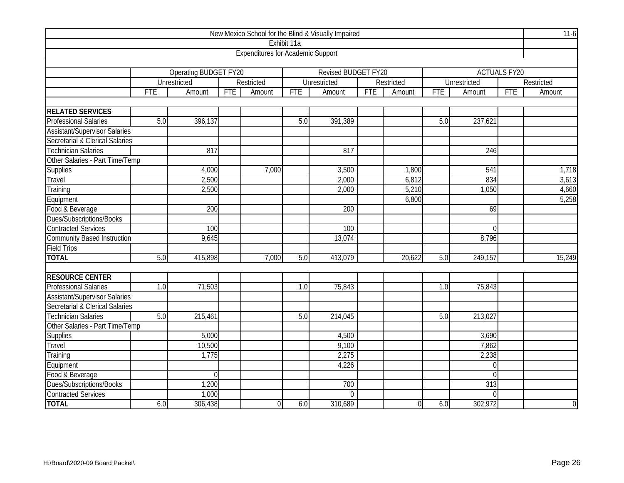| New Mexico School for the Blind & Visually Impaired |            |                              |            |                                          |                  |                     |     |             |            |                  |                     |                |
|-----------------------------------------------------|------------|------------------------------|------------|------------------------------------------|------------------|---------------------|-----|-------------|------------|------------------|---------------------|----------------|
|                                                     |            |                              |            |                                          | Exhibit 11a      |                     |     |             |            |                  |                     |                |
|                                                     |            |                              |            | <b>Expenditures for Academic Support</b> |                  |                     |     |             |            |                  |                     |                |
|                                                     |            |                              |            |                                          |                  |                     |     |             |            |                  |                     |                |
|                                                     |            | <b>Operating BUDGET FY20</b> |            |                                          |                  | Revised BUDGET FY20 |     |             |            |                  | <b>ACTUALS FY20</b> |                |
|                                                     |            | Unrestricted                 |            | Restricted                               |                  | Unrestricted        |     | Restricted  |            | Unrestricted     |                     | Restricted     |
|                                                     | <b>FTE</b> | Amount                       | <b>FTE</b> | Amount                                   | <b>FTE</b>       | Amount              | FTE | Amount      | <b>FTE</b> | Amount           | <b>FTE</b>          | Amount         |
|                                                     |            |                              |            |                                          |                  |                     |     |             |            |                  |                     |                |
| <b>RELATED SERVICES</b>                             |            |                              |            |                                          |                  |                     |     |             |            |                  |                     |                |
| <b>Professional Salaries</b>                        | 5.0        | 396,137                      |            |                                          | 5.0              | 391,389             |     |             | 5.0        | 237,621          |                     |                |
| <b>Assistant/Supervisor Salaries</b>                |            |                              |            |                                          |                  |                     |     |             |            |                  |                     |                |
| Secretarial & Clerical Salaries                     |            |                              |            |                                          |                  |                     |     |             |            |                  |                     |                |
| <b>Technician Salaries</b>                          |            | 817                          |            |                                          |                  | 817                 |     |             |            | 246              |                     |                |
| Other Salaries - Part Time/Temp                     |            |                              |            |                                          |                  |                     |     |             |            |                  |                     |                |
| Supplies                                            |            | 4,000                        |            | 7,000                                    |                  | 3,500               |     | 1,800       |            | 541              |                     | 1,718          |
| Travel                                              |            | 2,500                        |            |                                          |                  | 2,000               |     | 6,812       |            | 834              |                     | 3,613          |
| Training                                            |            | 2,500                        |            |                                          |                  | 2,000               |     | 5,210       |            | 1,050            |                     | 4,660          |
| Equipment                                           |            |                              |            |                                          |                  |                     |     | 6,800       |            |                  |                     | 5,258          |
| Food & Beverage                                     |            | 200                          |            |                                          |                  | 200                 |     |             |            | 69               |                     |                |
| Dues/Subscriptions/Books                            |            |                              |            |                                          |                  |                     |     |             |            |                  |                     |                |
| <b>Contracted Services</b>                          |            | 100                          |            |                                          |                  | 100                 |     |             |            | $\Omega$         |                     |                |
| <b>Community Based Instruction</b>                  |            | 9,645                        |            |                                          |                  | 13,074              |     |             |            | 8,796            |                     |                |
| <b>Field Trips</b>                                  |            |                              |            |                                          |                  |                     |     |             |            |                  |                     |                |
| <b>TOTAL</b>                                        | 5.0        | 415,898                      |            | 7,000                                    | 5.0              | 413,079             |     | 20,622      | 5.0        | 249,157          |                     | 15,249         |
| <b>RESOURCE CENTER</b>                              |            |                              |            |                                          |                  |                     |     |             |            |                  |                     |                |
| <b>Professional Salaries</b>                        | 1.0        | 71,503                       |            |                                          | $\overline{1.0}$ | 75,843              |     |             | 1.0        | 75,843           |                     |                |
| <b>Assistant/Supervisor Salaries</b>                |            |                              |            |                                          |                  |                     |     |             |            |                  |                     |                |
| Secretarial & Clerical Salaries                     |            |                              |            |                                          |                  |                     |     |             |            |                  |                     |                |
| <b>Technician Salaries</b>                          | 5.0        | 215,461                      |            |                                          | 5.0              | 214,045             |     |             | 5.0        | 213,027          |                     |                |
| Other Salaries - Part Time/Temp                     |            |                              |            |                                          |                  |                     |     |             |            |                  |                     |                |
|                                                     |            | 5,000                        |            |                                          |                  | 4,500               |     |             |            | 3,690            |                     |                |
| <b>Supplies</b><br>Travel                           |            | 10,500                       |            |                                          |                  | 9,100               |     |             |            | 7,862            |                     |                |
| Training                                            |            | 1,775                        |            |                                          |                  | 2,275               |     |             |            | 2,238            |                     |                |
| Equipment                                           |            |                              |            |                                          |                  | 4,226               |     |             |            | $\boldsymbol{0}$ |                     |                |
|                                                     |            | $\Omega$                     |            |                                          |                  |                     |     |             |            | $\overline{0}$   |                     |                |
| Food & Beverage<br>Dues/Subscriptions/Books         |            | 1,200                        |            |                                          |                  | 700                 |     |             |            | 313              |                     |                |
| <b>Contracted Services</b>                          |            | 1,000                        |            |                                          |                  | $\overline{0}$      |     |             |            | $\mathbf 0$      |                     |                |
| <b>TOTAL</b>                                        |            |                              |            |                                          |                  |                     |     |             |            |                  |                     |                |
|                                                     | 6.0        | 306,438                      |            | $\Omega$                                 | 6.0              | 310,689             |     | $\mathbf 0$ | 6.0        | 302,972          |                     | $\overline{0}$ |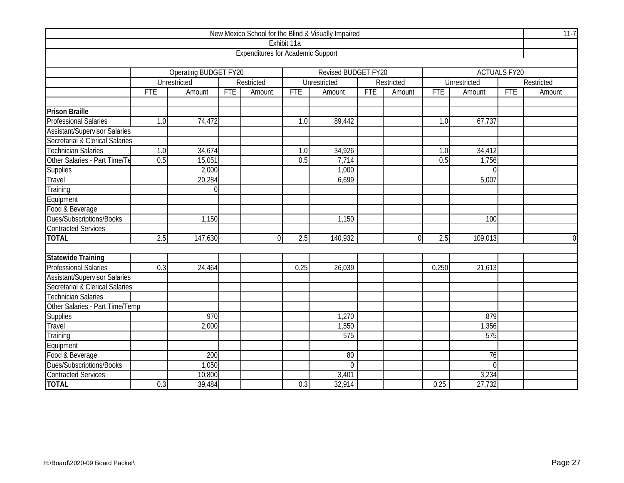| New Mexico School for the Blind & Visually Impaired |                          |                       |            |                                          |                  |                     |            |            |            |                     |                     |                |
|-----------------------------------------------------|--------------------------|-----------------------|------------|------------------------------------------|------------------|---------------------|------------|------------|------------|---------------------|---------------------|----------------|
|                                                     |                          |                       |            |                                          | Exhibit 11a      |                     |            |            |            |                     |                     |                |
|                                                     |                          |                       |            | <b>Expenditures for Academic Support</b> |                  |                     |            |            |            |                     |                     |                |
|                                                     |                          |                       |            |                                          |                  |                     |            |            |            |                     |                     |                |
|                                                     |                          | Operating BUDGET FY20 |            |                                          |                  | Revised BUDGET FY20 |            |            |            |                     | <b>ACTUALS FY20</b> |                |
|                                                     |                          | Unrestricted          |            | Restricted                               |                  | Unrestricted        |            | Restricted |            | <b>Unrestricted</b> |                     | Restricted     |
|                                                     | <b>FTE</b>               | Amount                | <b>FTE</b> | Amount                                   | <b>FTE</b>       | Amount              | <b>FTE</b> | Amount     | <b>FTE</b> | Amount              | <b>FTE</b>          | Amount         |
|                                                     |                          |                       |            |                                          |                  |                     |            |            |            |                     |                     |                |
| <b>Prison Braille</b>                               |                          |                       |            |                                          |                  |                     |            |            |            |                     |                     |                |
| <b>Professional Salaries</b>                        | 1.0                      | 74,472                |            |                                          | $\overline{1.0}$ | 89,442              |            |            | 1.0        | 67,737              |                     |                |
| <b>Assistant/Supervisor Salaries</b>                |                          |                       |            |                                          |                  |                     |            |            |            |                     |                     |                |
| Secretarial & Clerical Salaries                     |                          |                       |            |                                          |                  |                     |            |            |            |                     |                     |                |
| <b>Technician Salaries</b>                          | 1.0                      | 34,674                |            |                                          | 1.0              | 34,926              |            |            | 1.0        | 34,412              |                     |                |
| Other Salaries - Part Time/Te                       | 0.5                      | 15,051                |            |                                          | 0.5              | 7,714               |            |            | 0.5        | 1,756               |                     |                |
| <b>Supplies</b>                                     |                          | 2,000                 |            |                                          |                  | 1,000               |            |            |            | $\overline{0}$      |                     |                |
| Travel                                              | 20,284<br>6,699<br>5,007 |                       |            |                                          |                  |                     |            |            |            |                     |                     |                |
| Training                                            | $\Omega$                 |                       |            |                                          |                  |                     |            |            |            |                     |                     |                |
| Equipment                                           |                          |                       |            |                                          |                  |                     |            |            |            |                     |                     |                |
| Food & Beverage                                     |                          |                       |            |                                          |                  |                     |            |            |            |                     |                     |                |
| Dues/Subscriptions/Books                            |                          | 1,150                 |            |                                          |                  | 1,150               |            |            |            | 100                 |                     |                |
| <b>Contracted Services</b>                          |                          |                       |            |                                          |                  |                     |            |            |            |                     |                     |                |
| <b>TOTAL</b>                                        | 2.5                      | 147,630               |            | $\Omega$                                 | $\overline{2.5}$ | 140,932             |            | $\theta$   | 2.5        | 109,013             |                     | $\overline{0}$ |
|                                                     |                          |                       |            |                                          |                  |                     |            |            |            |                     |                     |                |
| <b>Statewide Training</b>                           |                          |                       |            |                                          |                  |                     |            |            |            |                     |                     |                |
| <b>Professional Salaries</b>                        | 0.3                      | 24,464                |            |                                          | 0.25             | 26,039              |            |            | 0.250      | 21,613              |                     |                |
| Assistant/Supervisor Salaries                       |                          |                       |            |                                          |                  |                     |            |            |            |                     |                     |                |
| Secretarial & Clerical Salaries                     |                          |                       |            |                                          |                  |                     |            |            |            |                     |                     |                |
| <b>Technician Salaries</b>                          |                          |                       |            |                                          |                  |                     |            |            |            |                     |                     |                |
| Other Salaries - Part Time/Temp                     |                          |                       |            |                                          |                  |                     |            |            |            |                     |                     |                |
| Supplies                                            |                          | 970                   |            |                                          |                  | 1,270               |            |            |            | 879                 |                     |                |
| Travel                                              |                          | 2,000                 |            |                                          |                  | 1,550               |            |            |            | 1,356               |                     |                |
| Training                                            |                          |                       |            |                                          |                  | 575                 |            |            |            | 575                 |                     |                |
| Equipment                                           |                          |                       |            |                                          |                  |                     |            |            |            |                     |                     |                |
| Food & Beverage                                     |                          | 200                   |            |                                          |                  | 80                  |            |            |            | $\overline{76}$     |                     |                |
| Dues/Subscriptions/Books                            |                          | 1,050                 |            |                                          |                  | $\overline{0}$      |            |            |            | $\overline{0}$      |                     |                |
| <b>Contracted Services</b>                          |                          | 10,800                |            |                                          |                  | 3,401               |            |            |            | 3,234               |                     |                |
| <b>TOTAL</b>                                        | 0.3                      | 39,484                |            |                                          | 0.3              | 32,914              |            |            | 0.25       | 27,732              |                     |                |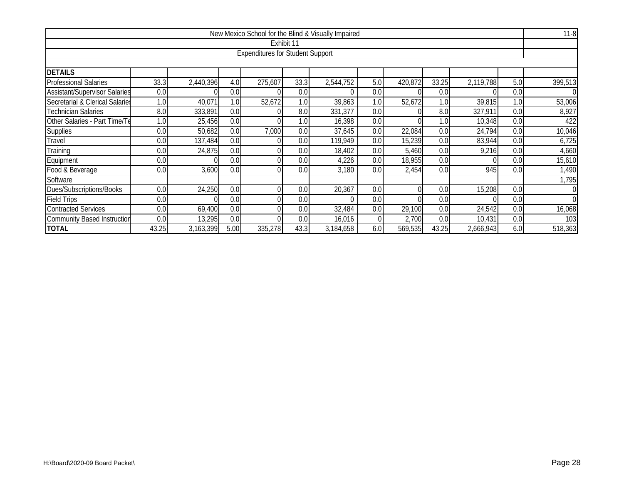| New Mexico School for the Blind & Visually Impaired                                                               |       |           |      |                                         |            |           |     |          |       |           |     |                |  |
|-------------------------------------------------------------------------------------------------------------------|-------|-----------|------|-----------------------------------------|------------|-----------|-----|----------|-------|-----------|-----|----------------|--|
|                                                                                                                   |       |           |      |                                         | Exhibit 11 |           |     |          |       |           |     |                |  |
|                                                                                                                   |       |           |      | <b>Expenditures for Student Support</b> |            |           |     |          |       |           |     |                |  |
|                                                                                                                   |       |           |      |                                         |            |           |     |          |       |           |     |                |  |
| <b>DETAILS</b>                                                                                                    |       |           |      |                                         |            |           |     |          |       |           |     |                |  |
| <b>Professional Salaries</b>                                                                                      | 33.3  | 2,440,396 | 4.0  | 275,607                                 | 33.3       | 2,544,752 | 5.0 | 420,872  | 33.25 | 2,119,788 | 5.0 | 399,513        |  |
| <b>Assistant/Supervisor Salaries</b>                                                                              | 0.0   |           | 0.0  |                                         | 0.0        |           | 0.0 |          | 0.0   |           | 0.0 | $\overline{0}$ |  |
| Secretarial & Clerical Salaries                                                                                   | 1.0   | 40,071    | 1.0  | 52,672                                  | 1.0        | 39,863    | 1.0 | 52,672   | 1.0   | 39,815    | 1.0 | 53,006         |  |
| <b>Technician Salaries</b>                                                                                        | 8.0   | 333,891   | 0.0  |                                         | 8.0        | 331,377   | 0.0 |          | 8.0   | 327,911   | 0.0 | 8,927          |  |
| Other Salaries - Part Time/Te<br>25,456<br>16,398<br>10,348<br>1.0<br>1.0<br>0.0<br>$\Omega$<br>0.0<br>0.0<br>1.0 |       |           |      |                                         |            |           |     |          |       |           |     |                |  |
| 22,084<br>24,794<br>Supplies<br>50,682<br>7,000<br>0.0<br>37,645<br>0.0<br>0.0<br>0.0<br>0.0<br>0.0               |       |           |      |                                         |            |           |     |          |       |           |     |                |  |
| Travel                                                                                                            | 0.0   | 137,484   | 0.0  |                                         | 0.0        | 119,949   | 0.0 | 15,239   | 0.0   | 83,944    | 0.0 | 6,725          |  |
| Training                                                                                                          | 0.0   | 24,875    | 0.0  |                                         | 0.0        | 18,402    | 0.0 | 5,460    | 0.0   | 9,216     | 0.0 | 4,660          |  |
| Equipment                                                                                                         | 0.0   |           | 0.0  |                                         | 0.0        | 4,226     | 0.0 | 18,955   | 0.0   |           | 0.0 | 15,610         |  |
| Food & Beverage                                                                                                   | 0.0   | 3,600     | 0.0  |                                         | 0.0        | 3,180     | 0.0 | 2,454    | 0.0   | 945       | 0.0 | 1,490          |  |
| Software                                                                                                          |       |           |      |                                         |            |           |     |          |       |           |     | 1,795          |  |
| Dues/Subscriptions/Books                                                                                          | 0.0   | 24,250    | 0.0  |                                         | 0.0        | 20,367    | 0.0 | $\Omega$ | 0.0   | 15,208    | 0.0 | 0              |  |
| <b>Field Trips</b>                                                                                                | 0.0   |           | 0.0  |                                         | 0.0        |           | 0.0 |          | 0.0   |           | 0.0 | $\Omega$       |  |
| <b>Contracted Services</b><br>69,400<br>32,484<br>24,542<br>29,100<br>0.0<br>0.0<br>0.0<br>0.0<br>0.0<br>0.0      |       |           |      |                                         |            |           |     |          |       |           |     | 16,068         |  |
| 13,295<br>2,700<br><b>Community Based Instruction</b><br>0.0<br>0.0<br>0.0<br>16,016<br>0.0<br>10,431<br>0.0      |       |           |      |                                         |            |           |     |          |       |           |     | 103            |  |
| <b>TOTAL</b>                                                                                                      | 43.25 | 3,163,399 | 5.00 | 335,278                                 | 43.3       | 3,184,658 | 6.0 | 569,535  | 43.25 | 2,666,943 | 6.0 | 518,363        |  |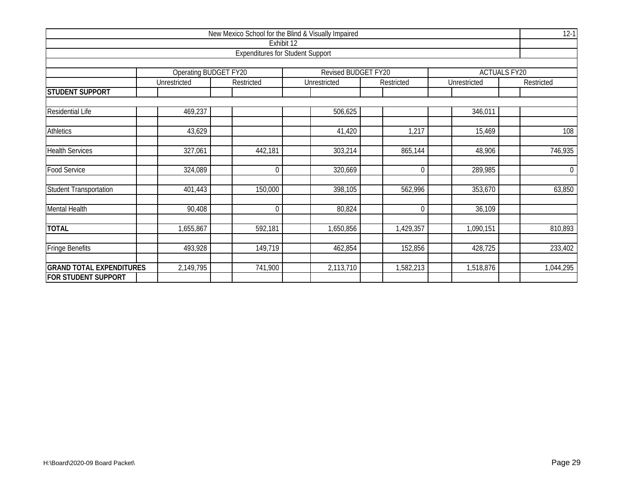| New Mexico School for the Blind & Visually Impaired |                       |                                         |                     |            |              |                     |  |  |  |  |  |  |
|-----------------------------------------------------|-----------------------|-----------------------------------------|---------------------|------------|--------------|---------------------|--|--|--|--|--|--|
|                                                     |                       | Exhibit 12                              |                     |            |              |                     |  |  |  |  |  |  |
|                                                     |                       | <b>Expenditures for Student Support</b> |                     |            |              |                     |  |  |  |  |  |  |
|                                                     | Operating BUDGET FY20 |                                         | Revised BUDGET FY20 |            |              | <b>ACTUALS FY20</b> |  |  |  |  |  |  |
|                                                     | Unrestricted          | Restricted                              | Unrestricted        | Restricted | Unrestricted | Restricted          |  |  |  |  |  |  |
| <b>STUDENT SUPPORT</b>                              |                       |                                         |                     |            |              |                     |  |  |  |  |  |  |
|                                                     |                       |                                         |                     |            |              |                     |  |  |  |  |  |  |
| <b>Residential Life</b>                             | 469,237               |                                         | 506,625             |            | 346,011      |                     |  |  |  |  |  |  |
| <b>Athletics</b>                                    | 43,629                |                                         | 41,420              | 1,217      | 15,469       | 108                 |  |  |  |  |  |  |
| <b>Health Services</b>                              | 327,061               | 442,181                                 | 303,214             | 865,144    | 48,906       | 746,935             |  |  |  |  |  |  |
| Food Service                                        | 324,089               | $\mathbf{0}$                            | 320,669             | 0          | 289,985      | $\overline{0}$      |  |  |  |  |  |  |
| <b>Student Transportation</b>                       | 401,443               | 150,000                                 | 398,105             | 562,996    | 353,670      | 63,850              |  |  |  |  |  |  |
| <b>Mental Health</b>                                | 90,408                | $\mathbf 0$                             | 80,824              | 0          | 36,109       |                     |  |  |  |  |  |  |
| <b>TOTAL</b>                                        | 1,655,867             | 592,181                                 | 1,650,856           | 1,429,357  | 1,090,151    | 810,893             |  |  |  |  |  |  |
|                                                     |                       |                                         |                     |            |              |                     |  |  |  |  |  |  |
| <b>Fringe Benefits</b>                              | 493,928               | 149,719                                 | 462,854             | 152,856    | 428,725      | 233,402             |  |  |  |  |  |  |
| <b>GRAND TOTAL EXPENDITURES</b>                     | 2,149,795             | 741,900                                 | 2,113,710           | 1,582,213  | 1,518,876    | 1,044,295           |  |  |  |  |  |  |
| <b>FOR STUDENT SUPPORT</b>                          |                       |                                         |                     |            |              |                     |  |  |  |  |  |  |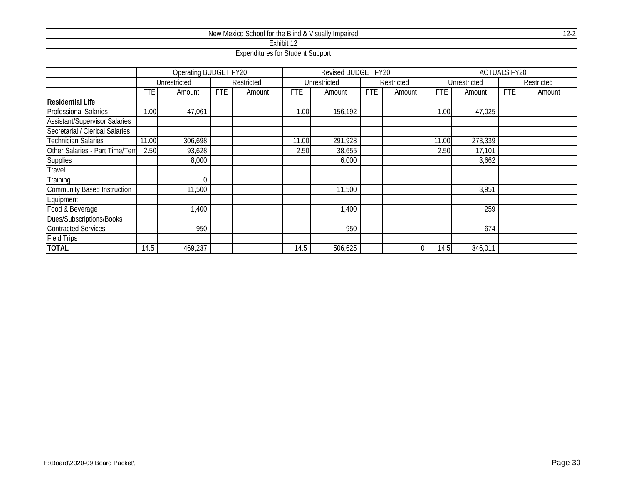| New Mexico School for the Blind & Visually Impaired |                       |                                                          |            |                                         |            |                     |            |            |            |              |                     |            |  |  |  |
|-----------------------------------------------------|-----------------------|----------------------------------------------------------|------------|-----------------------------------------|------------|---------------------|------------|------------|------------|--------------|---------------------|------------|--|--|--|
|                                                     |                       |                                                          |            |                                         | Exhibit 12 |                     |            |            |            |              |                     |            |  |  |  |
|                                                     |                       |                                                          |            | <b>Expenditures for Student Support</b> |            |                     |            |            |            |              |                     |            |  |  |  |
|                                                     |                       |                                                          |            |                                         |            |                     |            |            |            |              |                     |            |  |  |  |
|                                                     |                       | Operating BUDGET FY20                                    |            |                                         |            | Revised BUDGET FY20 |            |            |            |              | <b>ACTUALS FY20</b> |            |  |  |  |
|                                                     |                       | Unrestricted                                             |            | Restricted                              |            | Unrestricted        |            | Restricted |            | Unrestricted |                     | Restricted |  |  |  |
|                                                     | <b>FTE</b>            | Amount                                                   | <b>FTE</b> | Amount                                  | <b>FTE</b> | Amount              | <b>FTE</b> | Amount     | <b>FTE</b> | Amount       | <b>FTE</b>          | Amount     |  |  |  |
| <b>Residential Life</b>                             |                       |                                                          |            |                                         |            |                     |            |            |            |              |                     |            |  |  |  |
| <b>Professional Salaries</b>                        | 1.00                  | 47,061                                                   |            |                                         | 1.00       | 156,192             |            |            | 1.00       | 47,025       |                     |            |  |  |  |
| <b>Assistant/Supervisor Salaries</b>                |                       |                                                          |            |                                         |            |                     |            |            |            |              |                     |            |  |  |  |
| Secretarial / Clerical Salaries                     |                       |                                                          |            |                                         |            |                     |            |            |            |              |                     |            |  |  |  |
| <b>Technician Salaries</b>                          |                       | 306,698<br>291,928<br>273,339<br>11.00<br>11.00<br>11.00 |            |                                         |            |                     |            |            |            |              |                     |            |  |  |  |
| Other Salaries - Part Time/Tem                      | 2.50                  | 93,628                                                   |            |                                         | 2.50       | 38,655              |            |            | 2.50       | 17,101       |                     |            |  |  |  |
| <b>Supplies</b>                                     |                       | 8,000                                                    |            |                                         |            | 6,000               |            |            |            | 3,662        |                     |            |  |  |  |
| Travel                                              |                       |                                                          |            |                                         |            |                     |            |            |            |              |                     |            |  |  |  |
| Training                                            |                       | $\Omega$                                                 |            |                                         |            |                     |            |            |            |              |                     |            |  |  |  |
| <b>Community Based Instruction</b>                  |                       | 11,500                                                   |            |                                         |            | 11,500              |            |            |            | 3,951        |                     |            |  |  |  |
| Equipment                                           |                       |                                                          |            |                                         |            |                     |            |            |            |              |                     |            |  |  |  |
| Food & Beverage                                     | 259<br>1,400<br>1,400 |                                                          |            |                                         |            |                     |            |            |            |              |                     |            |  |  |  |
| Dues/Subscriptions/Books                            |                       |                                                          |            |                                         |            |                     |            |            |            |              |                     |            |  |  |  |
| <b>Contracted Services</b>                          |                       | 950                                                      |            |                                         |            | 950                 |            |            |            | 674          |                     |            |  |  |  |
| <b>Field Trips</b>                                  |                       |                                                          |            |                                         |            |                     |            |            |            |              |                     |            |  |  |  |
| <b>TOTAL</b>                                        | 14.5                  | 469,237                                                  |            |                                         | 14.5       | 506,625             |            | $\Omega$   | 14.5       | 346,011      |                     |            |  |  |  |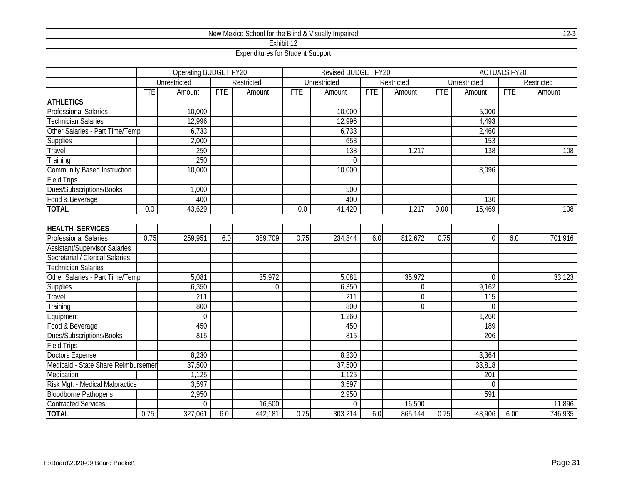| New Mexico School for the Blind & Visually Impaired |                  |                       |            |                                         |            |                     |     |                |            |                  |                     |            |
|-----------------------------------------------------|------------------|-----------------------|------------|-----------------------------------------|------------|---------------------|-----|----------------|------------|------------------|---------------------|------------|
|                                                     |                  |                       |            | Exhibit 12                              |            |                     |     |                |            |                  |                     |            |
|                                                     |                  |                       |            | <b>Expenditures for Student Support</b> |            |                     |     |                |            |                  |                     |            |
|                                                     |                  |                       |            |                                         |            |                     |     |                |            |                  |                     |            |
|                                                     |                  | Operating BUDGET FY20 |            |                                         |            | Revised BUDGET FY20 |     |                |            |                  | <b>ACTUALS FY20</b> |            |
|                                                     |                  | Unrestricted          |            | Restricted                              |            | Unrestricted        |     | Restricted     |            | Unrestricted     |                     | Restricted |
|                                                     | <b>FTE</b>       | Amount                | <b>FTE</b> | Amount                                  | <b>FTE</b> | Amount              | FTE | Amount         | <b>FTE</b> | Amount           | <b>FTE</b>          | Amount     |
| <b>ATHLETICS</b>                                    |                  |                       |            |                                         |            |                     |     |                |            |                  |                     |            |
| <b>Professional Salaries</b>                        |                  | 10,000                |            |                                         |            | 10,000              |     |                |            | 5,000            |                     |            |
| <b>Technician Salaries</b>                          |                  | 12,996                |            |                                         |            | 12,996              |     |                |            | 4,493            |                     |            |
| Other Salaries - Part Time/Temp                     |                  | 6,733                 |            |                                         |            | 6,733               |     |                |            | 2,460            |                     |            |
| <b>Supplies</b>                                     |                  | 2,000                 |            |                                         |            | 653                 |     |                |            | 153              |                     |            |
| Travel                                              |                  | 250                   |            |                                         |            | 138                 |     | 1,217          |            | 138              |                     | 108        |
| Training                                            |                  | 250                   |            |                                         |            | $\Omega$            |     |                |            |                  |                     |            |
| <b>Community Based Instruction</b>                  |                  | 10,000                |            |                                         |            | 10,000              |     |                |            | 3,096            |                     |            |
| <b>Field Trips</b>                                  |                  |                       |            |                                         |            |                     |     |                |            |                  |                     |            |
| Dues/Subscriptions/Books                            |                  | 1,000                 |            |                                         |            | 500                 |     |                |            |                  |                     |            |
| Food & Beverage                                     |                  | 400                   |            |                                         |            | 400                 |     |                |            | 130              |                     |            |
| <b>TOTAL</b>                                        | $\overline{0.0}$ | 43,629                |            |                                         | 0.0        | 41,420              |     | 1,217          | 0.00       | 15,469           |                     | 108        |
|                                                     |                  |                       |            |                                         |            |                     |     |                |            |                  |                     |            |
| <b>HEALTH SERVICES</b>                              |                  |                       |            |                                         |            |                     |     |                |            |                  |                     |            |
| <b>Professional Salaries</b>                        | 0.75             | 259,951               | 6.0        | 389,709                                 | 0.75       | 234,844             | 6.0 | 812,672        | 0.75       | $\overline{0}$   | 6.0                 | 701,916    |
| <b>Assistant/Supervisor Salaries</b>                |                  |                       |            |                                         |            |                     |     |                |            |                  |                     |            |
| Secretarial / Clerical Salaries                     |                  |                       |            |                                         |            |                     |     |                |            |                  |                     |            |
| <b>Technician Salaries</b>                          |                  |                       |            |                                         |            |                     |     |                |            |                  |                     |            |
| Other Salaries - Part Time/Temp                     |                  | 5,081                 |            | 35,972                                  |            | 5,081               |     | 35,972         |            | $\Omega$         |                     | 33,123     |
| Supplies                                            |                  | 6,350                 |            | $\boldsymbol{0}$                        |            | 6,350               |     | $\mathbf 0$    |            | 9,162            |                     |            |
| Travel                                              |                  | 211                   |            |                                         |            | 211                 |     | $\overline{0}$ |            | 115              |                     |            |
| Training                                            |                  | 800                   |            |                                         |            | 800                 |     | $\Omega$       |            | $\Omega$         |                     |            |
| Equipment                                           |                  | $\overline{0}$        |            |                                         |            | 1,260               |     |                |            | 1,260            |                     |            |
| Food & Beverage                                     |                  | 450                   |            |                                         |            | 450                 |     |                |            | 189              |                     |            |
| Dues/Subscriptions/Books                            |                  | 815                   |            |                                         |            | 815                 |     |                |            | 206              |                     |            |
| <b>Field Trips</b>                                  |                  |                       |            |                                         |            |                     |     |                |            |                  |                     |            |
| <b>Doctors Expense</b>                              |                  | 8,230                 |            |                                         |            | 8,230               |     |                |            | 3,364            |                     |            |
| Medicaid - State Share Reimbursemer                 |                  | 37,500                |            |                                         |            | 37,500              |     |                |            | 33,818           |                     |            |
| Medication                                          |                  | 1,125                 |            |                                         |            | 1,125               |     |                |            | $\overline{201}$ |                     |            |
| Risk Mgt. - Medical Malpractice                     |                  | 3,597                 |            |                                         |            | 3,597               |     |                |            | $\Omega$         |                     |            |
| <b>Bloodborne Pathogens</b>                         |                  | 2,950                 |            |                                         |            | 2,950               |     |                |            | 591              |                     |            |
| <b>Contracted Services</b>                          |                  | 0                     |            | 16,500                                  |            | $\mathbf 0$         |     | 16,500         |            |                  |                     | 11,896     |
| <b>TOTAL</b>                                        | 0.75             | 327,061               | 6.0        | 442,181                                 | 0.75       | 303,214             | 6.0 | 865,144        | 0.75       | 48,906           | 6.00                | 746,935    |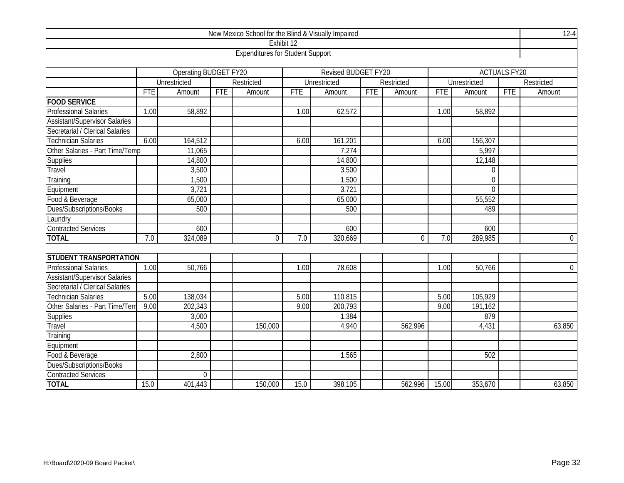| New Mexico School for the Blind & Visually Impaired |            |                       |            |                                         |            |                     |     |              |            |                     |                     |                  |
|-----------------------------------------------------|------------|-----------------------|------------|-----------------------------------------|------------|---------------------|-----|--------------|------------|---------------------|---------------------|------------------|
|                                                     |            |                       |            | Exhibit 12                              |            |                     |     |              |            |                     |                     |                  |
|                                                     |            |                       |            | <b>Expenditures for Student Support</b> |            |                     |     |              |            |                     |                     |                  |
|                                                     |            |                       |            |                                         |            |                     |     |              |            |                     |                     |                  |
|                                                     |            | Operating BUDGET FY20 |            |                                         |            | Revised BUDGET FY20 |     |              |            |                     | <b>ACTUALS FY20</b> |                  |
|                                                     |            | Unrestricted          |            | Restricted                              |            | Unrestricted        |     | Restricted   |            | Unrestricted        |                     | Restricted       |
|                                                     | <b>FTE</b> | Amount                | <b>FTE</b> | Amount                                  | <b>FTE</b> | Amount              | FTE | Amount       | <b>FTE</b> | Amount              | <b>FTE</b>          | Amount           |
| <b>FOOD SERVICE</b>                                 |            |                       |            |                                         |            |                     |     |              |            |                     |                     |                  |
| <b>Professional Salaries</b>                        | 1.00       | 58,892                |            |                                         | 1.00       | 62,572              |     |              | 1.00       | $\overline{58,}892$ |                     |                  |
| <b>Assistant/Supervisor Salaries</b>                |            |                       |            |                                         |            |                     |     |              |            |                     |                     |                  |
| Secretarial / Clerical Salaries                     |            |                       |            |                                         |            |                     |     |              |            |                     |                     |                  |
| <b>Technician Salaries</b>                          | 6.00       | 164,512               |            |                                         | 6.00       | 161,201             |     |              | 6.00       | 156,307             |                     |                  |
| Other Salaries - Part Time/Temp                     |            | 11,065                |            |                                         |            | 7,274               |     |              |            | 5,997               |                     |                  |
| <b>Supplies</b>                                     |            | 14,800                |            |                                         |            | 14,800              |     |              |            | 12,148              |                     |                  |
| Travel                                              |            | 3,500                 |            |                                         |            | 3,500               |     |              |            | $\mathbf 0$         |                     |                  |
| Training                                            |            | 1,500                 |            |                                         |            | 1,500               |     |              |            | $\mathbf 0$         |                     |                  |
| Equipment                                           |            | 3,721                 |            |                                         |            | 3,721               |     |              |            | $\Omega$            |                     |                  |
| Food & Beverage                                     |            | 65,000                |            |                                         |            | 65,000              |     |              |            | 55,552              |                     |                  |
| Dues/Subscriptions/Books                            |            | 500                   |            |                                         |            | 500                 |     |              |            | 489                 |                     |                  |
| Laundry                                             |            |                       |            |                                         |            |                     |     |              |            |                     |                     |                  |
| <b>Contracted Services</b>                          |            | 600                   |            |                                         |            | 600                 |     |              |            | 600                 |                     |                  |
| <b>TOTAL</b>                                        | 7.0        | 324,089               |            | $\mathbf 0$                             | 7.0        | 320,669             |     | $\mathbf{0}$ | 7.0        | 289,985             |                     | $\boldsymbol{0}$ |
|                                                     |            |                       |            |                                         |            |                     |     |              |            |                     |                     |                  |
| <b>STUDENT TRANSPORTATION</b>                       |            |                       |            |                                         |            |                     |     |              |            |                     |                     |                  |
| <b>Professional Salaries</b>                        | 1.00       | 50,766                |            |                                         | 1.00       | 78,608              |     |              | 1.00       | 50,766              |                     | $\overline{0}$   |
| <b>Assistant/Supervisor Salaries</b>                |            |                       |            |                                         |            |                     |     |              |            |                     |                     |                  |
| Secretarial / Clerical Salaries                     |            |                       |            |                                         |            |                     |     |              |            |                     |                     |                  |
| <b>Technician Salaries</b>                          | 5.00       | 138,034               |            |                                         | 5.00       | 110,815             |     |              | 5.00       | 105,929             |                     |                  |
| Other Salaries - Part Time/Tem                      | 9.00       | 202,343               |            |                                         | 9.00       | 200,793             |     |              | 9.00       | 191,162             |                     |                  |
| Supplies                                            |            | 3,000                 |            |                                         |            | 1,384               |     |              |            | 879                 |                     |                  |
| Travel                                              |            | 4,500                 |            | 150,000                                 |            | 4,940               |     | 562,996      |            | 4,431               |                     | 63,850           |
| Training                                            |            |                       |            |                                         |            |                     |     |              |            |                     |                     |                  |
| Equipment                                           |            |                       |            |                                         |            |                     |     |              |            |                     |                     |                  |
| Food & Beverage                                     |            | 2,800                 |            |                                         |            | 1,565               |     |              |            | 502                 |                     |                  |
| Dues/Subscriptions/Books                            |            |                       |            |                                         |            |                     |     |              |            |                     |                     |                  |
| <b>Contracted Services</b>                          |            | $\mathbf 0$           |            |                                         |            |                     |     |              |            |                     |                     |                  |
| <b>TOTAL</b>                                        | 15.0       | 401,443               |            | 150,000                                 | 15.0       | 398,105             |     | 562,996      | 15.00      | 353,670             |                     | 63,850           |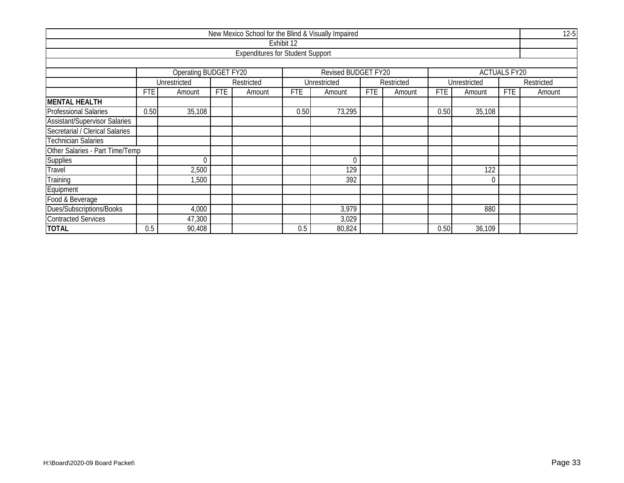| New Mexico School for the Blind & Visually Impaired |            |                                                    |            |                                         |            |                     |            |            |            |              |                     |            |  |
|-----------------------------------------------------|------------|----------------------------------------------------|------------|-----------------------------------------|------------|---------------------|------------|------------|------------|--------------|---------------------|------------|--|
|                                                     |            |                                                    |            |                                         | Exhibit 12 |                     |            |            |            |              |                     |            |  |
|                                                     |            |                                                    |            | <b>Expenditures for Student Support</b> |            |                     |            |            |            |              |                     |            |  |
|                                                     |            |                                                    |            |                                         |            |                     |            |            |            |              |                     |            |  |
|                                                     |            | Operating BUDGET FY20                              |            |                                         |            | Revised BUDGET FY20 |            |            |            |              | <b>ACTUALS FY20</b> |            |  |
|                                                     |            | Unrestricted                                       |            | Restricted                              |            | Unrestricted        |            | Restricted |            | Unrestricted |                     | Restricted |  |
|                                                     | <b>FTE</b> | Amount                                             | <b>FTE</b> | Amount                                  | <b>FTE</b> | Amount              | <b>FTE</b> | Amount     | <b>FTE</b> | Amount       | <b>FTE</b>          | Amount     |  |
| <b>MENTAL HEALTH</b>                                |            |                                                    |            |                                         |            |                     |            |            |            |              |                     |            |  |
| <b>Professional Salaries</b>                        |            | 35,108<br>73,295<br>0.50<br>0.50<br>0.50<br>35,108 |            |                                         |            |                     |            |            |            |              |                     |            |  |
| <b>Assistant/Supervisor Salaries</b>                |            |                                                    |            |                                         |            |                     |            |            |            |              |                     |            |  |
| Secretarial / Clerical Salaries                     |            |                                                    |            |                                         |            |                     |            |            |            |              |                     |            |  |
| <b>Technician Salaries</b>                          |            |                                                    |            |                                         |            |                     |            |            |            |              |                     |            |  |
| Other Salaries - Part Time/Temp                     |            |                                                    |            |                                         |            |                     |            |            |            |              |                     |            |  |
| <b>Supplies</b>                                     |            | $\Omega$                                           |            |                                         |            | 0                   |            |            |            |              |                     |            |  |
| <b>Travel</b>                                       |            | 2,500                                              |            |                                         |            | 129                 |            |            |            | 122          |                     |            |  |
| Training                                            |            | 1,500                                              |            |                                         |            | 392                 |            |            |            |              |                     |            |  |
| Equipment                                           |            |                                                    |            |                                         |            |                     |            |            |            |              |                     |            |  |
| Food & Beverage                                     |            |                                                    |            |                                         |            |                     |            |            |            |              |                     |            |  |
| Dues/Subscriptions/Books                            |            | 4,000                                              |            |                                         |            | 3,979               |            |            |            | 880          |                     |            |  |
| <b>Contracted Services</b>                          |            | 47,300                                             |            |                                         |            | 3,029               |            |            |            |              |                     |            |  |
| <b>TOTAL</b>                                        | 0.5        | 90,408                                             |            |                                         | 0.5        | 80,824              |            |            | 0.50       | 36,109       |                     |            |  |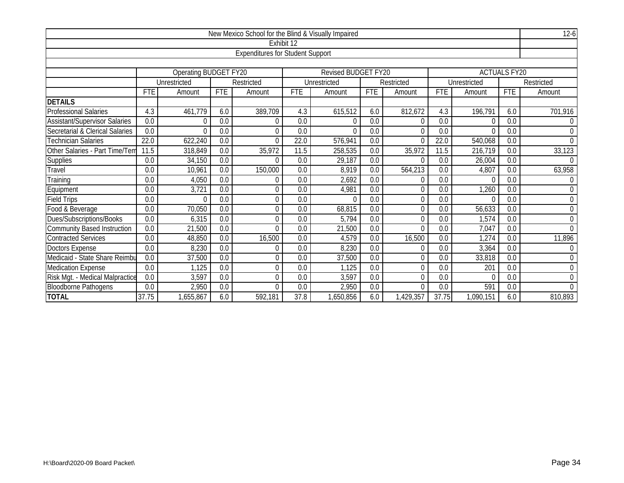| New Mexico School for the Blind & Visually Impaired |            |                       |            |                                         |                  |                            |                  |                |                  |              |                     |                  |  |
|-----------------------------------------------------|------------|-----------------------|------------|-----------------------------------------|------------------|----------------------------|------------------|----------------|------------------|--------------|---------------------|------------------|--|
|                                                     |            |                       |            |                                         | Exhibit 12       |                            |                  |                |                  |              |                     |                  |  |
|                                                     |            |                       |            | <b>Expenditures for Student Support</b> |                  |                            |                  |                |                  |              |                     |                  |  |
|                                                     |            |                       |            |                                         |                  |                            |                  |                |                  |              |                     |                  |  |
|                                                     |            | Operating BUDGET FY20 |            |                                         |                  | <b>Revised BUDGET FY20</b> |                  |                |                  |              | <b>ACTUALS FY20</b> |                  |  |
|                                                     |            | Unrestricted          |            | Restricted                              |                  | Unrestricted               |                  | Restricted     |                  | Unrestricted |                     | Restricted       |  |
|                                                     | <b>FTE</b> | Amount                | <b>FTE</b> | Amount                                  | <b>FTE</b>       | Amount                     | <b>FTE</b>       | Amount         | <b>FTE</b>       | Amount       | <b>FTE</b>          | Amount           |  |
| <b>DETAILS</b>                                      |            |                       |            |                                         |                  |                            |                  |                |                  |              |                     |                  |  |
| <b>Professional Salaries</b>                        | 4.3        | 461,779               | 6.0        | 389,709                                 | 4.3              | 615,512                    | 6.0              | 812,672        | 4.3              | 196,791      | 6.0                 | 701,916          |  |
| <b>Assistant/Supervisor Salaries</b>                | 0.0        | O                     | 0.0        | 0                                       | 0.0              | 0                          | 0.0              | 0              | 0.0              |              | 0.0                 | 0                |  |
| Secretarial & Clerical Salaries                     | 0.0        | $\overline{0}$        | 0.0        | 0                                       | $\overline{0.0}$ | $\Omega$                   | $\overline{0.0}$ | 0              | $\overline{0.0}$ |              | 0.0                 | $\mathbf 0$      |  |
| <b>Technician Salaries</b>                          | 22.0       | 622,240               | 0.0        | 0                                       | 22.0             | 576,941                    | 0.0              | 0              | 22.0             | 540,068      | 0.0                 | $\overline{0}$   |  |
| Other Salaries - Part Time/Tem                      | 11.5       | 318,849               | 0.0        | 35,972                                  | 11.5             | 258,535                    | 0.0              | 35,972         | 11.5             | 216,719      | 0.0                 | 33,123           |  |
| Supplies                                            | 0.0        | 34,150                | 0.0        | 0                                       | 0.0              | 29,187                     | 0.0              | 0              | 0.0              | 26,004       | 0.0                 | $\Omega$         |  |
| Travel                                              | 0.0        | 10,961                | 0.0        | 150,000                                 | 0.0              | 8,919                      | 0.0              | 564,213        | 0.0              | 4,807        | 0.0                 | 63,958           |  |
| Training                                            | 0.0        | 4,050                 | 0.0        | 0                                       | 0.0              | 2,692                      | 0.0              | 0              | 0.0              |              | 0.0                 | 0                |  |
| Equipment                                           | 0.0        | 3,721                 | 0.0        | $\overline{0}$                          | 0.0              | 4,981                      | 0.0              | 0              | 0.0              | 1,260        | 0.0                 | $\overline{0}$   |  |
| <b>Field Trips</b>                                  | 0.0        | $\Omega$              | 0.0        | $\overline{0}$                          | 0.0              | $\Omega$                   | 0.0              | $\theta$       | 0.0              | $\Omega$     | 0.0                 | $\mathbf 0$      |  |
| Food & Beverage                                     | 0.0        | 70,050                | 0.0        | 0                                       | 0.0              | 68,815                     | 0.0              | 0              | 0.0              | 56,633       | 0.0                 | $\mathbf 0$      |  |
| Dues/Subscriptions/Books                            | 0.0        | 6,315                 | 0.0        | 0                                       | 0.0              | 5,794                      | 0.0              | 0              | 0.0              | 1,574        | 0.0                 | $\mathbf 0$      |  |
| <b>Community Based Instruction</b>                  | 0.0        | 21,500                | 0.0        | $\Omega$                                | 0.0              | 21,500                     | 0.0              | $\overline{0}$ | 0.0              | 7,047        | 0.0                 | $\Omega$         |  |
| <b>Contracted Services</b>                          | 0.0        | 48,850                | 0.0        | 16,500                                  | 0.0              | 4,579                      | 0.0              | 16,500         | 0.0              | 1,274        | 0.0                 | 11,896           |  |
| <b>Doctors Expense</b>                              | 0.0        | 8,230                 | 0.0        | 0                                       | 0.0              | 8,230                      | 0.0              | $\theta$       | 0.0              | 3,364        | 0.0                 | $\boldsymbol{0}$ |  |
| Medicaid - State Share Reimbu                       | 0.0        | 37,500                | 0.0        | 0                                       | 0.0              | 37,500                     | 0.0              | $\Omega$       | 0.0              | 33,818       | 0.0                 | 0                |  |
| <b>Medication Expense</b>                           | 0.0        | 1,125                 | 0.0        | $\overline{0}$                          | 0.0              | 1,125                      | 0.0              | 0              | 0.0              | 201          | 0.0                 | $\overline{0}$   |  |
| Risk Mgt. - Medical Malpractice                     | 0.0        | 3,597                 | 0.0        | $\overline{0}$                          | 0.0              | 3,597                      | 0.0              | $\theta$       | 0.0              | $\sqrt{ }$   | 0.0                 | $\mathbf 0$      |  |
| <b>Bloodborne Pathogens</b>                         | 0.0        | 2,950                 | 0.0        | $\overline{0}$                          | 0.0              | 2,950                      | 0.0              | $\Omega$       | 0.0              | 591          | 0.0                 | $\Omega$         |  |
| <b>TOTAL</b>                                        | 37.75      | ,655,867              | 6.0        | 592,181                                 | 37.8             | 1,650,856                  | 6.0              | 1,429,357      | 37.75            | 1,090,151    | 6.0                 | 810,893          |  |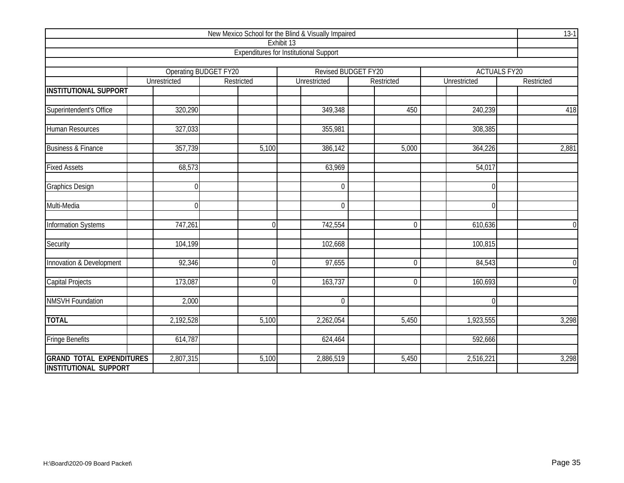| New Mexico School for the Blind & Visually Impaired |                     |                       |                                               |                     |              |                     |  |  |  |  |  |  |
|-----------------------------------------------------|---------------------|-----------------------|-----------------------------------------------|---------------------|--------------|---------------------|--|--|--|--|--|--|
|                                                     |                     |                       | Exhibit 13                                    |                     |              |                     |  |  |  |  |  |  |
|                                                     |                     |                       | <b>Expenditures for Institutional Support</b> |                     |              |                     |  |  |  |  |  |  |
|                                                     |                     | Operating BUDGET FY20 |                                               | Revised BUDGET FY20 |              | <b>ACTUALS FY20</b> |  |  |  |  |  |  |
|                                                     | <b>Unrestricted</b> | Restricted            | Unrestricted                                  | Restricted          | Unrestricted | Restricted          |  |  |  |  |  |  |
| <b>INSTITUTIONAL SUPPORT</b>                        |                     |                       |                                               |                     |              |                     |  |  |  |  |  |  |
|                                                     |                     |                       |                                               |                     |              |                     |  |  |  |  |  |  |
| Superintendent's Office                             | 320,290             |                       | 349,348                                       | 450                 | 240,239      | 418                 |  |  |  |  |  |  |
|                                                     |                     |                       |                                               |                     |              |                     |  |  |  |  |  |  |
| Human Resources                                     | 327,033             |                       | 355,981                                       |                     | 308,385      |                     |  |  |  |  |  |  |
| <b>Business &amp; Finance</b>                       | 357,739             | 5,100                 | 386,142                                       | 5,000               | 364,226      | 2,881               |  |  |  |  |  |  |
|                                                     |                     |                       |                                               |                     |              |                     |  |  |  |  |  |  |
| <b>Fixed Assets</b>                                 | 68,573              |                       | 63,969                                        |                     | 54,017       |                     |  |  |  |  |  |  |
|                                                     |                     |                       |                                               |                     |              |                     |  |  |  |  |  |  |
| <b>Graphics Design</b>                              | $\theta$            |                       | $\theta$                                      |                     |              |                     |  |  |  |  |  |  |
| Multi-Media                                         | $\Omega$            |                       | $\mathbf 0$                                   |                     | ∩            |                     |  |  |  |  |  |  |
|                                                     |                     |                       |                                               |                     |              |                     |  |  |  |  |  |  |
| <b>Information Systems</b>                          | 747,261             | $\overline{0}$        | 742,554                                       | $\mathbf 0$         | 610,636      | $\overline{0}$      |  |  |  |  |  |  |
|                                                     |                     |                       |                                               |                     |              |                     |  |  |  |  |  |  |
| Security                                            | 104,199             |                       | 102,668                                       |                     | 100,815      |                     |  |  |  |  |  |  |
| Innovation & Development                            | 92,346              | $\Omega$              | 97,655                                        | $\mathbf 0$         | 84,543       | $\overline{0}$      |  |  |  |  |  |  |
|                                                     |                     |                       |                                               |                     |              |                     |  |  |  |  |  |  |
| Capital Projects                                    | 173,087             | $\overline{0}$        | 163,737                                       | $\overline{0}$      | 160,693      | $\overline{0}$      |  |  |  |  |  |  |
|                                                     |                     |                       |                                               |                     |              |                     |  |  |  |  |  |  |
| <b>NMSVH</b> Foundation                             | 2,000               |                       | $\Omega$                                      |                     | $\Omega$     |                     |  |  |  |  |  |  |
|                                                     |                     | 5,100                 |                                               | 5,450               |              |                     |  |  |  |  |  |  |
| <b>TOTAL</b>                                        | 2,192,528           |                       | 2,262,054                                     |                     | 1,923,555    | 3,298               |  |  |  |  |  |  |
| <b>Fringe Benefits</b>                              | 614,787             |                       | 624,464                                       |                     | 592,666      |                     |  |  |  |  |  |  |
|                                                     |                     |                       |                                               |                     |              |                     |  |  |  |  |  |  |
| <b>GRAND TOTAL EXPENDITURES</b>                     | 2,807,315           | 5,100                 | 2,886,519                                     | 5,450               | 2,516,221    | 3,298               |  |  |  |  |  |  |
| <b>INSTITUTIONAL SUPPORT</b>                        |                     |                       |                                               |                     |              |                     |  |  |  |  |  |  |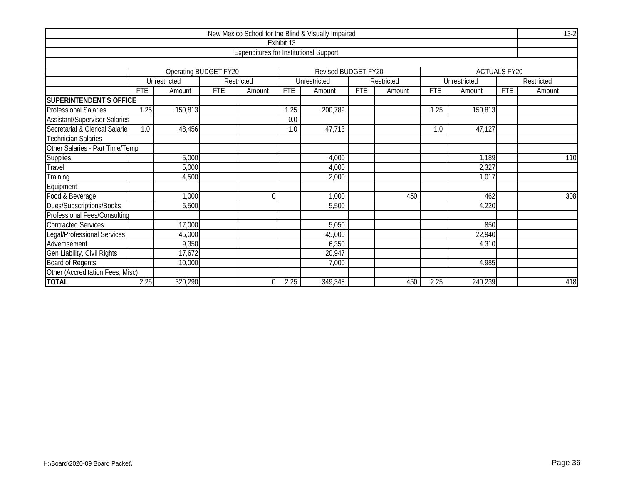| New Mexico School for the Blind & Visually Impaired |                         |                       |            |                                               |            |                     |            |            |            |              |                     |            |  |
|-----------------------------------------------------|-------------------------|-----------------------|------------|-----------------------------------------------|------------|---------------------|------------|------------|------------|--------------|---------------------|------------|--|
|                                                     |                         |                       |            |                                               | Exhibit 13 |                     |            |            |            |              |                     |            |  |
|                                                     |                         |                       |            | <b>Expenditures for Institutional Support</b> |            |                     |            |            |            |              |                     |            |  |
|                                                     |                         |                       |            |                                               |            |                     |            |            |            |              |                     |            |  |
|                                                     |                         | Operating BUDGET FY20 |            |                                               |            | Revised BUDGET FY20 |            |            |            |              | <b>ACTUALS FY20</b> |            |  |
|                                                     |                         | Unrestricted          |            | Restricted                                    |            | Unrestricted        |            | Restricted |            | Unrestricted |                     | Restricted |  |
|                                                     | <b>FTE</b>              | Amount                | <b>FTE</b> | Amount                                        | <b>FTE</b> | Amount              | <b>FTE</b> | Amount     | <b>FTE</b> | Amount       | <b>FTE</b>          | Amount     |  |
| SUPERINTENDENT'S OFFICE                             |                         |                       |            |                                               |            |                     |            |            |            |              |                     |            |  |
| Professional Salaries                               | 1.25                    | 150,813               |            |                                               | 1.25       | 200,789             |            |            | 1.25       | 150,813      |                     |            |  |
| <b>Assistant/Supervisor Salaries</b>                |                         |                       |            |                                               | 0.0        |                     |            |            |            |              |                     |            |  |
| Secretarial & Clerical Salarie                      | 1.0                     | 48,456                |            |                                               | 1.0        | 47,713              |            |            | 1.0        | 47,127       |                     |            |  |
| <b>Technician Salaries</b>                          |                         |                       |            |                                               |            |                     |            |            |            |              |                     |            |  |
| Other Salaries - Part Time/Temp                     |                         |                       |            |                                               |            |                     |            |            |            |              |                     |            |  |
| Supplies                                            | 5,000<br>4,000<br>1,189 |                       |            |                                               |            |                     |            |            |            |              | 110                 |            |  |
| Travel                                              |                         | 5,000                 |            |                                               |            | 4,000               |            |            |            | 2,327        |                     |            |  |
| Training                                            |                         | 4,500                 |            |                                               |            | 2,000               |            |            |            | 1,017        |                     |            |  |
| Equipment                                           |                         |                       |            |                                               |            |                     |            |            |            |              |                     |            |  |
| Food & Beverage                                     |                         | 1,000                 |            | $\Omega$                                      |            | 1,000               |            | 450        |            | 462          |                     | 308        |  |
| Dues/Subscriptions/Books                            |                         | 6,500                 |            |                                               |            | 5,500               |            |            |            | 4,220        |                     |            |  |
| Professional Fees/Consulting                        |                         |                       |            |                                               |            |                     |            |            |            |              |                     |            |  |
| <b>Contracted Services</b>                          |                         | 17,000                |            |                                               |            | 5,050               |            |            |            | 850          |                     |            |  |
| Legal/Professional Services                         |                         | 45,000                |            |                                               |            | 45,000              |            |            |            | 22,940       |                     |            |  |
| Advertisement                                       |                         | 9,350                 |            |                                               |            | 6,350               |            |            |            | 4,310        |                     |            |  |
| Gen Liability, Civil Rights                         |                         | 17,672                |            |                                               |            | 20,947              |            |            |            |              |                     |            |  |
| <b>Board of Regents</b>                             |                         | 10,000                |            |                                               |            | 7,000               |            |            |            | 4,985        |                     |            |  |
| Other (Accreditation Fees, Misc)                    |                         |                       |            |                                               |            |                     |            |            |            |              |                     |            |  |
| <b>TOTAL</b>                                        | 2.25                    | 320,290               |            |                                               | 2.25       | 349,348             |            | 450        | 2.25       | 240,239      |                     | 418        |  |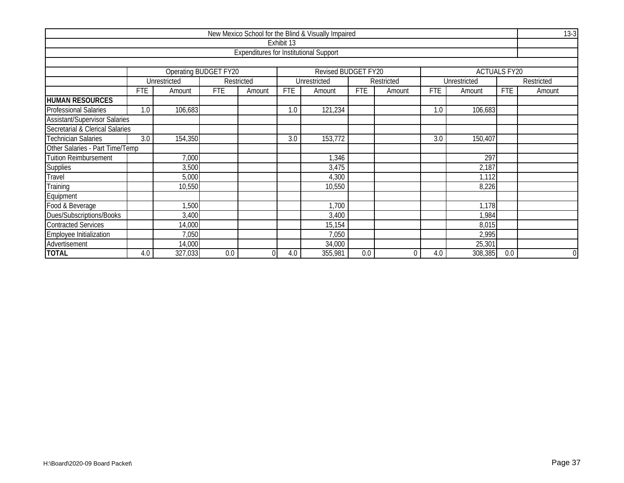|                                                                     |                                                    |              |            |                                               |                                                                      | New Mexico School for the Blind & Visually Impaired |     |                  |     |              |            | $13-3$         |  |  |  |
|---------------------------------------------------------------------|----------------------------------------------------|--------------|------------|-----------------------------------------------|----------------------------------------------------------------------|-----------------------------------------------------|-----|------------------|-----|--------------|------------|----------------|--|--|--|
|                                                                     |                                                    |              |            |                                               | Exhibit 13                                                           |                                                     |     |                  |     |              |            |                |  |  |  |
|                                                                     |                                                    |              |            | <b>Expenditures for Institutional Support</b> |                                                                      |                                                     |     |                  |     |              |            |                |  |  |  |
|                                                                     |                                                    |              |            |                                               |                                                                      |                                                     |     |                  |     |              |            |                |  |  |  |
| Revised BUDGET FY20<br>Operating BUDGET FY20<br><b>ACTUALS FY20</b> |                                                    |              |            |                                               |                                                                      |                                                     |     |                  |     |              |            |                |  |  |  |
|                                                                     |                                                    | Unrestricted |            | Restricted                                    |                                                                      | Unrestricted                                        |     | Restricted       |     | Unrestricted |            | Restricted     |  |  |  |
|                                                                     | <b>FTE</b>                                         | Amount       | <b>FTE</b> | Amount                                        | <b>FTE</b><br><b>FTE</b><br><b>FTE</b><br>Amount<br>Amount<br>Amount |                                                     |     |                  |     |              | <b>FTE</b> | Amount         |  |  |  |
| <b>HUMAN RESOURCES</b>                                              |                                                    |              |            |                                               |                                                                      |                                                     |     |                  |     |              |            |                |  |  |  |
| <b>Professional Salaries</b>                                        | 1.0                                                | 106,683      |            |                                               | 1.0                                                                  | 121,234                                             |     |                  | 1.0 | 106,683      |            |                |  |  |  |
| <b>Assistant/Supervisor Salaries</b>                                |                                                    |              |            |                                               |                                                                      |                                                     |     |                  |     |              |            |                |  |  |  |
| Secretarial & Clerical Salaries                                     |                                                    |              |            |                                               |                                                                      |                                                     |     |                  |     |              |            |                |  |  |  |
| Technician Salaries                                                 | 154,350<br>153,772<br>3.0<br>3.0<br>3.0<br>150,407 |              |            |                                               |                                                                      |                                                     |     |                  |     |              |            |                |  |  |  |
| Other Salaries - Part Time/Temp                                     |                                                    |              |            |                                               |                                                                      |                                                     |     |                  |     |              |            |                |  |  |  |
| Tuition Reimbursement                                               |                                                    | 7,000        |            |                                               |                                                                      | 1,346                                               |     |                  |     | 297          |            |                |  |  |  |
| <b>Supplies</b>                                                     |                                                    | 3,500        |            |                                               |                                                                      | 3,475                                               |     |                  |     | 2,187        |            |                |  |  |  |
| <b>Fravel</b>                                                       |                                                    | 5,000        |            |                                               |                                                                      | 4,300                                               |     |                  |     | 1,112        |            |                |  |  |  |
| Training                                                            |                                                    | 10,550       |            |                                               |                                                                      | 10,550                                              |     |                  |     | 8,226        |            |                |  |  |  |
| Equipment                                                           |                                                    |              |            |                                               |                                                                      |                                                     |     |                  |     |              |            |                |  |  |  |
| Food & Beverage                                                     |                                                    | 1,500        |            |                                               |                                                                      | 1,700                                               |     |                  |     | 1,178        |            |                |  |  |  |
| Dues/Subscriptions/Books                                            |                                                    | 3,400        |            |                                               |                                                                      | 3,400                                               |     |                  |     | 1,984        |            |                |  |  |  |
| <b>Contracted Services</b>                                          | 14,000<br>15,154<br>8,015                          |              |            |                                               |                                                                      |                                                     |     |                  |     |              |            |                |  |  |  |
| Employee Initialization                                             | 7,050<br>7,050<br>2,995                            |              |            |                                               |                                                                      |                                                     |     |                  |     |              |            |                |  |  |  |
| Advertisement                                                       |                                                    | 14,000       |            |                                               |                                                                      | 34,000                                              |     |                  |     | 25,301       |            |                |  |  |  |
| <b>TOTAL</b>                                                        | 4.0                                                | 327,033      | 0.0        | 0                                             | 4.0                                                                  | 355,981                                             | 0.0 | $\boldsymbol{0}$ | 4.0 | 308,385      | 0.0        | $\overline{0}$ |  |  |  |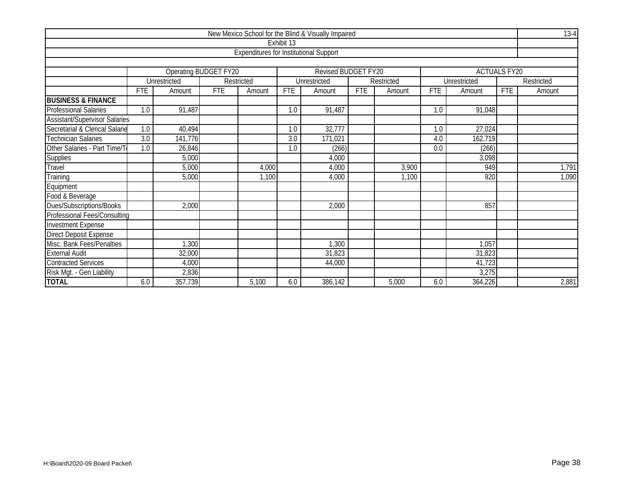|                                      |                  |                                        |            |                                               |                  | New Mexico School for the Blind & Visually Impaired |            |            |            |              |                     | $13-4$     |  |
|--------------------------------------|------------------|----------------------------------------|------------|-----------------------------------------------|------------------|-----------------------------------------------------|------------|------------|------------|--------------|---------------------|------------|--|
|                                      |                  |                                        |            |                                               | Exhibit 13       |                                                     |            |            |            |              |                     |            |  |
|                                      |                  |                                        |            | <b>Expenditures for Institutional Support</b> |                  |                                                     |            |            |            |              |                     |            |  |
|                                      |                  |                                        |            |                                               |                  |                                                     |            |            |            |              |                     |            |  |
|                                      |                  | Operating BUDGET FY20                  |            |                                               |                  | Revised BUDGET FY20                                 |            |            |            |              | <b>ACTUALS FY20</b> |            |  |
|                                      |                  | Unrestricted                           |            | Restricted                                    |                  | Unrestricted                                        |            | Restricted |            | Unrestricted |                     | Restricted |  |
|                                      | <b>FTE</b>       | Amount                                 | <b>FTE</b> | Amount                                        | <b>FTE</b>       | Amount                                              | <b>FTE</b> | Amount     | <b>FTE</b> | Amount       | <b>FTE</b>          | Amount     |  |
| <b>BUSINESS &amp; FINANCE</b>        |                  |                                        |            |                                               |                  |                                                     |            |            |            |              |                     |            |  |
| <b>Professional Salaries</b>         | 1.0              | 91,487                                 |            |                                               | 1.0              | 91,487                                              |            |            | 1.0        | 91,048       |                     |            |  |
| <b>Assistant/Supervisor Salaries</b> |                  |                                        |            |                                               |                  |                                                     |            |            |            |              |                     |            |  |
| Secretarial & Clerical Salarie       | 1.0              | 40,494                                 |            |                                               | 1.0              | 32,777                                              |            |            | 1.0        | 27,024       |                     |            |  |
| <b>Technician Salaries</b>           | $\overline{3.0}$ | 141,776                                |            |                                               | $\overline{3.0}$ | 171,021                                             |            |            | 4.0        | 162,719      |                     |            |  |
| Other Salaries - Part Time/To        | 1.0              | 26,846<br>(266)<br>(266)<br>0.0<br>1.0 |            |                                               |                  |                                                     |            |            |            |              |                     |            |  |
| Supplies                             |                  | 5,000                                  |            |                                               |                  | 4,000                                               |            |            |            | 3,098        |                     |            |  |
| Travel                               |                  | 5,000                                  |            | 4,000                                         |                  | 4,000                                               |            | 3,900      |            | 949          |                     | 1,791      |  |
| Training                             |                  | 5,000                                  |            | 1,100                                         |                  | 4,000                                               |            | 1,100      |            | 920          |                     | 1,090      |  |
| Equipment                            |                  |                                        |            |                                               |                  |                                                     |            |            |            |              |                     |            |  |
| Food & Beverage                      |                  |                                        |            |                                               |                  |                                                     |            |            |            |              |                     |            |  |
| Dues/Subscriptions/Books             |                  | 2,000                                  |            |                                               |                  | 2,000                                               |            |            |            | 857          |                     |            |  |
| Professional Fees/Consulting         |                  |                                        |            |                                               |                  |                                                     |            |            |            |              |                     |            |  |
| <b>Investment Expense</b>            |                  |                                        |            |                                               |                  |                                                     |            |            |            |              |                     |            |  |
| Direct Deposit Expense               |                  |                                        |            |                                               |                  |                                                     |            |            |            |              |                     |            |  |
| Misc. Bank Fees/Penalties            |                  | ,300                                   |            |                                               |                  | 1,300                                               |            |            |            | 1,057        |                     |            |  |
| <b>External Audit</b>                |                  | 32,000                                 |            |                                               |                  | 31,823                                              |            |            |            | 31,823       |                     |            |  |
| <b>Contracted Services</b>           |                  | 4,000                                  |            |                                               |                  | 44,000                                              |            |            |            | 41,723       |                     |            |  |
| Risk Mgt. - Gen Liability            |                  | 2,836                                  |            |                                               |                  |                                                     |            |            |            | 3,275        |                     |            |  |
| <b>TOTAL</b>                         | 6.0              | 357,739                                |            | 5,100                                         | 6.0              | 386,142                                             |            | 5,000      | 6.0        | 364,226      |                     | 2,881      |  |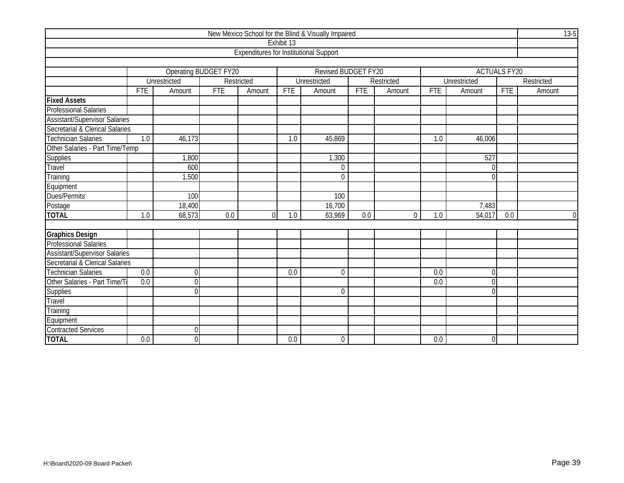|                                      |                  |                |                       |                                               |            | New Mexico School for the Blind & Visually Impaired |            |            |            |                     |            | $13 - 5$    |
|--------------------------------------|------------------|----------------|-----------------------|-----------------------------------------------|------------|-----------------------------------------------------|------------|------------|------------|---------------------|------------|-------------|
|                                      |                  |                |                       |                                               | Exhibit 13 |                                                     |            |            |            |                     |            |             |
|                                      |                  |                |                       | <b>Expenditures for Institutional Support</b> |            |                                                     |            |            |            |                     |            |             |
|                                      |                  |                |                       |                                               |            |                                                     |            |            |            |                     |            |             |
|                                      |                  |                | Operating BUDGET FY20 |                                               |            | Revised BUDGET FY20                                 |            |            |            | <b>ACTUALS FY20</b> |            |             |
|                                      |                  | Unrestricted   |                       | Restricted                                    |            | Unrestricted                                        |            | Restricted |            | Unrestricted        |            | Restricted  |
|                                      | <b>FTE</b>       | Amount         | <b>FTE</b>            | Amount                                        | <b>FTE</b> | Amount                                              | <b>FTE</b> | Amount     | <b>FTE</b> | Amount              | <b>FTE</b> | Amount      |
| <b>Fixed Assets</b>                  |                  |                |                       |                                               |            |                                                     |            |            |            |                     |            |             |
| <b>Professional Salaries</b>         |                  |                |                       |                                               |            |                                                     |            |            |            |                     |            |             |
| <b>Assistant/Supervisor Salaries</b> |                  |                |                       |                                               |            |                                                     |            |            |            |                     |            |             |
| Secretarial & Clerical Salaries      |                  |                |                       |                                               |            |                                                     |            |            |            |                     |            |             |
| <b>Technician Salaries</b>           | $\overline{1.0}$ | 46,173         |                       |                                               | 1.0        | 45,869                                              |            |            | 1.0        | 46,006              |            |             |
| Other Salaries - Part Time/Temp      |                  |                |                       |                                               |            |                                                     |            |            |            |                     |            |             |
| Supplies                             |                  | 1,800          |                       |                                               |            | 1,300                                               |            |            |            | 527                 |            |             |
| Travel                               |                  | 600            |                       |                                               |            | $\mathbf 0$                                         |            |            |            | $\Omega$            |            |             |
| Training                             |                  | 1,500          |                       |                                               |            | $\Omega$                                            |            |            |            | $\cap$              |            |             |
| Equipment                            |                  |                |                       |                                               |            |                                                     |            |            |            |                     |            |             |
| Dues/Permits                         |                  | 100            |                       |                                               |            | 100                                                 |            |            |            |                     |            |             |
| Postage                              |                  | 18,400         |                       |                                               |            | 16,700                                              |            |            |            | 7,483               |            |             |
| <b>TOTAL</b>                         | 1.0              | 68,573         | 0.0                   | $\Omega$                                      | 1.0        | 63,969                                              | 0.0        | $\Omega$   | 1.0        | 54,017              | 0.0        | $\mathbf 0$ |
|                                      |                  |                |                       |                                               |            |                                                     |            |            |            |                     |            |             |
| <b>Graphics Design</b>               |                  |                |                       |                                               |            |                                                     |            |            |            |                     |            |             |
| <b>Professional Salaries</b>         |                  |                |                       |                                               |            |                                                     |            |            |            |                     |            |             |
| <b>Assistant/Supervisor Salaries</b> |                  |                |                       |                                               |            |                                                     |            |            |            |                     |            |             |
| Secretarial & Clerical Salaries      |                  |                |                       |                                               |            |                                                     |            |            |            |                     |            |             |
| <b>Technician Salaries</b>           | 0.0              | $\theta$       |                       |                                               | 0.0        | $\Omega$                                            |            |            | 0.0        | $\Omega$            |            |             |
| Other Salaries - Part Time/To        | 0.0              | $\Omega$       |                       |                                               |            |                                                     |            |            | 0.0        | ሰ                   |            |             |
| Supplies                             |                  | $\Omega$       |                       |                                               |            | $\Omega$                                            |            |            |            | $\Omega$            |            |             |
| Travel                               |                  |                |                       |                                               |            |                                                     |            |            |            |                     |            |             |
| Training                             |                  |                |                       |                                               |            |                                                     |            |            |            |                     |            |             |
| Equipment                            |                  |                |                       |                                               |            |                                                     |            |            |            |                     |            |             |
| <b>Contracted Services</b>           |                  | $\Omega$       |                       |                                               |            |                                                     |            |            |            |                     |            |             |
| <b>TOTAL</b>                         | 0.0              | $\overline{0}$ |                       |                                               | 0.0        | $\Omega$                                            |            |            | 0.0        | $\overline{0}$      |            |             |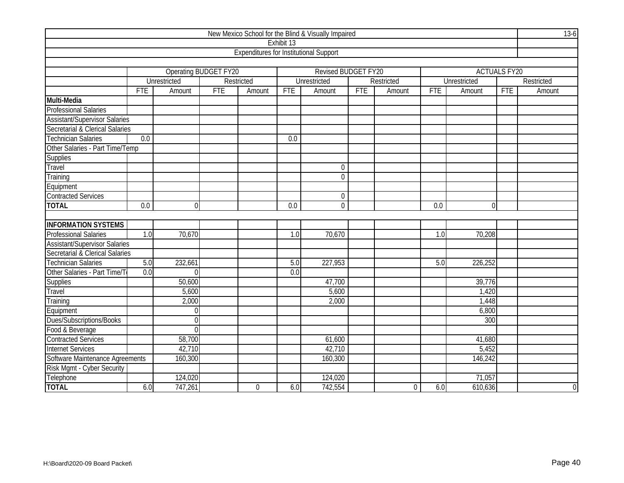|                                      |            |                       |            |                                               |                  | New Mexico School for the Blind & Visually Impaired |            |            |            |                     |            | $13-6$         |
|--------------------------------------|------------|-----------------------|------------|-----------------------------------------------|------------------|-----------------------------------------------------|------------|------------|------------|---------------------|------------|----------------|
|                                      |            |                       |            |                                               | Exhibit 13       |                                                     |            |            |            |                     |            |                |
|                                      |            |                       |            | <b>Expenditures for Institutional Support</b> |                  |                                                     |            |            |            |                     |            |                |
|                                      |            |                       |            |                                               |                  |                                                     |            |            |            |                     |            |                |
|                                      |            | Operating BUDGET FY20 |            |                                               |                  | Revised BUDGET FY20                                 |            |            |            | <b>ACTUALS FY20</b> |            |                |
|                                      |            | Unrestricted          |            | Restricted                                    |                  | Unrestricted                                        |            | Restricted |            | Unrestricted        |            | Restricted     |
|                                      | <b>FTE</b> | Amount                | <b>FTE</b> | Amount                                        | <b>FTE</b>       | Amount                                              | <b>FTE</b> | Amount     | <b>FTE</b> | Amount              | <b>FTE</b> | Amount         |
| Multi-Media                          |            |                       |            |                                               |                  |                                                     |            |            |            |                     |            |                |
| <b>Professional Salaries</b>         |            |                       |            |                                               |                  |                                                     |            |            |            |                     |            |                |
| <b>Assistant/Supervisor Salaries</b> |            |                       |            |                                               |                  |                                                     |            |            |            |                     |            |                |
| Secretarial & Clerical Salaries      |            |                       |            |                                               |                  |                                                     |            |            |            |                     |            |                |
| <b>Technician Salaries</b>           | 0.0        |                       |            |                                               | 0.0              |                                                     |            |            |            |                     |            |                |
| Other Salaries - Part Time/Temp      |            |                       |            |                                               |                  |                                                     |            |            |            |                     |            |                |
| <b>Supplies</b>                      |            |                       |            |                                               |                  |                                                     |            |            |            |                     |            |                |
| <b>Travel</b>                        |            |                       |            |                                               |                  | $\mathbf 0$                                         |            |            |            |                     |            |                |
| Training                             |            |                       |            |                                               |                  | $\overline{0}$                                      |            |            |            |                     |            |                |
| Equipment                            |            |                       |            |                                               |                  |                                                     |            |            |            |                     |            |                |
| <b>Contracted Services</b>           |            |                       |            |                                               |                  | $\mathbf 0$                                         |            |            |            |                     |            |                |
| <b>TOTAL</b>                         | 0.0        | $\overline{0}$        |            |                                               | 0.0              | $\overline{0}$                                      |            |            | 0.0        | $\Omega$            |            |                |
|                                      |            |                       |            |                                               |                  |                                                     |            |            |            |                     |            |                |
| <b>INFORMATION SYSTEMS</b>           |            |                       |            |                                               |                  |                                                     |            |            |            |                     |            |                |
| <b>Professional Salaries</b>         | 1.0        | 70,670                |            |                                               | 1.0              | 70,670                                              |            |            | 1.0        | 70,208              |            |                |
| <b>Assistant/Supervisor Salaries</b> |            |                       |            |                                               |                  |                                                     |            |            |            |                     |            |                |
| Secretarial & Clerical Salaries      |            |                       |            |                                               |                  |                                                     |            |            |            |                     |            |                |
| <b>Technician Salaries</b>           | 5.0        | 232,661               |            |                                               | 5.0              | 227,953                                             |            |            | 5.0        | 226,252             |            |                |
| Other Salaries - Part Time/T         | 0.0        | $\overline{0}$        |            |                                               | $\overline{0.0}$ |                                                     |            |            |            |                     |            |                |
| Supplies                             |            | 50,600                |            |                                               |                  | 47,700                                              |            |            |            | 39,776              |            |                |
| Travel                               |            | 5,600                 |            |                                               |                  | 5,600                                               |            |            |            | 1,420               |            |                |
| Training                             |            | 2,000                 |            |                                               |                  | 2,000                                               |            |            |            | 1,448               |            |                |
| Equipment                            |            | $\mathbf 0$           |            |                                               |                  |                                                     |            |            |            | 6,800               |            |                |
| Dues/Subscriptions/Books             |            | $\overline{0}$        |            |                                               |                  |                                                     |            |            |            | 300                 |            |                |
| Food & Beverage                      |            | $\overline{0}$        |            |                                               |                  |                                                     |            |            |            |                     |            |                |
| <b>Contracted Services</b>           |            | 58,700                |            |                                               |                  | 61,600                                              |            |            |            | 41,680              |            |                |
| <b>Internet Services</b>             |            | 42,710                |            |                                               |                  | 42,710                                              |            |            |            | 5,452               |            |                |
| Software Maintenance Agreements      |            | 160,300               |            |                                               |                  | 160,300                                             |            |            |            | 146,242             |            |                |
| Risk Mgmt - Cyber Security           |            |                       |            |                                               |                  |                                                     |            |            |            |                     |            |                |
| Telephone                            |            | 124,020               |            |                                               |                  | 124,020                                             |            |            |            | 71,057              |            |                |
| <b>TOTAL</b>                         | 6.0        | 747,261               |            | $\Omega$                                      | 6.0              | 742,554                                             |            | $\Omega$   | 6.0        | 610,636             |            | $\overline{0}$ |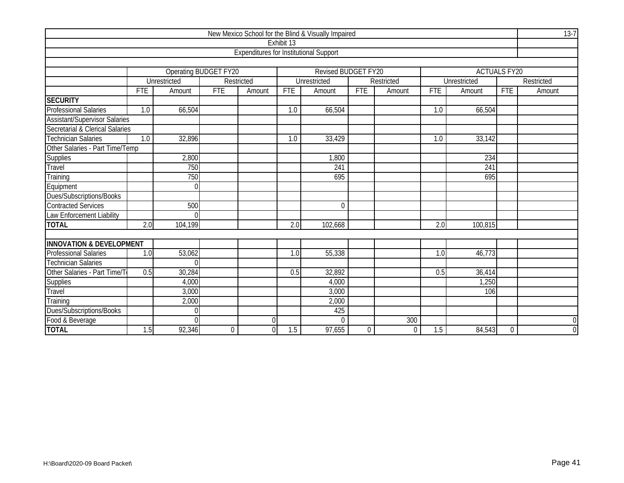|                                      |                  |                              |             |                                               |            | New Mexico School for the Blind & Visually Impaired |                  |                  |            |                     |             | $13-7$         |
|--------------------------------------|------------------|------------------------------|-------------|-----------------------------------------------|------------|-----------------------------------------------------|------------------|------------------|------------|---------------------|-------------|----------------|
|                                      |                  |                              |             |                                               | Exhibit 13 |                                                     |                  |                  |            |                     |             |                |
|                                      |                  |                              |             | <b>Expenditures for Institutional Support</b> |            |                                                     |                  |                  |            |                     |             |                |
|                                      |                  |                              |             |                                               |            |                                                     |                  |                  |            |                     |             |                |
|                                      |                  | <b>Operating BUDGET FY20</b> |             |                                               |            | <b>Revised BUDGET FY20</b>                          |                  |                  |            | <b>ACTUALS FY20</b> |             |                |
|                                      |                  | Unrestricted                 |             | Restricted                                    |            | Unrestricted                                        |                  | Restricted       |            | Unrestricted        |             | Restricted     |
|                                      | <b>FTE</b>       | Amount                       | <b>FTE</b>  | Amount                                        | <b>FTE</b> | Amount                                              | <b>FTE</b>       | Amount           | <b>FTE</b> | Amount              | <b>FTE</b>  | Amount         |
| <b>SECURITY</b>                      |                  |                              |             |                                               |            |                                                     |                  |                  |            |                     |             |                |
| <b>Professional Salaries</b>         | $\overline{1.0}$ | 66,504                       |             |                                               | 1.0        | 66,504                                              |                  |                  | 1.0        | 66,504              |             |                |
| <b>Assistant/Supervisor Salaries</b> |                  |                              |             |                                               |            |                                                     |                  |                  |            |                     |             |                |
| Secretarial & Clerical Salaries      |                  |                              |             |                                               |            |                                                     |                  |                  |            |                     |             |                |
| <b>Technician Salaries</b>           | $\overline{1.0}$ | 32,896                       |             |                                               | 1.0        | 33,429                                              |                  |                  | 1.0        | 33,142              |             |                |
| Other Salaries - Part Time/Temp      |                  |                              |             |                                               |            |                                                     |                  |                  |            |                     |             |                |
| <b>Supplies</b>                      |                  | 2,800                        |             |                                               |            | 1,800                                               |                  |                  |            | 234                 |             |                |
| Travel                               |                  | 750                          |             |                                               |            | 241                                                 |                  |                  |            | 241                 |             |                |
| Training                             |                  | 750                          |             |                                               |            | 695                                                 |                  |                  |            | 695                 |             |                |
| Equipment                            |                  | $\Omega$                     |             |                                               |            |                                                     |                  |                  |            |                     |             |                |
| Dues/Subscriptions/Books             |                  |                              |             |                                               |            |                                                     |                  |                  |            |                     |             |                |
| <b>Contracted Services</b>           |                  | 500                          |             |                                               |            | $\Omega$                                            |                  |                  |            |                     |             |                |
| Law Enforcement Liability            |                  | $\Omega$                     |             |                                               |            |                                                     |                  |                  |            |                     |             |                |
| <b>TOTAL</b>                         | 2.0              | 104,199                      |             |                                               | 2.0        | 102,668                                             |                  |                  | 2.0        | 100,815             |             |                |
|                                      |                  |                              |             |                                               |            |                                                     |                  |                  |            |                     |             |                |
| <b>INNOVATION &amp; DEVELOPMENT</b>  |                  |                              |             |                                               |            |                                                     |                  |                  |            |                     |             |                |
| <b>Professional Salaries</b>         | 1.0              | 53,062                       |             |                                               | 1.0        | 55,338                                              |                  |                  | 1.0        | 46,773              |             |                |
| <b>Technician Salaries</b>           |                  |                              |             |                                               |            |                                                     |                  |                  |            |                     |             |                |
| Other Salaries - Part Time/To        | 0.5              | 30,284                       |             |                                               | 0.5        | 32,892                                              |                  |                  | 0.5        | 36,414              |             |                |
| <b>Supplies</b>                      |                  | 4,000                        |             |                                               |            | 4,000                                               |                  |                  |            | 1,250               |             |                |
| Travel                               |                  | 3,000                        |             |                                               |            | 3,000                                               |                  |                  |            | 106                 |             |                |
| Training                             |                  | 2,000                        |             |                                               |            | 2,000                                               |                  |                  |            |                     |             |                |
| Dues/Subscriptions/Books             |                  | $\Omega$                     |             |                                               |            | 425                                                 |                  |                  |            |                     |             |                |
| Food & Beverage                      |                  | $\Omega$                     |             | 0                                             |            | $\cup$                                              |                  | 300              |            |                     |             | $\overline{0}$ |
| <b>TOTAL</b>                         | 1.5              | 92,346                       | $\mathbf 0$ | 0                                             | 1.5        | 97,655                                              | $\boldsymbol{0}$ | $\boldsymbol{0}$ | 1.5        | 84,543              | $\mathbf 0$ | $\overline{0}$ |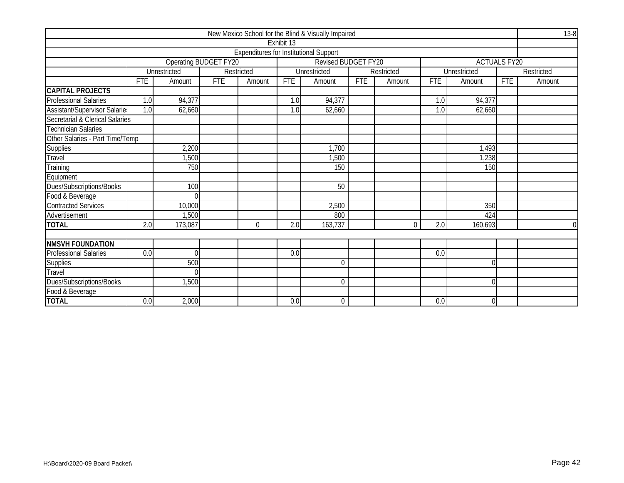|                                     |            |                       |            |                                               |            | New Mexico School for the Blind & Visually Impaired |            |            |            |              |                     | $13-8$     |
|-------------------------------------|------------|-----------------------|------------|-----------------------------------------------|------------|-----------------------------------------------------|------------|------------|------------|--------------|---------------------|------------|
|                                     |            |                       |            |                                               | Exhibit 13 |                                                     |            |            |            |              |                     |            |
|                                     |            |                       |            | <b>Expenditures for Institutional Support</b> |            |                                                     |            |            |            |              |                     |            |
|                                     |            | Operating BUDGET FY20 |            |                                               |            | Revised BUDGET FY20                                 |            |            |            |              | <b>ACTUALS FY20</b> |            |
|                                     |            | Unrestricted          |            | Restricted                                    |            | Unrestricted                                        |            | Restricted |            | Unrestricted |                     | Restricted |
|                                     | <b>FTE</b> | Amount                | <b>FTE</b> | Amount                                        | <b>FTE</b> | Amount                                              | <b>FTE</b> | Amount     | <b>FTE</b> | Amount       | FTE                 | Amount     |
| <b>CAPITAL PROJECTS</b>             |            |                       |            |                                               |            |                                                     |            |            |            |              |                     |            |
| <b>Professional Salaries</b>        | 1.0        | 94,377                |            |                                               | 1.0        | 94,377                                              |            |            | 1.0        | 94,377       |                     |            |
| <b>Assistant/Supervisor Salarie</b> | 1.0        | 62,660                |            |                                               | 1.0        | 62,660                                              |            |            | 1.0        | 62,660       |                     |            |
| Secretarial & Clerical Salaries     |            |                       |            |                                               |            |                                                     |            |            |            |              |                     |            |
| <b>Technician Salaries</b>          |            |                       |            |                                               |            |                                                     |            |            |            |              |                     |            |
| Other Salaries - Part Time/Temp     |            |                       |            |                                               |            |                                                     |            |            |            |              |                     |            |
| <b>Supplies</b>                     |            | 2,200                 |            |                                               |            | 1,700                                               |            |            |            | 1,493        |                     |            |
| Travel                              |            | ,500                  |            |                                               |            | 1,500                                               |            |            |            | 1,238        |                     |            |
| Training                            |            | 750                   |            |                                               |            | 150                                                 |            |            |            | 150          |                     |            |
| Equipment                           |            |                       |            |                                               |            |                                                     |            |            |            |              |                     |            |
| Dues/Subscriptions/Books            |            | 100                   |            |                                               |            | 50                                                  |            |            |            |              |                     |            |
| Food & Beverage                     |            | $\Omega$              |            |                                               |            |                                                     |            |            |            |              |                     |            |
| <b>Contracted Services</b>          |            | 10,000                |            |                                               |            | 2,500                                               |            |            |            | 350          |                     |            |
| Advertisement                       |            | ,500                  |            |                                               |            | 800                                                 |            |            |            | 424          |                     |            |
| <b>TOTAL</b>                        | 2.0        | 173,087               |            | $\overline{0}$                                | 2.0        | 163,737                                             |            | $\Omega$   | 2.0        | 160,693      |                     | $\Omega$   |
|                                     |            |                       |            |                                               |            |                                                     |            |            |            |              |                     |            |
| <b>NMSVH FOUNDATION</b>             |            |                       |            |                                               |            |                                                     |            |            |            |              |                     |            |
| <b>Professional Salaries</b>        | 0.0        | $\theta$              |            |                                               | 0.0        |                                                     |            |            | 0.0        |              |                     |            |
| Supplies                            |            | 500                   |            |                                               |            | $\Omega$                                            |            |            |            | 0            |                     |            |
| Travel                              |            | $\Omega$              |            |                                               |            |                                                     |            |            |            |              |                     |            |
| Dues/Subscriptions/Books            |            | 1,500                 |            |                                               |            | $\Omega$                                            |            |            |            | U            |                     |            |
| Food & Beverage                     |            |                       |            |                                               |            |                                                     |            |            |            |              |                     |            |
| <b>TOTAL</b>                        | 0.0        | 2,000                 |            |                                               | 0.0        | $\boldsymbol{0}$                                    |            |            | 0.0        | 0            |                     |            |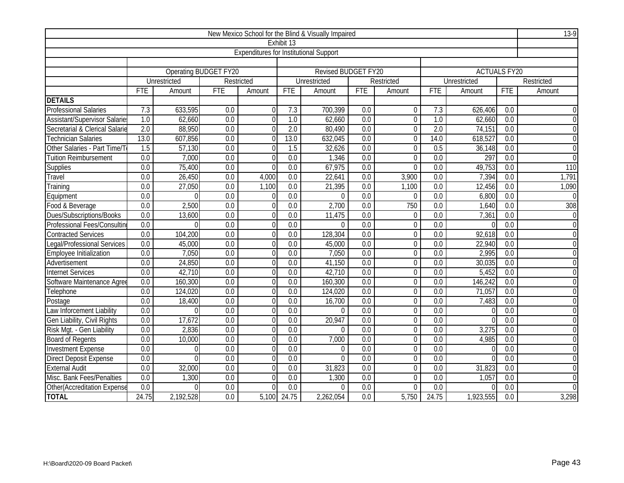|                                |                                                                                                                              |              |                              |                                               |                                                               | New Mexico School for the Blind & Visually Impaired |                  |                |                  |                     |                  | 13-9             |  |  |
|--------------------------------|------------------------------------------------------------------------------------------------------------------------------|--------------|------------------------------|-----------------------------------------------|---------------------------------------------------------------|-----------------------------------------------------|------------------|----------------|------------------|---------------------|------------------|------------------|--|--|
|                                |                                                                                                                              |              |                              |                                               | Exhibit 13                                                    |                                                     |                  |                |                  |                     |                  |                  |  |  |
|                                |                                                                                                                              |              |                              | <b>Expenditures for Institutional Support</b> |                                                               |                                                     |                  |                |                  |                     |                  |                  |  |  |
|                                |                                                                                                                              |              |                              |                                               |                                                               |                                                     |                  |                |                  |                     |                  |                  |  |  |
|                                |                                                                                                                              |              | <b>Operating BUDGET FY20</b> |                                               |                                                               | Revised BUDGET FY20                                 |                  |                |                  | <b>ACTUALS FY20</b> |                  |                  |  |  |
|                                |                                                                                                                              | Unrestricted |                              | Restricted                                    |                                                               | Unrestricted                                        |                  | Restricted     |                  | <b>Unrestricted</b> |                  | Restricted       |  |  |
|                                | <b>FTE</b>                                                                                                                   | Amount       | <b>FTE</b>                   | Amount                                        | <b>FTE</b>                                                    | Amount                                              | <b>FTE</b>       | Amount         | <b>FTE</b>       | Amount              | <b>FTE</b>       | Amount           |  |  |
| <b>DETAILS</b>                 |                                                                                                                              |              |                              |                                               |                                                               |                                                     |                  |                |                  |                     |                  |                  |  |  |
| <b>Professional Salaries</b>   | 7.3                                                                                                                          | 633,595      | $\overline{0.0}$             | $\Omega$                                      | 7.3                                                           | 700,399                                             | $\overline{0.0}$ | $\overline{0}$ | 7.3              | 626,406             | $\overline{0.0}$ |                  |  |  |
| Assistant/Supervisor Salarie   | $\overline{1.0}$                                                                                                             | 62,660       | $\overline{0.0}$             | $\Omega$                                      | $\overline{1.0}$                                              | 62,660                                              | $\overline{0.0}$ | $\Omega$       | $\overline{1.0}$ | 62,660              | $\overline{0.0}$ | $\Omega$         |  |  |
| Secretarial & Clerical Salarie | $\overline{2.0}$                                                                                                             | 88,950       | 0.0                          | $\Omega$                                      | $\overline{2.0}$                                              | 80,490                                              | 0.0              | $\overline{0}$ | $\overline{2.0}$ | 74,151              | 0.0              | $\theta$         |  |  |
| <b>Technician Salaries</b>     | 13.0<br>14.0<br>13.0<br>607,856<br>0.0<br>632,045<br>0.0<br>618,527<br>0.0<br>$\mathbf 0$<br>$\Omega$                        |              |                              |                                               |                                                               |                                                     |                  |                |                  |                     |                  |                  |  |  |
| Other Salaries - Part Time/T   | 57,130<br>0.0<br>0.5<br>1.5<br>$\overline{0.0}$<br>1.5<br>32,626<br>$\overline{0}$<br>36,148<br>$\overline{0.0}$<br>$\Omega$ |              |                              |                                               |                                                               |                                                     |                  |                |                  |                     |                  |                  |  |  |
| <b>Tuition Reimbursement</b>   | 0.0                                                                                                                          | 7,000        | 0.0                          | $\Omega$                                      | 0.0                                                           | 1,346                                               | 0.0              | $\overline{0}$ | 0.0              | 297                 | 0.0              | $\Omega$         |  |  |
| Supplies                       | 0.0                                                                                                                          | 75,400       | 0.0                          | $\Omega$                                      | 0.0                                                           | 67,975                                              | 0.0              | $\overline{0}$ | 0.0              | 49,753              | 0.0              | 110              |  |  |
| Travel                         | 0.0                                                                                                                          | 26,450       | 0.0                          | 4,000                                         | $\overline{0.0}$                                              | 22,641                                              | 0.0              | 3,900          | 0.0              | 7,394               | 0.0              | 1,791            |  |  |
| Training                       | 0.0                                                                                                                          | 27,050       | 0.0                          | 1,100                                         | 0.0                                                           | 21,395                                              | 0.0              | 1,100          | $\overline{0.0}$ | 12,456              | 0.0              | 1,090            |  |  |
| Equipment                      | 0.0<br>0.0<br>0.0<br>0.0<br>0.0<br>0.0<br>$\Omega$<br>$\Omega$<br>$\theta$<br>$\Omega$<br>6,800                              |              |                              |                                               |                                                               |                                                     |                  |                |                  |                     |                  |                  |  |  |
| Food & Beverage                | $\overline{0.0}$                                                                                                             | 2,500        | 0.0                          | $\Omega$                                      | $\overline{0.0}$                                              | 2,700                                               | 0.0              | 750            | 0.0              | 1,640               | $\overline{0.0}$ | 308              |  |  |
| Dues/Subscriptions/Books       | 0.0                                                                                                                          | 13,600       | 0.0                          | $\Omega$                                      | 0.0<br>11,475<br>0.0<br>$\overline{0}$<br>0.0<br>7,361<br>0.0 |                                                     |                  |                |                  |                     |                  |                  |  |  |
| Professional Fees/Consultin    | 0.0                                                                                                                          | $\Omega$     | 0.0                          | $\Omega$                                      | 0.0                                                           | $\Omega$                                            | 0.0              | $\mathbf 0$    | 0.0              |                     | 0.0              | $\boldsymbol{0}$ |  |  |
| <b>Contracted Services</b>     | 0.0                                                                                                                          | 104,200      | 0.0                          | $\Omega$                                      | $\overline{0.0}$                                              | 128,304                                             | 0.0              | $\Omega$       | 0.0              | 92,618              | 0.0              | $\Omega$         |  |  |
| Legal/Professional Services    | $\overline{0.0}$                                                                                                             | 45,000       | 0.0                          | $\Omega$                                      | 0.0                                                           | 45,000                                              | $\overline{0.0}$ | $\overline{0}$ | $\overline{0.0}$ | 22,940              | 0.0              | $\overline{0}$   |  |  |
| Employee Initialization        | 0.0                                                                                                                          | 7,050        | 0.0                          | $\Omega$                                      | 0.0                                                           | 7,050                                               | 0.0              | $\mathbf 0$    | 0.0              | 2,995               | 0.0              | $\overline{0}$   |  |  |
| Advertisement                  | 0.0                                                                                                                          | 24,850       | 0.0                          | $\Omega$                                      | 0.0                                                           | 41,150                                              | 0.0              | $\overline{0}$ | 0.0              | 30,035              | 0.0              | $\overline{0}$   |  |  |
| <b>Internet Services</b>       | 0.0                                                                                                                          | 42,710       | 0.0                          | $\Omega$                                      | 0.0                                                           | 42,710                                              | 0.0              | $\overline{0}$ | 0.0              | 5,452               | 0.0              | $\mathbf 0$      |  |  |
| Software Maintenance Agree     | 0.0                                                                                                                          | 160,300      | 0.0                          | $\Omega$                                      | 0.0                                                           | 160,300                                             | 0.0              | $\mathbf 0$    | 0.0              | 146,242             | 0.0              | $\boldsymbol{0}$ |  |  |
| Telephone                      | 0.0                                                                                                                          | 124,020      | 0.0                          | $\Omega$                                      | 0.0                                                           | 124,020                                             | 0.0              | $\Omega$       | 0.0              | 71,057              | 0.0              | $\overline{0}$   |  |  |
| Postage                        | $\overline{0.0}$                                                                                                             | 18,400       | 0.0                          | $\Omega$                                      | $\overline{0.0}$                                              | 16,700                                              | 0.0              | $\overline{0}$ | $\overline{0.0}$ | 7,483               | $\overline{0.0}$ | $\overline{0}$   |  |  |
| Law Inforcement Liability      | 0.0                                                                                                                          | $\Omega$     | 0.0                          | $\Omega$                                      | 0.0                                                           | $\Omega$                                            | 0.0              | $\overline{0}$ | $\overline{0.0}$ |                     | $\overline{0.0}$ | $\mathbf 0$      |  |  |
| Gen Liability, Civil Rights    | 0.0                                                                                                                          | 17,672       | 0.0                          | $\Omega$                                      | 0.0                                                           | 20,947                                              | 0.0              | $\overline{0}$ | 0.0              |                     | 0.0              | $\overline{0}$   |  |  |
| Risk Mgt. - Gen Liability      | $\overline{0.0}$                                                                                                             | 2,836        | $\overline{0.0}$             | $\Omega$                                      | $\overline{0.0}$                                              | $\Omega$                                            | $\overline{0.0}$ | $\overline{0}$ | $\overline{0.0}$ | 3,275               | $\overline{0.0}$ | $\overline{0}$   |  |  |
| <b>Board of Regents</b>        | 0.0                                                                                                                          | 10,000       | 0.0                          | $\Omega$                                      | 0.0                                                           | 7,000                                               | 0.0              | $\mathbf 0$    | 0.0              | 4,985               | 0.0              | $\mathbf 0$      |  |  |
| <b>Investment Expense</b>      | 0.0                                                                                                                          | 0            | 0.0                          | $\Omega$                                      | 0.0                                                           | $\theta$                                            | 0.0              | $\Omega$       | 0.0              |                     | 0.0              | $\theta$         |  |  |
| <b>Direct Deposit Expense</b>  | 0.0<br>0.0<br>0.0<br>0.0<br>0.0<br>$\Omega$<br>$\Omega$<br>$\overline{0}$<br>$\overline{0.0}$<br>$\Omega$                    |              |                              |                                               |                                                               |                                                     |                  |                |                  |                     |                  |                  |  |  |
| <b>External Audit</b>          | 0.0                                                                                                                          | 32,000       | 0.0                          | $\Omega$                                      | 0.0                                                           | 31,823                                              | 0.0              | $\mathbf 0$    | 0.0              | 31,823              | 0.0              | $\overline{0}$   |  |  |
| Misc. Bank Fees/Penalties      | $\overline{0.0}$                                                                                                             | 1,300        | 0.0                          | $\Omega$                                      | $\overline{0.0}$                                              | 1,300                                               | 0.0              | $\overline{0}$ | $\overline{0.0}$ | 1,057               | $\overline{0.0}$ | $\overline{0}$   |  |  |
| Other(Accreditation Expense    | 0.0                                                                                                                          | $\Omega$     | $\overline{0.0}$             | $\Omega$                                      | $\overline{0.0}$                                              | $\Omega$                                            | $\overline{0.0}$ | $\Omega$       | $\overline{0.0}$ |                     | $\overline{0.0}$ | $\Omega$         |  |  |
| <b>TOTAL</b>                   | 24.75                                                                                                                        | 2,192,528    | 0.0                          |                                               | 5,100 24.75                                                   | 2,262,054                                           | 0.0              | 5,750          | 24.75            | 1,923,555           | 0.0              | 3,298            |  |  |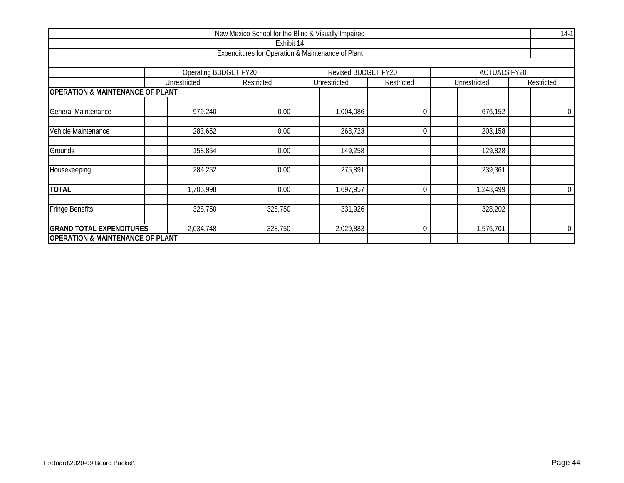|                                             |                                                                     |              | New Mexico School for the Blind & Visually Impaired |  |              |  |              |  |              |  | $14-1$           |  |  |  |  |
|---------------------------------------------|---------------------------------------------------------------------|--------------|-----------------------------------------------------|--|--------------|--|--------------|--|--------------|--|------------------|--|--|--|--|
|                                             |                                                                     |              | Exhibit 14                                          |  |              |  |              |  |              |  |                  |  |  |  |  |
|                                             |                                                                     |              | Expenditures for Operation & Maintenance of Plant   |  |              |  |              |  |              |  |                  |  |  |  |  |
|                                             | Operating BUDGET FY20<br>Revised BUDGET FY20<br><b>ACTUALS FY20</b> |              |                                                     |  |              |  |              |  |              |  |                  |  |  |  |  |
|                                             |                                                                     |              |                                                     |  |              |  |              |  |              |  |                  |  |  |  |  |
|                                             |                                                                     | Unrestricted | Restricted                                          |  | Unrestricted |  | Restricted   |  | Unrestricted |  | Restricted       |  |  |  |  |
| <b>OPERATION &amp; MAINTENANCE OF PLANT</b> |                                                                     |              |                                                     |  |              |  |              |  |              |  |                  |  |  |  |  |
| <b>General Maintenance</b>                  |                                                                     | 979,240      | 0.00                                                |  | 1,004,086    |  | 0            |  | 676,152      |  | $\boldsymbol{0}$ |  |  |  |  |
| Vehicle Maintenance                         |                                                                     | 283,652      | 0.00                                                |  | 268,723      |  | 0            |  | 203,158      |  |                  |  |  |  |  |
|                                             |                                                                     |              |                                                     |  |              |  |              |  |              |  |                  |  |  |  |  |
| Grounds                                     |                                                                     | 158,854      | 0.00                                                |  | 149,258      |  |              |  | 129,828      |  |                  |  |  |  |  |
| Housekeeping                                |                                                                     | 284,252      | 0.00                                                |  | 275,891      |  |              |  | 239,361      |  |                  |  |  |  |  |
| <b>TOTAL</b>                                |                                                                     | 1,705,998    | 0.00                                                |  | 1,697,957    |  | $\mathbf{0}$ |  | 1,248,499    |  | $\overline{0}$   |  |  |  |  |
|                                             |                                                                     |              |                                                     |  |              |  |              |  |              |  |                  |  |  |  |  |
| <b>Fringe Benefits</b>                      |                                                                     | 328,750      | 328,750                                             |  | 331,926      |  |              |  | 328,202      |  |                  |  |  |  |  |
| <b>GRAND TOTAL EXPENDITURES</b>             |                                                                     | 2,034,748    | 328,750                                             |  | 2,029,883    |  | $\mathbf{0}$ |  | 1,576,701    |  | $\overline{0}$   |  |  |  |  |
| <b>OPERATION &amp; MAINTENANCE OF PLANT</b> |                                                                     |              |                                                     |  |              |  |              |  |              |  |                  |  |  |  |  |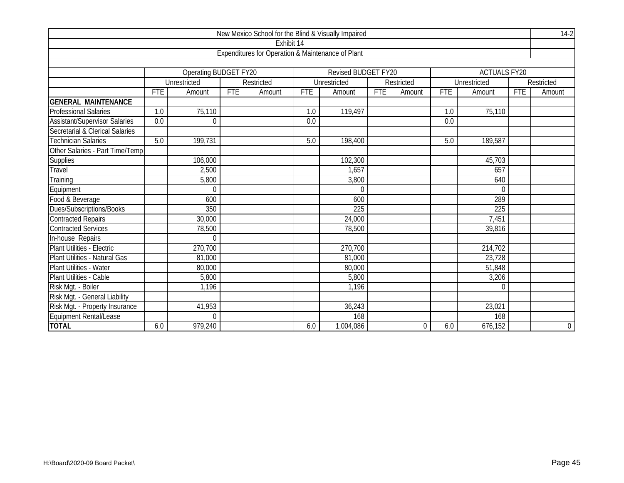|                                 |     |                       |            | New Mexico School for the Blind & Visually Impaired |            |                     |     |                  |                  |                     |            | $14-2$     |
|---------------------------------|-----|-----------------------|------------|-----------------------------------------------------|------------|---------------------|-----|------------------|------------------|---------------------|------------|------------|
|                                 |     |                       |            | Exhibit 14                                          |            |                     |     |                  |                  |                     |            |            |
|                                 |     |                       |            | Expenditures for Operation & Maintenance of Plant   |            |                     |     |                  |                  |                     |            |            |
|                                 |     |                       |            |                                                     |            |                     |     |                  |                  |                     |            |            |
|                                 |     | Operating BUDGET FY20 |            |                                                     |            | Revised BUDGET FY20 |     |                  |                  | <b>ACTUALS FY20</b> |            |            |
|                                 |     | Unrestricted          |            | Restricted                                          |            | Unrestricted        |     | Restricted       |                  | Unrestricted        |            | Restricted |
|                                 | FTE | Amount                | <b>FTE</b> | Amount                                              | <b>FTE</b> | Amount              | FTE | Amount           | <b>FTE</b>       | Amount              | <b>FTE</b> | Amount     |
| <b>GENERAL MAINTENANCE</b>      |     |                       |            |                                                     |            |                     |     |                  |                  |                     |            |            |
| <b>Professional Salaries</b>    | 1.0 | 75,110                |            |                                                     | 1.0        | 119,497             |     |                  | 1.0              | 75,110              |            |            |
| Assistant/Supervisor Salaries   | 0.0 | $\Omega$              |            |                                                     | 0.0        |                     |     |                  | $\overline{0.0}$ |                     |            |            |
| Secretarial & Clerical Salaries |     |                       |            |                                                     |            |                     |     |                  |                  |                     |            |            |
| <b>Technician Salaries</b>      | 5.0 | 199,731               |            |                                                     | 5.0        | 198,400             |     |                  | 5.0              | 189,587             |            |            |
| Other Salaries - Part Time/Temp |     |                       |            |                                                     |            |                     |     |                  |                  |                     |            |            |
| <b>Supplies</b>                 |     | 106,000               |            |                                                     |            | 102,300             |     |                  |                  | 45,703              |            |            |
| Travel                          |     | 2,500                 |            |                                                     |            | 1,657               |     |                  |                  | 657                 |            |            |
| Training                        |     | 5,800                 |            |                                                     |            | 3,800               |     |                  |                  | 640                 |            |            |
| Equipment                       |     | $\mathbf 0$           |            |                                                     |            | $\mathbf{0}$        |     |                  |                  | $\mathbf{0}$        |            |            |
| Food & Beverage                 |     | 600                   |            |                                                     |            | 600                 |     |                  |                  | 289                 |            |            |
| Dues/Subscriptions/Books        |     | 350                   |            |                                                     |            | $\overline{225}$    |     |                  |                  | $\overline{225}$    |            |            |
| <b>Contracted Repairs</b>       |     | 30,000                |            |                                                     |            | 24,000              |     |                  |                  | 7,451               |            |            |
| <b>Contracted Services</b>      |     | 78,500                |            |                                                     |            | 78,500              |     |                  |                  | 39,816              |            |            |
| In-house Repairs                |     | $\mathbf 0$           |            |                                                     |            |                     |     |                  |                  |                     |            |            |
| Plant Utilities - Electric      |     | 270,700               |            |                                                     |            | 270,700             |     |                  |                  | 214,702             |            |            |
| Plant Utilities - Natural Gas   |     | 81,000                |            |                                                     |            | 81,000              |     |                  |                  | 23,728              |            |            |
| Plant Utilities - Water         |     | 80,000                |            |                                                     |            | 80,000              |     |                  |                  | 51,848              |            |            |
| Plant Utilities - Cable         |     | 5,800                 |            |                                                     |            | 5,800               |     |                  |                  | 3,206               |            |            |
| Risk Mgt. - Boiler              |     | 1,196                 |            |                                                     |            | 1,196               |     |                  |                  | $\mathbf{0}$        |            |            |
| Risk Mgt. - General Liability   |     |                       |            |                                                     |            |                     |     |                  |                  |                     |            |            |
| Risk Mgt. - Property Insurance  |     | 41,953                |            |                                                     |            | 36,243              |     |                  |                  | 23,021              |            |            |
| Equipment Rental/Lease          |     | $\theta$              |            |                                                     |            | 168                 |     |                  |                  | 168                 |            |            |
| <b>TOTAL</b>                    | 6.0 | 979,240               |            |                                                     | 6.0        | 1,004,086           |     | $\boldsymbol{0}$ | 6.0              | 676,152             |            | $0\,$      |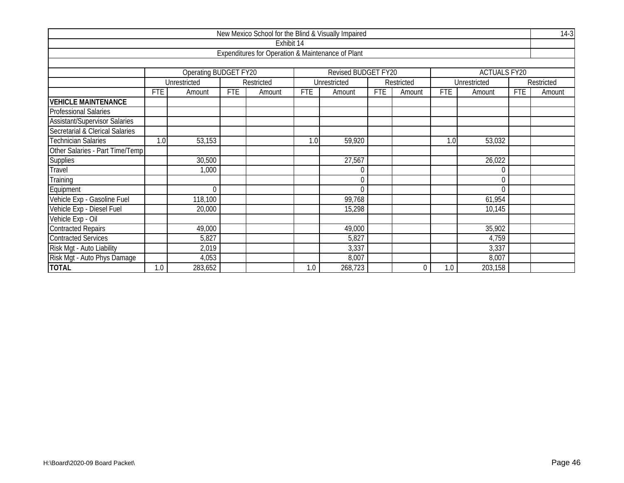|                                      |                                                                     |              |            |                                                   |            | New Mexico School for the Blind & Visually Impaired |            |            |            |              |            | $14-3$     |  |  |  |
|--------------------------------------|---------------------------------------------------------------------|--------------|------------|---------------------------------------------------|------------|-----------------------------------------------------|------------|------------|------------|--------------|------------|------------|--|--|--|
|                                      |                                                                     |              |            | Exhibit 14                                        |            |                                                     |            |            |            |              |            |            |  |  |  |
|                                      |                                                                     |              |            | Expenditures for Operation & Maintenance of Plant |            |                                                     |            |            |            |              |            |            |  |  |  |
|                                      |                                                                     |              |            |                                                   |            |                                                     |            |            |            |              |            |            |  |  |  |
|                                      | Operating BUDGET FY20<br>Revised BUDGET FY20<br><b>ACTUALS FY20</b> |              |            |                                                   |            |                                                     |            |            |            |              |            |            |  |  |  |
|                                      |                                                                     | Unrestricted |            | Restricted                                        |            | Unrestricted                                        |            | Restricted |            | Unrestricted |            | Restricted |  |  |  |
|                                      | <b>FTE</b>                                                          | Amount       | <b>FTE</b> | Amount                                            | <b>FTE</b> | Amount                                              | <b>FTE</b> | Amount     | <b>FTE</b> | Amount       | <b>FTE</b> | Amount     |  |  |  |
| <b>VEHICLE MAINTENANCE</b>           |                                                                     |              |            |                                                   |            |                                                     |            |            |            |              |            |            |  |  |  |
| <b>Professional Salaries</b>         |                                                                     |              |            |                                                   |            |                                                     |            |            |            |              |            |            |  |  |  |
| <b>Assistant/Supervisor Salaries</b> |                                                                     |              |            |                                                   |            |                                                     |            |            |            |              |            |            |  |  |  |
| Secretarial & Clerical Salaries      |                                                                     |              |            |                                                   |            |                                                     |            |            |            |              |            |            |  |  |  |
| <b>Technician Salaries</b>           | 1.0                                                                 | 53,153       |            |                                                   | 1.0        | 59,920                                              |            |            | 1.0        | 53,032       |            |            |  |  |  |
| Other Salaries - Part Time/Temp      |                                                                     |              |            |                                                   |            |                                                     |            |            |            |              |            |            |  |  |  |
| Supplies                             |                                                                     | 30,500       |            |                                                   |            | 27,567                                              |            |            |            | 26,022       |            |            |  |  |  |
| Travel                               |                                                                     | 1,000        |            |                                                   |            | $\mathbf 0$                                         |            |            |            | $\theta$     |            |            |  |  |  |
| Training                             |                                                                     |              |            |                                                   |            | $\mathbf 0$                                         |            |            |            | $\mathbf{0}$ |            |            |  |  |  |
| Equipment                            |                                                                     | $\theta$     |            |                                                   |            | $\theta$                                            |            |            |            | $\Omega$     |            |            |  |  |  |
| Vehicle Exp - Gasoline Fuel          |                                                                     | 118,100      |            |                                                   |            | 99,768                                              |            |            |            | 61,954       |            |            |  |  |  |
| Vehicle Exp - Diesel Fuel            |                                                                     | 20,000       |            |                                                   |            | 15,298                                              |            |            |            | 10,145       |            |            |  |  |  |
| Vehicle Exp - Oil                    |                                                                     |              |            |                                                   |            |                                                     |            |            |            |              |            |            |  |  |  |
| <b>Contracted Repairs</b>            |                                                                     | 49,000       |            |                                                   |            | 49,000                                              |            |            |            | 35,902       |            |            |  |  |  |
| <b>Contracted Services</b>           |                                                                     | 5,827        |            |                                                   |            | 5,827                                               |            |            |            | 4,759        |            |            |  |  |  |
| Risk Mgt - Auto Liability            |                                                                     | 2,019        |            |                                                   |            | 3,337                                               |            |            |            | 3,337        |            |            |  |  |  |
| Risk Mgt - Auto Phys Damage          |                                                                     | 4,053        |            |                                                   |            | 8,007                                               |            |            |            | 8,007        |            |            |  |  |  |
| <b>TOTAL</b>                         | 1.0                                                                 | 283,652      |            |                                                   | 1.0        | 268,723                                             |            | 0          | 1.0        | 203,158      |            |            |  |  |  |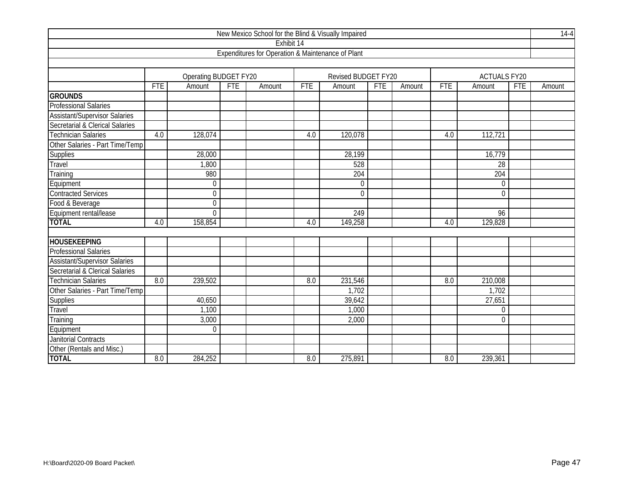|                                      |            |                       |     |                                                   |            | New Mexico School for the Blind & Visually Impaired |            |        |            |                     |            | $14-4$ |
|--------------------------------------|------------|-----------------------|-----|---------------------------------------------------|------------|-----------------------------------------------------|------------|--------|------------|---------------------|------------|--------|
|                                      |            |                       |     | Exhibit 14                                        |            |                                                     |            |        |            |                     |            |        |
|                                      |            |                       |     | Expenditures for Operation & Maintenance of Plant |            |                                                     |            |        |            |                     |            |        |
|                                      |            |                       |     |                                                   |            |                                                     |            |        |            |                     |            |        |
|                                      |            | Operating BUDGET FY20 |     |                                                   |            | Revised BUDGET FY20                                 |            |        |            | <b>ACTUALS FY20</b> |            |        |
|                                      | <b>FTE</b> | Amount                | FTE | Amount                                            | <b>FTE</b> | Amount                                              | <b>FTE</b> | Amount | <b>FTE</b> | Amount              | <b>FTE</b> | Amount |
| <b>GROUNDS</b>                       |            |                       |     |                                                   |            |                                                     |            |        |            |                     |            |        |
| <b>Professional Salaries</b>         |            |                       |     |                                                   |            |                                                     |            |        |            |                     |            |        |
| <b>Assistant/Supervisor Salaries</b> |            |                       |     |                                                   |            |                                                     |            |        |            |                     |            |        |
| Secretarial & Clerical Salaries      |            |                       |     |                                                   |            |                                                     |            |        |            |                     |            |        |
| <b>Technician Salaries</b>           | 4.0        | 128,074               |     |                                                   | 4.0        | 120,078                                             |            |        | 4.0        | 112,721             |            |        |
| Other Salaries - Part Time/Temp      |            |                       |     |                                                   |            |                                                     |            |        |            |                     |            |        |
| <b>Supplies</b>                      |            | 28,000                |     |                                                   |            | 28,199                                              |            |        |            | 16,779              |            |        |
| <b>Travel</b>                        |            | 1,800                 |     |                                                   |            | 528                                                 |            |        |            | 28                  |            |        |
| Training                             |            | 980                   |     |                                                   |            | 204                                                 |            |        |            | 204                 |            |        |
| Equipment                            |            | $\mathbf 0$           |     |                                                   |            | $\mathbf 0$                                         |            |        |            | $\boldsymbol{0}$    |            |        |
| <b>Contracted Services</b>           |            | $\theta$              |     |                                                   |            | $\theta$                                            |            |        |            | $\overline{0}$      |            |        |
| Food & Beverage                      |            | $\theta$              |     |                                                   |            |                                                     |            |        |            |                     |            |        |
| Equipment rental/lease               |            | $\overline{0}$        |     |                                                   |            | 249                                                 |            |        |            | 96                  |            |        |
| <b>TOTAL</b>                         | 4.0        | 158,854               |     |                                                   | 4.0        | 149,258                                             |            |        | 4.0        | 129,828             |            |        |
|                                      |            |                       |     |                                                   |            |                                                     |            |        |            |                     |            |        |
| <b>HOUSEKEEPING</b>                  |            |                       |     |                                                   |            |                                                     |            |        |            |                     |            |        |
| <b>Professional Salaries</b>         |            |                       |     |                                                   |            |                                                     |            |        |            |                     |            |        |
| <b>Assistant/Supervisor Salaries</b> |            |                       |     |                                                   |            |                                                     |            |        |            |                     |            |        |
| Secretarial & Clerical Salaries      |            |                       |     |                                                   |            |                                                     |            |        |            |                     |            |        |
| <b>Technician Salaries</b>           | 8.0        | 239,502               |     |                                                   | 8.0        | 231,546                                             |            |        | 8.0        | 210,008             |            |        |
| Other Salaries - Part Time/Temp      |            |                       |     |                                                   |            | 1,702                                               |            |        |            | 1,702               |            |        |
| Supplies                             |            | 40,650                |     |                                                   |            | 39,642                                              |            |        |            | 27,651              |            |        |
| Travel                               |            | 1,100                 |     |                                                   |            | 1,000                                               |            |        |            | 0                   |            |        |
| Training                             |            | 3,000                 |     |                                                   |            | 2,000                                               |            |        |            | $\mathbf{0}$        |            |        |
| Equipment                            |            | $\theta$              |     |                                                   |            |                                                     |            |        |            |                     |            |        |
| <b>Janitorial Contracts</b>          |            |                       |     |                                                   |            |                                                     |            |        |            |                     |            |        |
| Other (Rentals and Misc.)            |            |                       |     |                                                   |            |                                                     |            |        |            |                     |            |        |
| <b>TOTAL</b>                         | 8.0        | 284,252               |     |                                                   | 8.0        | 275,891                                             |            |        | 8.0        | 239,361             |            |        |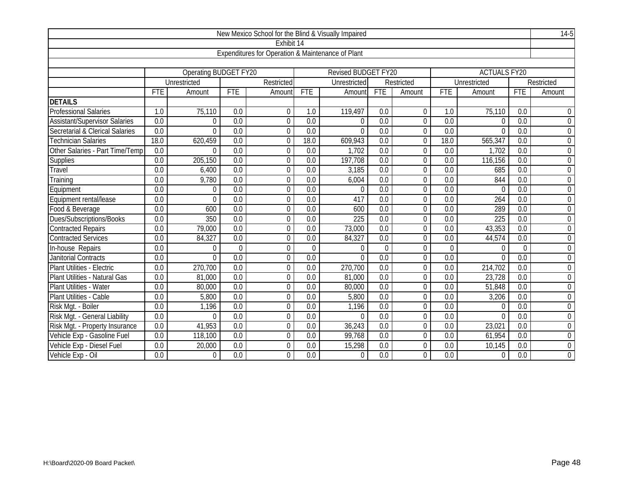|                                      |                  |                       |                  | New Mexico School for the Blind & Visually Impaired |                  |                            |                  |                |                  |                     |                  | $14-5$           |
|--------------------------------------|------------------|-----------------------|------------------|-----------------------------------------------------|------------------|----------------------------|------------------|----------------|------------------|---------------------|------------------|------------------|
|                                      |                  |                       |                  | Exhibit 14                                          |                  |                            |                  |                |                  |                     |                  |                  |
|                                      |                  |                       |                  | Expenditures for Operation & Maintenance of Plant   |                  |                            |                  |                |                  |                     |                  |                  |
|                                      |                  |                       |                  |                                                     |                  |                            |                  |                |                  |                     |                  |                  |
|                                      |                  | Operating BUDGET FY20 |                  |                                                     |                  | <b>Revised BUDGET FY20</b> |                  |                |                  | <b>ACTUALS FY20</b> |                  |                  |
|                                      |                  | Unrestricted          |                  | Restricted                                          |                  | Unrestricted               |                  | Restricted     |                  | Unrestricted        |                  | Restricted       |
|                                      | <b>FTE</b>       | Amount                | <b>FTE</b>       | Amount                                              | <b>FTE</b>       | Amount                     | <b>FTE</b>       | Amount         | <b>FTE</b>       | Amount              | <b>FTE</b>       | Amount           |
| <b>DETAILS</b>                       |                  |                       |                  |                                                     |                  |                            |                  |                |                  |                     |                  |                  |
| <b>Professional Salaries</b>         | 1.0              | 75,110                | $\overline{0.0}$ | 0                                                   | 1.0              | 119,497                    | 0.0              | $\mathbf 0$    | 1.0              | 75,110              | 0.0              | $\Omega$         |
| <b>Assistant/Supervisor Salaries</b> | 0.0              | $\Omega$              | 0.0              | $\overline{0}$                                      | $\overline{0.0}$ | $\mathbf{0}$               | $\overline{0.0}$ | $\overline{0}$ | 0.0              | $\theta$            | $\overline{0.0}$ | $\mathbf 0$      |
| Secretarial & Clerical Salaries      | 0.0              | $\Omega$              | 0.0              | $\overline{0}$                                      | $\overline{0.0}$ | $\overline{0}$             | 0.0              | $\overline{0}$ | 0.0              | $\Omega$            | 0.0              | $\overline{0}$   |
| <b>Technician Salaries</b>           | 18.0             | 620,459               | 0.0              | 0                                                   | 18.0             | 609,943                    | $\overline{0.0}$ | $\theta$       | 18.0             | 565,347             | 0.0              | $\overline{0}$   |
| Other Salaries - Part Time/Temp      | $\overline{0.0}$ | $\Omega$              | 0.0              | 0                                                   | $\overline{0.0}$ | 1,702                      | 0.0              | $\theta$       | 0.0              | 1,702               | 0.0              | $\overline{0}$   |
| Supplies                             | 0.0              | 205,150               | 0.0              | $\overline{0}$                                      | $\overline{0.0}$ | 197,708                    | 0.0              | $\theta$       | $\overline{0.0}$ | 116,156             | 0.0              | $\overline{0}$   |
| Travel                               | 0.0              | 6,400                 | 0.0              | $\mathbf 0$                                         | 0.0              | 3,185                      | 0.0              | $\overline{0}$ | 0.0              | 685                 | 0.0              | $\mathbf 0$      |
| Training                             | $\overline{0.0}$ | 9,780                 | $\overline{0.0}$ | $\mathbf 0$                                         | $\overline{0.0}$ | 6,004                      | $\overline{0.0}$ | $\mathbf 0$    | 0.0              | 844                 | $\overline{0.0}$ | $\boldsymbol{0}$ |
| Equipment                            | 0.0              | $\overline{0}$        | 0.0              | $\mathbf 0$                                         | 0.0              | $\mathbf{0}$               | 0.0              | $\Omega$       | 0.0              | $\Omega$            | 0.0              | $\overline{0}$   |
| Equipment rental/lease               | 0.0              | $\Omega$              | $\overline{0.0}$ | $\mathbf 0$                                         | $\overline{0.0}$ | 417                        | 0.0              | $\Omega$       | 0.0              | 264                 | 0.0              | $\mathbf 0$      |
| Food & Beverage                      | 0.0              | 600                   | $\overline{0.0}$ | $\overline{0}$                                      | 0.0              | 600                        | 0.0              | $\overline{0}$ | 0.0              | 289                 | 0.0              | $\overline{0}$   |
| Dues/Subscriptions/Books             | $\overline{0.0}$ | 350                   | 0.0              | $\overline{0}$                                      | $\overline{0.0}$ | 225                        | $\overline{0.0}$ | $\overline{0}$ | $\overline{0.0}$ | $\overline{225}$    | $\overline{0.0}$ | $\overline{0}$   |
| <b>Contracted Repairs</b>            | 0.0              | 79,000                | $\overline{0.0}$ | $\mathbf 0$                                         | 0.0              | 73,000                     | 0.0              | $\overline{0}$ | 0.0              | 43,353              | 0.0              | $\mathbf 0$      |
| <b>Contracted Services</b>           | 0.0              | 84,327                | $\overline{0.0}$ | $\overline{0}$                                      | $\overline{0.0}$ | 84,327                     | $\overline{0.0}$ | $\overline{0}$ | $\overline{0.0}$ | 44,574              | 0.0              | $\overline{0}$   |
| In-house Repairs                     | 0.0              | $\Omega$              | $\overline{0}$   | 0                                                   | $\overline{0}$   | 0                          | $\Omega$         | $\overline{0}$ | $\mathbf 0$      | $\theta$            | $\Omega$         | $\mathbf 0$      |
| <b>Janitorial Contracts</b>          | $\overline{0.0}$ | $\Omega$              | 0.0              | $\overline{0}$                                      | $\overline{0.0}$ | $\overline{0}$             | 0.0              | $\mathbf{0}$   | 0.0              | $\overline{0}$      | $\overline{0.0}$ | $\boldsymbol{0}$ |
| Plant Utilities - Electric           | 0.0              | 270,700               | 0.0              | $\overline{0}$                                      | 0.0              | 270,700                    | 0.0              | $\theta$       | 0.0              | 214,702             | 0.0              | $\overline{0}$   |
| Plant Utilities - Natural Gas        | $\overline{0.0}$ | 81,000                | $\overline{0.0}$ | $\overline{0}$                                      | 0.0              | 81,000                     | $\overline{0.0}$ | $\overline{0}$ | $\overline{0.0}$ | 23,728              | $\overline{0.0}$ | $\overline{0}$   |
| Plant Utilities - Water              | 0.0              | 80,000                | 0.0              | $\mathbf 0$                                         | 0.0              | 80,000                     | 0.0              | $\overline{0}$ | 0.0              | 51,848              | 0.0              | $\overline{0}$   |
| Plant Utilities - Cable              | $\overline{0.0}$ | 5,800                 | $\overline{0.0}$ | $\mathbf 0$                                         | $\overline{0.0}$ | 5,800                      | $\overline{0.0}$ | $\overline{0}$ | $\overline{0.0}$ | 3,206               | $\overline{0.0}$ | $\overline{0}$   |
| Risk Mgt. - Boiler                   | 0.0              | 1,196                 | 0.0              | $\mathbf 0$                                         | 0.0              | 1,196                      | 0.0              | $\Omega$       | 0.0              | $\theta$            | 0.0              | $\mathbf 0$      |
| Risk Mgt. - General Liability        | 0.0              | $\Omega$              | 0.0              | $\overline{0}$                                      | 0.0              | $\Omega$                   | 0.0              | $\Omega$       | 0.0              | $\Omega$            | 0.0              | $\overline{0}$   |
| Risk Mgt. - Property Insurance       | 0.0              | 41,953                | 0.0              | $\overline{0}$                                      | 0.0              | 36,243                     | 0.0              | $\overline{0}$ | 0.0              | 23,021              | 0.0              | $\mathbf 0$      |
| Vehicle Exp - Gasoline Fuel          | 0.0              | 118,100               | $\overline{0.0}$ | $\mathbf 0$                                         | 0.0              | 99,768                     | 0.0              | $\mathbf 0$    | 0.0              | 61,954              | 0.0              | $\overline{0}$   |
| Vehicle Exp - Diesel Fuel            | 0.0              | 20,000                | 0.0              | $\overline{0}$                                      | 0.0              | 15,298                     | 0.0              | $\overline{0}$ | 0.0              | 10,145              | 0.0              | $\overline{0}$   |
| Vehicle Exp - Oil                    | 0.0              | $\Omega$              | 0.0              | 0                                                   | 0.0              | $\overline{0}$             | 0.0              | $\Omega$       | 0.0              | $\theta$            | 0.0              | $\overline{0}$   |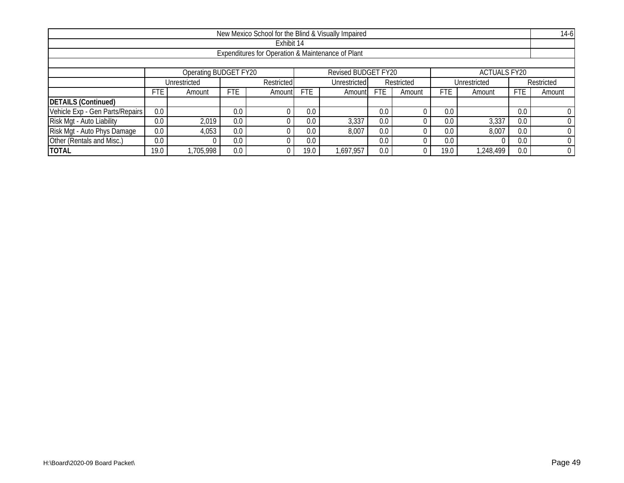| New Mexico School for the Blind & Visually Impaired |                                                                     |              |            |        |      |                            |            |              |      |           |            | $14-6$         |  |
|-----------------------------------------------------|---------------------------------------------------------------------|--------------|------------|--------|------|----------------------------|------------|--------------|------|-----------|------------|----------------|--|
| Exhibit 14                                          |                                                                     |              |            |        |      |                            |            |              |      |           |            |                |  |
| Expenditures for Operation & Maintenance of Plant   |                                                                     |              |            |        |      |                            |            |              |      |           |            |                |  |
|                                                     |                                                                     |              |            |        |      |                            |            |              |      |           |            |                |  |
|                                                     | Operating BUDGET FY20<br>Revised BUDGET FY20<br><b>ACTUALS FY20</b> |              |            |        |      |                            |            |              |      |           |            |                |  |
|                                                     |                                                                     | Unrestricted | Restricted |        |      | Unrestricted<br>Restricted |            | Unrestricted |      |           | Restricted |                |  |
|                                                     | FTE.                                                                | Amount       | <b>FTE</b> | Amount | FTE. | Amount                     | <b>FTE</b> | Amount       | FTE  | Amount    | <b>FTE</b> | Amount         |  |
| <b>DETAILS (Continued)</b>                          |                                                                     |              |            |        |      |                            |            |              |      |           |            |                |  |
| Vehicle Exp - Gen Parts/Repairs                     | 0.0                                                                 |              | 0.0        |        | 0.0  |                            | 0.0        |              | 0.0  |           | 0.0        |                |  |
| Risk Mgt - Auto Liability                           | 0.0                                                                 | 2,019        | 0.0        |        | 0.0  | 3,337                      | 0.0        |              | 0.0  | 3,337     | 0.0        | $\Omega$       |  |
| Risk Mgt - Auto Phys Damage                         | 0.0 <sub>1</sub>                                                    | 4,053        | 0.0        |        | 0.0  | 8,007                      | 0.0        |              | 0.0  | 8,007     | 0.0        | $\overline{0}$ |  |
| Other (Rentals and Misc.)                           | 0.0                                                                 |              | 0.0        |        | 0.0  |                            | 0.0        |              | 0.0  |           | 0.0        | $\overline{0}$ |  |
| <b>TOTAL</b>                                        | 19.0                                                                | ,705,998     | 0.0        |        | 19.0 | 697,957                    | 0.0        |              | 19.0 | 1,248,499 | 0.0        | $\overline{0}$ |  |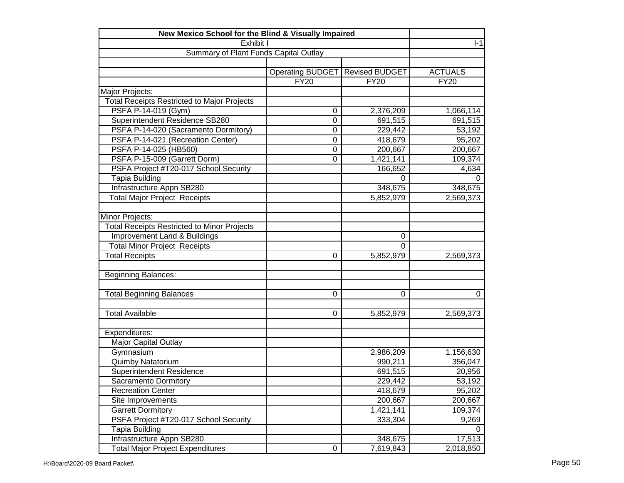| New Mexico School for the Blind & Visually Impaired |                         |                       |                        |
|-----------------------------------------------------|-------------------------|-----------------------|------------------------|
| Exhibit I                                           | $I-1$                   |                       |                        |
| Summary of Plant Funds Capital Outlay               |                         |                       |                        |
|                                                     |                         |                       |                        |
|                                                     | <b>Operating BUDGET</b> | <b>Revised BUDGET</b> | <b>ACTUALS</b>         |
|                                                     | <b>FY20</b>             | <b>FY20</b>           | <b>FY20</b>            |
| Major Projects:                                     |                         |                       |                        |
| <b>Total Receipts Restricted to Major Projects</b>  |                         |                       |                        |
| PSFA P-14-019 (Gym)                                 | 0                       | 2,376,209             | 1,066,114              |
| Superintendent Residence SB280                      | $\mathbf 0$             | 691,515               | 691,515                |
| PSFA P-14-020 (Sacramento Dormitory)                | $\mathbf 0$             | 229,442               | 53,192                 |
| PSFA P-14-021 (Recreation Center)                   | $\Omega$                | 418,679               | 95,202                 |
| PSFA P-14-025 (HB560)                               | 0                       | 200,667               | 200,667                |
| PSFA P-15-009 (Garrett Dorm)                        | 0                       | 1,421,141             | 109,374                |
| PSFA Project #T20-017 School Security               |                         | 166,652               | 4,634                  |
| Tapia Building                                      |                         | 0                     | 0                      |
| Infrastructure Appn SB280                           |                         | 348,675               | 348,675                |
| <b>Total Major Project Receipts</b>                 |                         | 5,852,979             | 2,569,373              |
|                                                     |                         |                       |                        |
| Minor Projects:                                     |                         |                       |                        |
| <b>Total Receipts Restricted to Minor Projects</b>  |                         |                       |                        |
| Improvement Land & Buildings                        |                         | 0                     |                        |
| <b>Total Minor Project Receipts</b>                 |                         | $\mathbf 0$           |                        |
| <b>Total Receipts</b>                               | 0                       | 5,852,979             | 2,569,373              |
|                                                     |                         |                       |                        |
| <b>Beginning Balances:</b>                          |                         |                       |                        |
|                                                     |                         |                       |                        |
| <b>Total Beginning Balances</b>                     | 0                       | 0                     | 0                      |
|                                                     |                         |                       |                        |
| <b>Total Available</b>                              | 0                       | 5,852,979             | 2,569,373              |
|                                                     |                         |                       |                        |
| Expenditures:                                       |                         |                       |                        |
| Major Capital Outlay                                |                         |                       |                        |
| Gymnasium                                           |                         | 2,986,209             | 1,156,630              |
| Quimby Natatorium                                   |                         | 990,211               | 356,047                |
| Superintendent Residence                            |                         | 691,515               | 20,956                 |
| Sacramento Dormitory                                |                         | 229,442               | 53,192                 |
| <b>Recreation Center</b>                            |                         | 418,679               | 95,202                 |
| Site Improvements                                   |                         | 200,667               | 200,667                |
| <b>Garrett Dormitory</b>                            |                         | 1,421,141             | 109,374                |
| PSFA Project #T20-017 School Security               |                         | 333,304               | 9,269                  |
| Tapia Building                                      |                         |                       | 0                      |
| Infrastructure Appn SB280                           |                         | 348,675               | 17,513                 |
| <b>Total Major Project Expenditures</b>             | 0                       | 7,619,843             | $\overline{2,}018,850$ |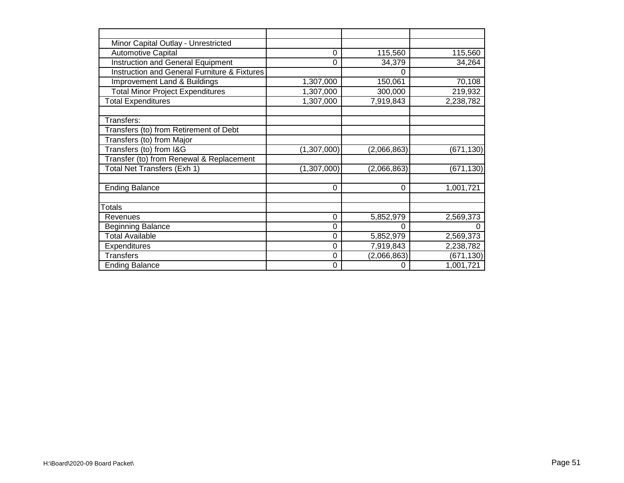| Minor Capital Outlay - Unrestricted                     |             |             |            |
|---------------------------------------------------------|-------------|-------------|------------|
| <b>Automotive Capital</b>                               | 0           | 115,560     | 115,560    |
| Instruction and General Equipment                       | 0           | 34,379      | 34,264     |
| <b>Instruction and General Furniture &amp; Fixtures</b> |             | 0           |            |
| Improvement Land & Buildings                            | 1,307,000   | 150,061     | 70,108     |
| <b>Total Minor Project Expenditures</b>                 | 1,307,000   | 300,000     | 219,932    |
| <b>Total Expenditures</b>                               | 1,307,000   | 7,919,843   | 2,238,782  |
| Transfers:                                              |             |             |            |
| Transfers (to) from Retirement of Debt                  |             |             |            |
| Transfers (to) from Major                               |             |             |            |
| Transfers (to) from I&G                                 | (1,307,000) | (2,066,863) | (671, 130) |
| Transfer (to) from Renewal & Replacement                |             |             |            |
| Total Net Transfers (Exh 1)                             | (1,307,000) | (2,066,863) | (671, 130) |
| <b>Ending Balance</b>                                   | 0           | $\Omega$    | 1,001,721  |
| <b>Totals</b>                                           |             |             |            |
| Revenues                                                | 0           | 5,852,979   | 2,569,373  |
| Beginning Balance                                       | 0           |             |            |
| <b>Total Available</b>                                  | 0           | 5,852,979   | 2,569,373  |
| Expenditures                                            | 0           | 7,919,843   | 2,238,782  |
| <b>Transfers</b>                                        | 0           | (2,066,863) | (671, 130) |
| <b>Ending Balance</b>                                   | 0           | $\Omega$    | 1,001,721  |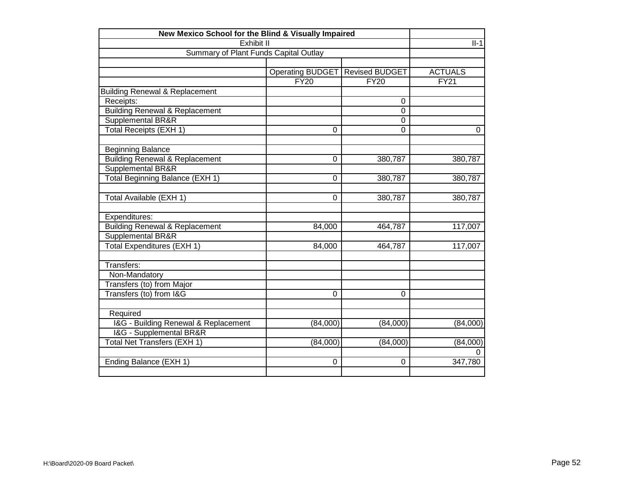| New Mexico School for the Blind & Visually Impaired            |                         |                       |                   |
|----------------------------------------------------------------|-------------------------|-----------------------|-------------------|
| Exhibit II                                                     | $II-1$                  |                       |                   |
| Summary of Plant Funds Capital Outlay                          |                         |                       |                   |
|                                                                |                         |                       |                   |
|                                                                | <b>Operating BUDGET</b> | <b>Revised BUDGET</b> | <b>ACTUALS</b>    |
|                                                                | FY20                    | <b>FY20</b>           | $\overline{FY21}$ |
| <b>Building Renewal &amp; Replacement</b>                      |                         |                       |                   |
| Receipts:                                                      |                         | $\Omega$              |                   |
| <b>Building Renewal &amp; Replacement</b>                      |                         | $\mathbf 0$           |                   |
| Supplemental BR&R                                              |                         | $\Omega$              |                   |
| Total Receipts (EXH 1)                                         | 0                       | $\Omega$              | 0                 |
| <b>Beginning Balance</b>                                       |                         |                       |                   |
|                                                                | 0                       | 380,787               | 380,787           |
| <b>Building Renewal &amp; Replacement</b><br>Supplemental BR&R |                         |                       |                   |
| Total Beginning Balance (EXH 1)                                | 0                       | 380,787               |                   |
|                                                                |                         |                       | 380,787           |
| Total Available (EXH 1)                                        | 0                       | 380,787               | 380,787           |
| Expenditures:                                                  |                         |                       |                   |
| <b>Building Renewal &amp; Replacement</b>                      | 84,000                  | 464,787               | 117,007           |
| Supplemental BR&R                                              |                         |                       |                   |
| Total Expenditures (EXH 1)                                     | 84,000                  | 464,787               | 117,007           |
|                                                                |                         |                       |                   |
| Transfers:                                                     |                         |                       |                   |
| Non-Mandatory                                                  |                         |                       |                   |
| Transfers (to) from Major                                      |                         |                       |                   |
| Transfers (to) from I&G                                        | $\Omega$                | $\Omega$              |                   |
|                                                                |                         |                       |                   |
| Required                                                       |                         |                       |                   |
| I&G - Building Renewal & Replacement                           | (84,000)                | (84,000)              | (84,000)          |
| <b>I&amp;G</b> - Supplemental BR&R                             |                         |                       |                   |
| Total Net Transfers (EXH 1)                                    | (84,000)                | (84,000)              | (84,000)          |
|                                                                |                         |                       | 0                 |
| Ending Balance (EXH 1)                                         | 0                       | 0                     | 347,780           |
|                                                                |                         |                       |                   |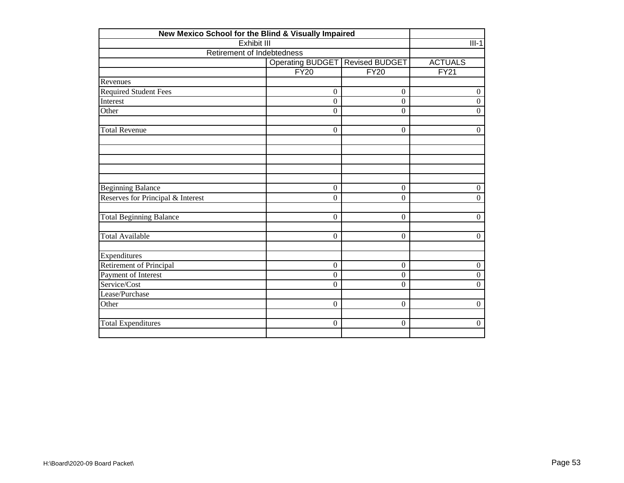| New Mexico School for the Blind & Visually Impaired |                         |                       |                  |
|-----------------------------------------------------|-------------------------|-----------------------|------------------|
| <b>Exhibit III</b>                                  | $III-1$                 |                       |                  |
| Retirement of Indebtedness                          |                         |                       |                  |
|                                                     | <b>Operating BUDGET</b> | <b>Revised BUDGET</b> | <b>ACTUALS</b>   |
|                                                     | <b>FY20</b>             | <b>FY20</b>           | FY21             |
| Revenues                                            |                         |                       |                  |
| <b>Required Student Fees</b>                        | $\mathbf{0}$            | $\overline{0}$        | $\boldsymbol{0}$ |
| Interest                                            | $\mathbf{0}$            | $\Omega$              | $\overline{0}$   |
| Other                                               | $\boldsymbol{0}$        | $\overline{0}$        | $\boldsymbol{0}$ |
| <b>Total Revenue</b>                                | $\mathbf{0}$            | $\overline{0}$        | $\overline{0}$   |
|                                                     |                         |                       |                  |
|                                                     |                         |                       |                  |
|                                                     |                         |                       |                  |
| <b>Beginning Balance</b>                            | $\boldsymbol{0}$        | $\boldsymbol{0}$      | $\boldsymbol{0}$ |
| Reserves for Principal & Interest                   | $\overline{0}$          | $\Omega$              | $\overline{0}$   |
| <b>Total Beginning Balance</b>                      | $\mathbf{0}$            | $\Omega$              | $\boldsymbol{0}$ |
| <b>Total Available</b>                              | $\boldsymbol{0}$        | $\overline{0}$        | $\overline{0}$   |
| Expenditures                                        |                         |                       |                  |
| <b>Retirement of Principal</b>                      | $\mathbf{0}$            | $\overline{0}$        | $\boldsymbol{0}$ |
| Payment of Interest                                 | $\Omega$                | $\Omega$              | $\overline{0}$   |
| Service/Cost                                        | $\mathbf{0}$            | $\mathbf{0}$          | $\overline{0}$   |
| Lease/Purchase                                      |                         |                       |                  |
| Other                                               | $\mathbf{0}$            | $\Omega$              | $\overline{0}$   |
| <b>Total Expenditures</b>                           | $\Omega$                | $\Omega$              | $\mathbf{0}$     |
|                                                     |                         |                       |                  |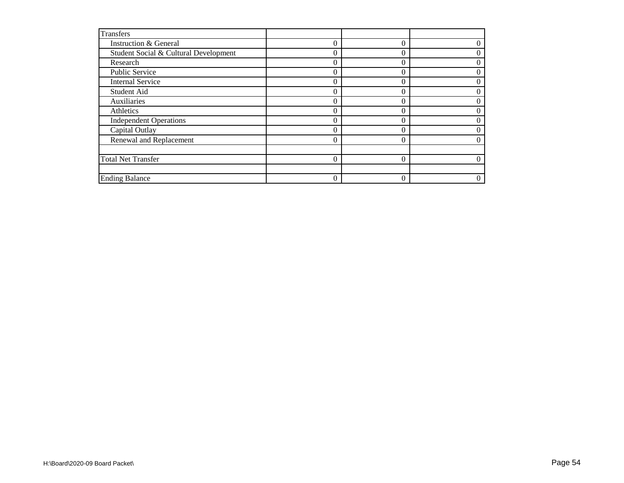| <b>Transfers</b>                      |          |   |
|---------------------------------------|----------|---|
| <b>Instruction &amp; General</b>      | $\Omega$ | 0 |
| Student Social & Cultural Development | $\Omega$ | 0 |
| Research                              | $\Omega$ | 0 |
| Public Service                        | $\theta$ | 0 |
| <b>Internal Service</b>               | $\Omega$ | 0 |
| Student Aid                           | $\Omega$ | 0 |
| Auxiliaries                           | $\Omega$ | 0 |
| Athletics                             | $\Omega$ | 0 |
| <b>Independent Operations</b>         | $\Omega$ | 0 |
| Capital Outlay                        | 0        | 0 |
| Renewal and Replacement               | $\Omega$ | 0 |
|                                       |          |   |
| <b>Total Net Transfer</b>             |          |   |
|                                       |          |   |
| <b>Ending Balance</b>                 | $\Omega$ | 0 |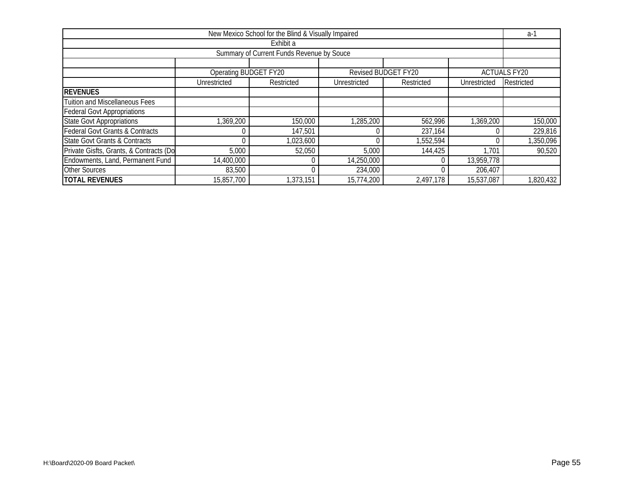| New Mexico School for the Blind & Visually Impaired |                       |            |              |                     |              |                     |  |  |  |  |  |
|-----------------------------------------------------|-----------------------|------------|--------------|---------------------|--------------|---------------------|--|--|--|--|--|
| Exhibit a                                           |                       |            |              |                     |              |                     |  |  |  |  |  |
| Summary of Current Funds Revenue by Souce           |                       |            |              |                     |              |                     |  |  |  |  |  |
|                                                     |                       |            |              |                     |              |                     |  |  |  |  |  |
|                                                     | Operating BUDGET FY20 |            |              | Revised BUDGET FY20 |              | <b>ACTUALS FY20</b> |  |  |  |  |  |
|                                                     | Unrestricted          | Restricted | Unrestricted | Restricted          | Unrestricted | Restricted          |  |  |  |  |  |
| <b>REVENUES</b>                                     |                       |            |              |                     |              |                     |  |  |  |  |  |
| <b>Tuition and Miscellaneous Fees</b>               |                       |            |              |                     |              |                     |  |  |  |  |  |
| <b>Federal Govt Appropriations</b>                  |                       |            |              |                     |              |                     |  |  |  |  |  |
| <b>State Govt Appropriations</b>                    | 1,369,200             | 150,000    | 1,285,200    | 562,996             | 1,369,200    | 150,000             |  |  |  |  |  |
| <b>Federal Govt Grants &amp; Contracts</b>          |                       | 147,501    |              | 237,164             |              | 229,816             |  |  |  |  |  |
| <b>State Govt Grants &amp; Contracts</b>            |                       | 1,023,600  |              | 1,552,594           |              | 1,350,096           |  |  |  |  |  |
| Private Gisfts, Grants, & Contracts (Do             | 5,000                 | 52,050     | 5,000        | 144,425             | 1,701        | $\overline{90,520}$ |  |  |  |  |  |
| Endowments, Land, Permanent Fund                    | 14,400,000            |            | 14,250,000   |                     | 13,959,778   |                     |  |  |  |  |  |
| <b>Other Sources</b>                                | 83,500                |            | 234,000      |                     | 206,407      |                     |  |  |  |  |  |
| <b>TOTAL REVENUES</b>                               | 15,857,700            | 1,373,151  | 15,774,200   | 2,497,178           | 15,537,087   | 1,820,432           |  |  |  |  |  |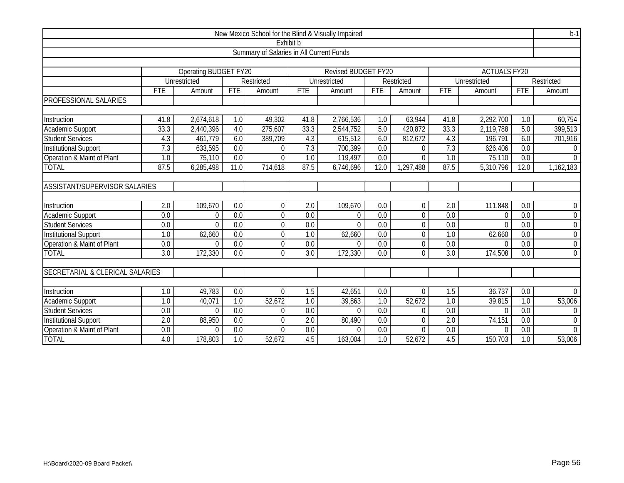| New Mexico School for the Blind & Visually Impaired |                                          |                       |                  |                |                  |                     |                  |                |                  |                     |                  | $\overline{b-1}$ |  |  |
|-----------------------------------------------------|------------------------------------------|-----------------------|------------------|----------------|------------------|---------------------|------------------|----------------|------------------|---------------------|------------------|------------------|--|--|
|                                                     |                                          |                       |                  | Exhibit b      |                  |                     |                  |                |                  |                     |                  |                  |  |  |
|                                                     | Summary of Salaries in All Current Funds |                       |                  |                |                  |                     |                  |                |                  |                     |                  |                  |  |  |
|                                                     |                                          |                       |                  |                |                  |                     |                  |                |                  |                     |                  |                  |  |  |
|                                                     |                                          | Operating BUDGET FY20 |                  |                |                  | Revised BUDGET FY20 |                  |                |                  | <b>ACTUALS FY20</b> |                  |                  |  |  |
|                                                     |                                          | Unrestricted          |                  | Restricted     |                  | Unrestricted        |                  | Restricted     |                  | Unrestricted        |                  | Restricted       |  |  |
|                                                     | <b>FTE</b>                               | Amount                | <b>FTE</b>       | Amount         | <b>FTE</b>       | Amount              | <b>FTE</b>       | Amount         | <b>FTE</b>       | Amount              | <b>FTE</b>       | Amount           |  |  |
| PROFESSIONAL SALARIES                               |                                          |                       |                  |                |                  |                     |                  |                |                  |                     |                  |                  |  |  |
| Instruction                                         | 41.8                                     | 2,674,618             | 1.0              | 49,302         | 41.8             | 2,766,536           | 1.0              | 63,944         | 41.8             | 2,292,700           | 1.0              | 60,754           |  |  |
| Academic Support                                    | 33.3                                     | 2,440,396             | 4.0              | 275,607        | 33.3             | 2,544,752           | 5.0              | 420,872        | 33.3             | 2,119,788           | 5.0              | 399,513          |  |  |
| <b>Student Services</b>                             | 4.3                                      | 461,779               | 6.0              | 389,709        | 4.3              | 615,512             | 6.0              | 812,672        | 4.3              | 196,791             | 6.0              | 701,916          |  |  |
| <b>Institutional Support</b>                        | 7.3                                      | 633,595               | 0.0              | $\theta$       | 7.3              | 700,399             | 0.0              | $\Omega$       | 7.3              | 626,406             | 0.0              | $\Omega$         |  |  |
| Operation & Maint of Plant                          | 1.0                                      | 75,110                | 0.0              | $\Omega$       | 1.0              | 119,497             | 0.0              | $\Omega$       | 1.0              | 75,110              | 0.0              | $\Omega$         |  |  |
| <b>TOTAL</b>                                        | 87.5                                     | 6,285,498             | 11.0             | 714,618        | 87.5             | 6,746,696           | 12.0             | ,297,488       | 87.5             | 5,310,796           | 12.0             | 1,162,183        |  |  |
|                                                     |                                          |                       |                  |                |                  |                     |                  |                |                  |                     |                  |                  |  |  |
| <b>ASSISTANT/SUPERVISOR SALARIES</b>                |                                          |                       |                  |                |                  |                     |                  |                |                  |                     |                  |                  |  |  |
|                                                     |                                          |                       |                  |                |                  |                     |                  |                |                  |                     |                  |                  |  |  |
| Instruction                                         | $\overline{2.0}$                         | 109,670               | 0.0              | 0              | 2.0              | 109,670             | 0.0              | $\mathbf{0}$   | 2.0              | 111,848             | 0.0              | $\mathbf 0$      |  |  |
| Academic Support                                    | 0.0                                      | $\mathbf 0$           | 0.0              | $\mathbf 0$    | 0.0              | $\Omega$            | 0.0              | $\overline{0}$ | $\overline{0.0}$ | 0                   | 0.0              | $\boldsymbol{0}$ |  |  |
| <b>Student Services</b>                             | 0.0                                      | $\Omega$              | 0.0              | $\overline{0}$ | 0.0              | $\Omega$            | 0.0              | $\overline{0}$ | 0.0              | $\overline{0}$      | 0.0              | $\mathbf 0$      |  |  |
| <b>Institutional Support</b>                        | 1.0                                      | 62,660                | $\overline{0.0}$ | $\Omega$       | 1.0              | 62,660              | 0.0              | $\Omega$       | 1.0              | 62,660              | $\overline{0.0}$ | $\mathbf 0$      |  |  |
| Operation & Maint of Plant                          | 0.0                                      | $\Omega$              | 0.0              | $\mathbf 0$    | 0.0              | $\Omega$            | 0.0              | $\Omega$       | 0.0              | $\Omega$            | 0.0              | $\overline{0}$   |  |  |
| <b>TOTAL</b>                                        | 3.0                                      | 172,330               | 0.0              | $\Omega$       | 3.0              | 172,330             | 0.0              | $\Omega$       | 3.0              | 174,508             | 0.0              | $\mathbf 0$      |  |  |
|                                                     |                                          |                       |                  |                |                  |                     |                  |                |                  |                     |                  |                  |  |  |
| SECRETARIAL & CLERICAL SALARIES                     |                                          |                       |                  |                |                  |                     |                  |                |                  |                     |                  |                  |  |  |
|                                                     |                                          |                       |                  |                |                  |                     |                  |                |                  |                     |                  |                  |  |  |
| Instruction                                         | 1.0                                      | 49,783                | 0.0              | 0              | 1.5              | 42,651              | 0.0              | $\Omega$       | 1.5              | 36,737              | 0.0              | $\Omega$         |  |  |
| Academic Support                                    | 1.0                                      | 40,071                | 1.0              | 52,672         | $\overline{1.0}$ | 39,863              | 1.0              | 52,672         | $\overline{1.0}$ | 39,815              | 1.0              | 53,006           |  |  |
| Student Services                                    | 0.0                                      | $\Omega$              | 0.0              | $\mathbf 0$    | 0.0              | $\Omega$            | 0.0              | $\theta$       | 0.0              | $\mathbf 0$         | 0.0              | $\overline{0}$   |  |  |
| <b>Institutional Support</b>                        | 2.0                                      | 88,950                | $\overline{0.0}$ | $\Omega$       | $\overline{2.0}$ | 80,490              | 0.0              | $\Omega$       | $\overline{2.0}$ | 74,151              | 0.0              | $\mathbf 0$      |  |  |
| Operation & Maint of Plant                          | 0.0                                      | $\Omega$              | $\overline{0.0}$ | $\Omega$       | $\overline{0.0}$ | $\Omega$            | $\overline{0.0}$ | $\Omega$       | $\overline{0.0}$ | $\Omega$            | $\overline{0.0}$ | $\overline{0}$   |  |  |
| <b>TOTAL</b>                                        | 4.0                                      | 178,803               | 1.0              | 52,672         | 4.5              | 163,004             | 1.0              | 52,672         | 4.5              | 150,703             | 1.0              | 53,006           |  |  |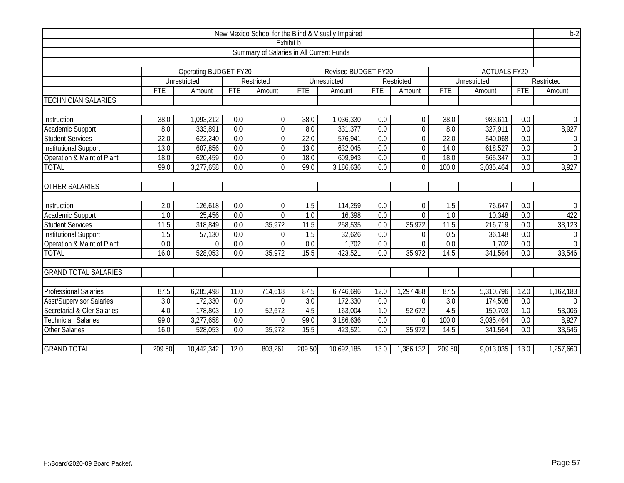| New Mexico School for the Blind & Visually Impaired |                  |                       |                  |                  |                  |                     |                  |                |                  |                     | $b-2$            |                |
|-----------------------------------------------------|------------------|-----------------------|------------------|------------------|------------------|---------------------|------------------|----------------|------------------|---------------------|------------------|----------------|
|                                                     | Exhibit b        |                       |                  |                  |                  |                     |                  |                |                  |                     |                  |                |
| Summary of Salaries in All Current Funds            |                  |                       |                  |                  |                  |                     |                  |                |                  |                     |                  |                |
|                                                     |                  |                       |                  |                  |                  |                     |                  |                |                  |                     |                  |                |
|                                                     |                  | Operating BUDGET FY20 |                  |                  |                  | Revised BUDGET FY20 |                  |                |                  | <b>ACTUALS FY20</b> |                  |                |
|                                                     |                  | Unrestricted          |                  | Restricted       |                  | Unrestricted        |                  | Restricted     |                  | Unrestricted        |                  | Restricted     |
|                                                     | FTE              | Amount                | <b>FTE</b>       | Amount           | <b>FTE</b>       | Amount              | <b>FTE</b>       | Amount         | <b>FTE</b>       | Amount              | <b>FTE</b>       | Amount         |
| <b>TECHNICIAN SALARIES</b>                          |                  |                       |                  |                  |                  |                     |                  |                |                  |                     |                  |                |
|                                                     |                  |                       |                  |                  |                  |                     |                  |                |                  |                     |                  |                |
| Instruction                                         | 38.0             | 1,093,212             | 0.0              | 0                | 38.0             | 1,036,330           | 0.0              | 0              | 38.0             | 983,611             | 0.0              | $\Omega$       |
| Academic Support                                    | 8.0              | 333,891               | 0.0              | 0                | 8.0              | 331,377             | 0.0              | $\overline{0}$ | 8.0              | 327,911             | 0.0              | 8,927          |
| <b>Student Services</b>                             | 22.0             | 622,240               | 0.0              | $\mathbf 0$      | 22.0             | 576,941             | $\overline{0.0}$ | $\overline{0}$ | 22.0             | 540,068             | 0.0              | $\Omega$       |
| <b>Institutional Support</b>                        | 13.0             | 607,856               | $\overline{0.0}$ | $\mathbf 0$      | 13.0             | 632,045             | $\overline{0.0}$ | $\overline{0}$ | 14.0             | 618,527             | $\overline{0.0}$ | $\mathbf 0$    |
| Operation & Maint of Plant                          | 18.0             | 620,459               | 0.0              | $\boldsymbol{0}$ | 18.0             | 609,943             | 0.0              | $\Omega$       | 18.0             | 565,347             | 0.0              | $\Omega$       |
| <b>TOTAL</b>                                        | 99.0             | 3,277,658             | 0.0              | $\overline{0}$   | 99.0             | 3,186,636           | 0.0              | $\Omega$       | 100.0            | 3,035,464           | 0.0              | 8,927          |
|                                                     |                  |                       |                  |                  |                  |                     |                  |                |                  |                     |                  |                |
| <b>OTHER SALARIES</b>                               |                  |                       |                  |                  |                  |                     |                  |                |                  |                     |                  |                |
|                                                     |                  |                       |                  |                  |                  |                     |                  |                |                  |                     |                  |                |
| Instruction                                         | $\overline{2.0}$ | 126,618               | $\overline{0.0}$ | $\mathbf 0$      | $\overline{1.5}$ | 114,259             | $\overline{0.0}$ | $\mathbf 0$    | $\overline{1.5}$ | 76,647              | $\overline{0.0}$ | $\Omega$       |
| Academic Support                                    | 1.0              | 25,456                | 0.0              | $\overline{0}$   | 1.0              | 16,398              | 0.0              | $\Omega$       | 1.0              | 10,348              | 0.0              | 422            |
| <b>Student Services</b>                             | 11.5             | 318,849               | 0.0              | 35,972           | 11.5             | 258,535             | 0.0              | 35,972         | 11.5             | 216,719             | 0.0              | 33,123         |
| <b>Institutional Support</b>                        | $\overline{1.5}$ | 57,130                | $\overline{0.0}$ | $\Omega$         | 1.5              | 32,626              | $\overline{0.0}$ | $\Omega$       | 0.5              | 36,148              | $\overline{0.0}$ | $\overline{0}$ |
| Operation & Maint of Plant                          | 0.0              | $\Omega$              | 0.0              | $\overline{0}$   | 0.0              | 1,702               | 0.0              | $\overline{0}$ | 0.0              | 1,702               | 0.0              | $\Omega$       |
| <b>TOTAL</b>                                        | 16.0             | 528,053               | 0.0              | 35,972           | 15.5             | 423,521             | 0.0              | 35,972         | 14.5             | 341,564             | 0.0              | 33,546         |
|                                                     |                  |                       |                  |                  |                  |                     |                  |                |                  |                     |                  |                |
| <b>GRAND TOTAL SALARIES</b>                         |                  |                       |                  |                  |                  |                     |                  |                |                  |                     |                  |                |
|                                                     |                  |                       |                  |                  |                  |                     |                  |                |                  |                     |                  |                |
| <b>Professional Salaries</b>                        | 87.5             | 6,285,498             | 11.0             | 714,618          | 87.5             | 6,746,696           | 12.0             | 1,297,488      | 87.5             | 5,310,796           | 12.0             | 1,162,183      |
| <b>Asst/Supervisor Salaries</b>                     | $\overline{3.0}$ | 172,330               | 0.0              | $\theta$         | $\overline{3.0}$ | 172,330             | 0.0              | $\Omega$       | $\overline{3.0}$ | 174,508             | $\overline{0.0}$ | $\Omega$       |
| Secretarial & Cler Salaries                         | 4.0              | 178,803               | 1.0              | 52,672           | 4.5              | 163,004             | 1.0              | 52,672         | 4.5              | 150,703             | 1.0              | 53,006         |
| <b>Technician Salaries</b>                          | 99.0             | 3,277,658             | 0.0              | $\Omega$         | 99.0             | 3,186,636           | 0.0              | $\Omega$       | 100.0            | 3,035,464           | 0.0              | 8,927          |
| <b>Other Salaries</b>                               | 16.0             | 528,053               | $\overline{0.0}$ | 35,972           | 15.5             | 423,521             | $\overline{0.0}$ | 35,972         | 14.5             | 341,564             | $\overline{0.0}$ | 33,546         |
|                                                     |                  |                       |                  |                  |                  |                     |                  |                |                  |                     |                  |                |
| <b>GRAND TOTAL</b>                                  | 209.50           | 10,442,342            | 12.0             | 803,261          | 209.50           | 10,692,185          | 13.0             | 1,386,132      | 209.50           | 9,013,035           | 13.0             | 1,257,660      |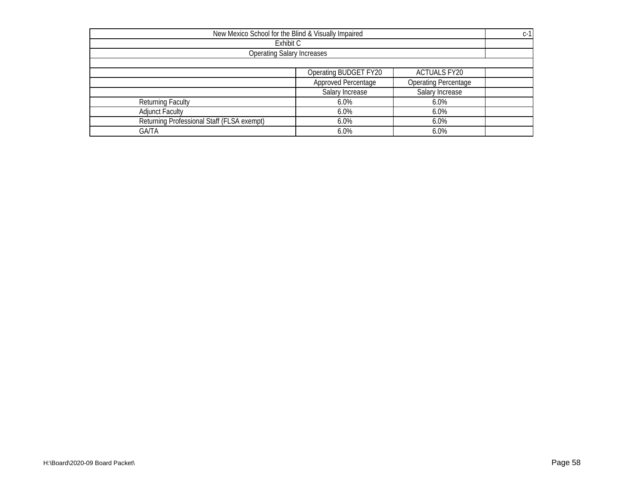| New Mexico School for the Blind & Visually Impaired |                       |                     |  |  |  |  |  |
|-----------------------------------------------------|-----------------------|---------------------|--|--|--|--|--|
| Exhibit C                                           |                       |                     |  |  |  |  |  |
| <b>Operating Salary Increases</b>                   |                       |                     |  |  |  |  |  |
|                                                     |                       |                     |  |  |  |  |  |
|                                                     | Operating BUDGET FY20 | <b>ACTUALS FY20</b> |  |  |  |  |  |
| Approved Percentage<br><b>Operating Percentage</b>  |                       |                     |  |  |  |  |  |
|                                                     | Salary Increase       | Salary Increase     |  |  |  |  |  |
| <b>Returning Faculty</b>                            | $6.0\%$               | 6.0%                |  |  |  |  |  |
| <b>Adjunct Faculty</b>                              | 6.0%                  | $6.0\%$             |  |  |  |  |  |
| Returning Professional Staff (FLSA exempt)          | 6.0%                  | 6.0%                |  |  |  |  |  |
| <b>GA/TA</b>                                        | 6.0%                  | 6.0%                |  |  |  |  |  |